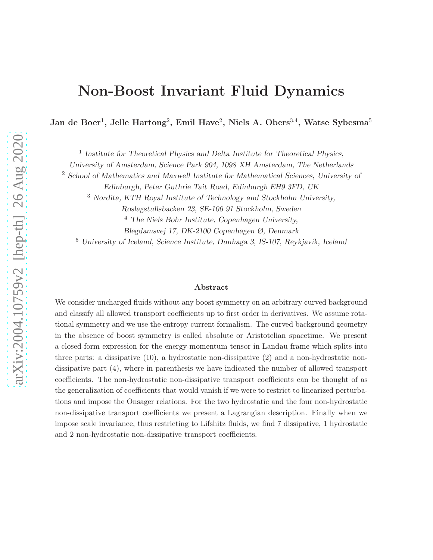# Non-Boost Invariant Fluid Dynamics

Jan de Boer<sup>1</sup>, Jelle Hartong<sup>2</sup>, Emil Have<sup>2</sup>, Niels A. Obers<sup>3,4</sup>, Watse Sybesma<sup>5</sup>

<sup>1</sup> Institute for Theoretical Physics and Delta Institute for Theoretical Physics,

University of Amsterdam, Science Park 904, 1098 XH Amsterdam, The Netherlands

<sup>2</sup> School of Mathematics and Maxwell Institute for Mathematical Sciences, University of

Edinburgh, Peter Guthrie Tait Road, Edinburgh EH9 3FD, UK

<sup>3</sup> Nordita, KTH Royal Institute of Technology and Stockholm University,

Roslagstullsbacken 23, SE-106 91 Stockholm, Sweden

 $<sup>4</sup>$  The Niels Bohr Institute, Copenhagen University,</sup>

Blegdamsvej 17, DK-2100 Copenhagen Ø, Denmark

 $5$  University of Iceland, Science Institute, Dunhaga 3, IS-107, Reykjavík, Iceland

#### Abstract

We consider uncharged fluids without any boost symmetry on an arbitrary curved background and classify all allowed transport coefficients up to first order in derivatives. We assume rotational symmetry and we use the entropy current formalism. The curved background geometry in the absence of boost symmetry is called absolute or Aristotelian spacetime. We present a closed-form expression for the energy-momentum tensor in Landau frame which splits into three parts: a dissipative (10), a hydrostatic non-dissipative (2) and a non-hydrostatic nondissipative part (4), where in parenthesis we have indicated the number of allowed transport coefficients. The non-hydrostatic non-dissipative transport coefficients can be thought of as the generalization of coefficients that would vanish if we were to restrict to linearized perturbations and impose the Onsager relations. For the two hydrostatic and the four non-hydrostatic non-dissipative transport coefficients we present a Lagrangian description. Finally when we impose scale invariance, thus restricting to Lifshitz fluids, we find 7 dissipative, 1 hydrostatic and 2 non-hydrostatic non-dissipative transport coefficients.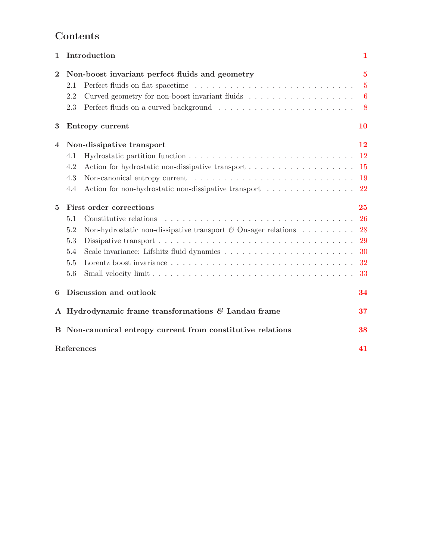## Contents

| $\mathbf{1}$   |                                                                | Introduction                                                                                 | 1                |
|----------------|----------------------------------------------------------------|----------------------------------------------------------------------------------------------|------------------|
| $\overline{2}$ | Non-boost invariant perfect fluids and geometry                |                                                                                              | 5                |
|                | 2.1                                                            |                                                                                              | $\overline{5}$   |
|                | 2.2                                                            |                                                                                              | $\boldsymbol{6}$ |
|                | 2.3                                                            |                                                                                              | 8                |
| 3              |                                                                | Entropy current                                                                              | <b>10</b>        |
| 4              | Non-dissipative transport                                      |                                                                                              | 12               |
|                | 4.1                                                            |                                                                                              | $12\,$           |
|                | 4.2                                                            |                                                                                              | -15              |
|                | 4.3                                                            |                                                                                              | -19              |
|                | 4.4                                                            | Action for non-hydrostatic non-dissipative transport $\ldots \ldots \ldots \ldots \ldots$ 22 |                  |
| $\overline{5}$ | First order corrections                                        |                                                                                              | 25               |
|                | 5.1                                                            | Constitutive relations                                                                       | <b>26</b>        |
|                | 5.2                                                            | Non-hydrostatic non-dissipative transport $\mathcal C$ Onsager relations  28                 |                  |
|                | 5.3                                                            |                                                                                              | 29               |
|                | 5.4                                                            |                                                                                              | 30               |
|                | 5.5                                                            |                                                                                              |                  |
|                | 5.6                                                            |                                                                                              | 33               |
| 6              | Discussion and outlook                                         |                                                                                              | 34               |
|                | A Hydrodynamic frame transformations $\mathcal C$ Landau frame |                                                                                              | 37               |
|                |                                                                | B Non-canonical entropy current from constitutive relations                                  | 38               |
|                | References<br>41                                               |                                                                                              |                  |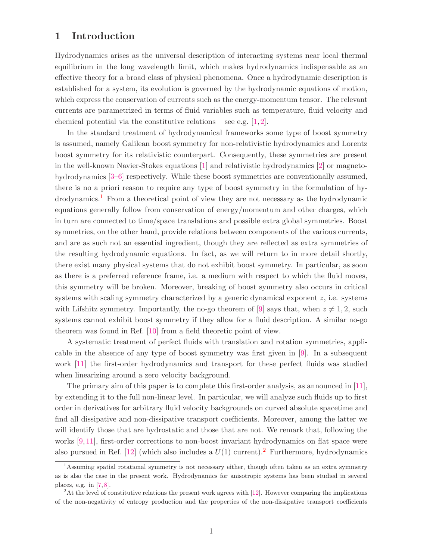## <span id="page-2-0"></span>1 Introduction

Hydrodynamics arises as the universal description of interacting systems near local thermal equilibrium in the long wavelength limit, which makes hydrodynamics indispensable as an effective theory for a broad class of physical phenomena. Once a hydrodynamic description is established for a system, its evolution is governed by the hydrodynamic equations of motion, which express the conservation of currents such as the energy-momentum tensor. The relevant currents are parametrized in terms of fluid variables such as temperature, fluid velocity and chemical potential via the constitutive relations – see e.g.  $[1, 2]$  $[1, 2]$ .

In the standard treatment of hydrodynamical frameworks some type of boost symmetry is assumed, namely Galilean boost symmetry for non-relativistic hydrodynamics and Lorentz boost symmetry for its relativistic counterpart. Consequently, these symmetries are present in the well-known Navier-Stokes equations [\[1\]](#page-42-0) and relativistic hydrodynamics [\[2\]](#page-42-1) or magneto-hydrodynamics [\[3–](#page-42-2)[6\]](#page-42-3) respectively. While these boost symmetries are conventionally assumed, there is no a priori reason to require any type of boost symmetry in the formulation of hy-drodynamics.<sup>[1](#page-2-1)</sup> From a theoretical point of view they are not necessary as the hydrodynamic equations generally follow from conservation of energy/momentum and other charges, which in turn are connected to time/space translations and possible extra global symmetries. Boost symmetries, on the other hand, provide relations between components of the various currents, and are as such not an essential ingredient, though they are reflected as extra symmetries of the resulting hydrodynamic equations. In fact, as we will return to in more detail shortly, there exist many physical systems that do not exhibit boost symmetry. In particular, as soon as there is a preferred reference frame, i.e. a medium with respect to which the fluid moves, this symmetry will be broken. Moreover, breaking of boost symmetry also occurs in critical systems with scaling symmetry characterized by a generic dynamical exponent z, i.e. systems with Lifshitz symmetry. Importantly, the no-go theorem of [\[9\]](#page-42-4) says that, when  $z \neq 1, 2$ , such systems cannot exhibit boost symmetry if they allow for a fluid description. A similar no-go theorem was found in Ref. [\[10\]](#page-42-5) from a field theoretic point of view.

A systematic treatment of perfect fluids with translation and rotation symmetries, applicable in the absence of any type of boost symmetry was first given in [\[9\]](#page-42-4). In a subsequent work [\[11\]](#page-42-6) the first-order hydrodynamics and transport for these perfect fluids was studied when linearizing around a zero velocity background.

The primary aim of this paper is to complete this first-order analysis, as announced in [\[11\]](#page-42-6), by extending it to the full non-linear level. In particular, we will analyze such fluids up to first order in derivatives for arbitrary fluid velocity backgrounds on curved absolute spacetime and find all dissipative and non-dissipative transport coefficients. Moreover, among the latter we will identify those that are hydrostatic and those that are not. We remark that, following the works [\[9,](#page-42-4) [11\]](#page-42-6), first-order corrections to non-boost invariant hydrodynamics on flat space were also pursued in Ref. [\[12\]](#page-42-7) (which also includes a  $U(1)$  current).<sup>[2](#page-2-2)</sup> Furthermore, hydrodynamics

<span id="page-2-1"></span><sup>1</sup>Assuming spatial rotational symmetry is not necessary either, though often taken as an extra symmetry as is also the case in the present work. Hydrodynamics for anisotropic systems has been studied in several places, e.g. in [\[7,](#page-42-8) [8\]](#page-42-9).

<span id="page-2-2"></span> ${}^{2}$ At the level of constitutive relations the present work agrees with [\[12\]](#page-42-7). However comparing the implications of the non-negativity of entropy production and the properties of the non-dissipative transport coefficients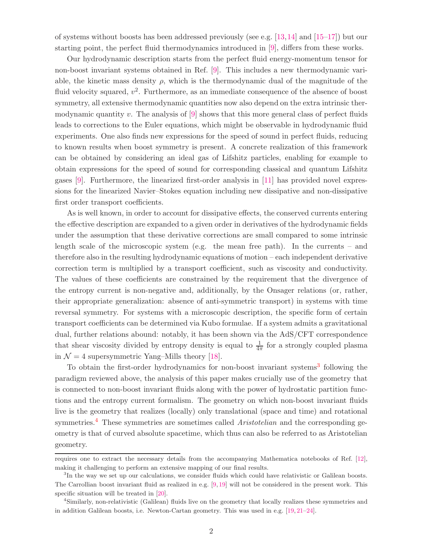of systems without boosts has been addressed previously (see e.g. [\[13,](#page-42-10)[14\]](#page-42-11) and [\[15](#page-42-12)[–17\]](#page-43-0)) but our starting point, the perfect fluid thermodynamics introduced in [\[9\]](#page-42-4), differs from these works.

Our hydrodynamic description starts from the perfect fluid energy-momentum tensor for non-boost invariant systems obtained in Ref. [\[9\]](#page-42-4). This includes a new thermodynamic variable, the kinetic mass density  $\rho$ , which is the thermodynamic dual of the magnitude of the fluid velocity squared,  $v^2$ . Furthermore, as an immediate consequence of the absence of boost symmetry, all extensive thermodynamic quantities now also depend on the extra intrinsic thermodynamic quantity v. The analysis of  $[9]$  shows that this more general class of perfect fluids leads to corrections to the Euler equations, which might be observable in hydrodynamic fluid experiments. One also finds new expressions for the speed of sound in perfect fluids, reducing to known results when boost symmetry is present. A concrete realization of this framework can be obtained by considering an ideal gas of Lifshitz particles, enabling for example to obtain expressions for the speed of sound for corresponding classical and quantum Lifshitz gases [\[9\]](#page-42-4). Furthermore, the linearized first-order analysis in [\[11\]](#page-42-6) has provided novel expressions for the linearized Navier–Stokes equation including new dissipative and non-dissipative first order transport coefficients.

As is well known, in order to account for dissipative effects, the conserved currents entering the effective description are expanded to a given order in derivatives of the hydrodynamic fields under the assumption that these derivative corrections are small compared to some intrinsic length scale of the microscopic system (e.g. the mean free path). In the currents – and therefore also in the resulting hydrodynamic equations of motion – each independent derivative correction term is multiplied by a transport coefficient, such as viscosity and conductivity. The values of these coefficients are constrained by the requirement that the divergence of the entropy current is non-negative and, additionally, by the Onsager relations (or, rather, their appropriate generalization: absence of anti-symmetric transport) in systems with time reversal symmetry. For systems with a microscopic description, the specific form of certain transport coefficients can be determined via Kubo formulae. If a system admits a gravitational dual, further relations abound: notably, it has been shown via the AdS/CFT correspondence that shear viscosity divided by entropy density is equal to  $\frac{1}{4\pi}$  for a strongly coupled plasma in  $\mathcal{N} = 4$  supersymmetric Yang–Mills theory [\[18\]](#page-43-1).

To obtain the first-order hydrodynamics for non-boost invariant systems<sup>[3](#page-3-0)</sup> following the paradigm reviewed above, the analysis of this paper makes crucially use of the geometry that is connected to non-boost invariant fluids along with the power of hydrostatic partition functions and the entropy current formalism. The geometry on which non-boost invariant fluids live is the geometry that realizes (locally) only translational (space and time) and rotational symmetries.[4](#page-3-1) These symmetries are sometimes called *Aristotelian* and the corresponding geometry is that of curved absolute spacetime, which thus can also be referred to as Aristotelian geometry.

requires one to extract the necessary details from the accompanying Mathematica notebooks of Ref. [\[12\]](#page-42-7), making it challenging to perform an extensive mapping of our final results.

<span id="page-3-0"></span><sup>3</sup> In the way we set up our calculations, we consider fluids which could have relativistic or Galilean boosts. The Carrollian boost invariant fluid as realized in e.g. [\[9,](#page-42-4) [19\]](#page-43-2) will not be considered in the present work. This specific situation will be treated in [\[20\]](#page-43-3).

<span id="page-3-1"></span><sup>4</sup> Similarly, non-relativistic (Galilean) fluids live on the geometry that locally realizes these symmetries and in addition Galilean boosts, i.e. Newton-Cartan geometry. This was used in e.g. [\[19,](#page-43-2) [21–](#page-43-4)[24\]](#page-43-5).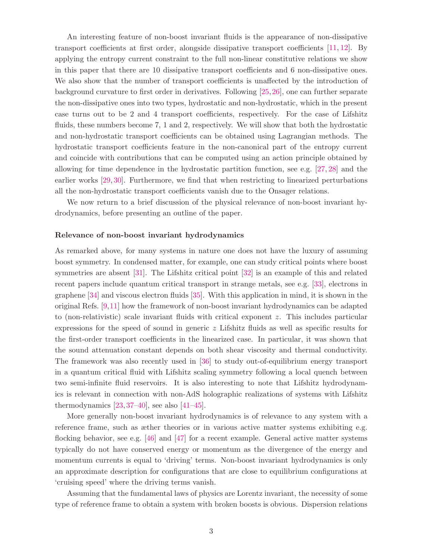An interesting feature of non-boost invariant fluids is the appearance of non-dissipative transport coefficients at first order, alongside dissipative transport coefficients [\[11,](#page-42-6) [12\]](#page-42-7). By applying the entropy current constraint to the full non-linear constitutive relations we show in this paper that there are 10 dissipative transport coefficients and 6 non-dissipative ones. We also show that the number of transport coefficients is unaffected by the introduction of background curvature to first order in derivatives. Following [\[25,](#page-43-6)[26\]](#page-43-7), one can further separate the non-dissipative ones into two types, hydrostatic and non-hydrostatic, which in the present case turns out to be 2 and 4 transport coefficients, respectively. For the case of Lifshitz fluids, these numbers become 7, 1 and 2, respectively. We will show that both the hydrostatic and non-hydrostatic transport coefficients can be obtained using Lagrangian methods. The hydrostatic transport coefficients feature in the non-canonical part of the entropy current and coincide with contributions that can be computed using an action principle obtained by allowing for time dependence in the hydrostatic partition function, see e.g. [\[27,](#page-43-8) [28\]](#page-43-9) and the earlier works [\[29,](#page-43-10) [30\]](#page-43-11). Furthermore, we find that when restricting to linearized perturbations all the non-hydrostatic transport coefficients vanish due to the Onsager relations.

We now return to a brief discussion of the physical relevance of non-boost invariant hydrodynamics, before presenting an outline of the paper.

#### Relevance of non-boost invariant hydrodynamics

As remarked above, for many systems in nature one does not have the luxury of assuming boost symmetry. In condensed matter, for example, one can study critical points where boost symmetries are absent [\[31\]](#page-44-0). The Lifshitz critical point [\[32\]](#page-44-1) is an example of this and related recent papers include quantum critical transport in strange metals, see e.g. [\[33\]](#page-44-2), electrons in graphene [\[34\]](#page-44-3) and viscous electron fluids [\[35\]](#page-44-4). With this application in mind, it is shown in the original Refs. [\[9,](#page-42-4)[11\]](#page-42-6) how the framework of non-boost invariant hydrodynamics can be adapted to (non-relativistic) scale invariant fluids with critical exponent z. This includes particular expressions for the speed of sound in generic  $z$  Lifshitz fluids as well as specific results for the first-order transport coefficients in the linearized case. In particular, it was shown that the sound attenuation constant depends on both shear viscosity and thermal conductivity. The framework was also recently used in [\[36\]](#page-44-5) to study out-of-equilibrium energy transport in a quantum critical fluid with Lifshitz scaling symmetry following a local quench between two semi-infinite fluid reservoirs. It is also interesting to note that Lifshitz hydrodynamics is relevant in connection with non-AdS holographic realizations of systems with Lifshitz thermodynamics  $[23, 37-40]$  $[23, 37-40]$  $[23, 37-40]$ , see also  $[41-45]$ .

More generally non-boost invariant hydrodynamics is of relevance to any system with a reference frame, such as æther theories or in various active matter systems exhibiting e.g. flocking behavior, see e.g. [\[46\]](#page-45-1) and [\[47\]](#page-45-2) for a recent example. General active matter systems typically do not have conserved energy or momentum as the divergence of the energy and momentum currents is equal to 'driving' terms. Non-boost invariant hydrodynamics is only an approximate description for configurations that are close to equilibrium configurations at 'cruising speed' where the driving terms vanish.

Assuming that the fundamental laws of physics are Lorentz invariant, the necessity of some type of reference frame to obtain a system with broken boosts is obvious. Dispersion relations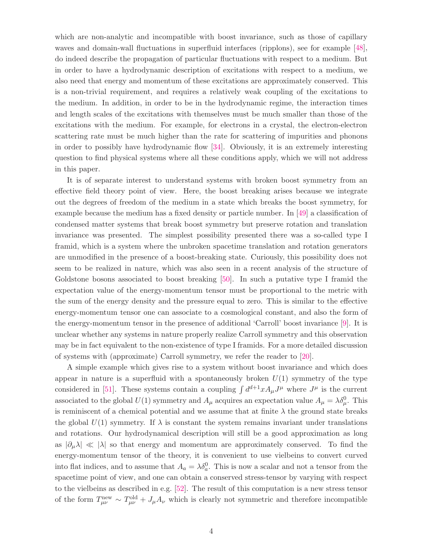which are non-analytic and incompatible with boost invariance, such as those of capillary waves and domain-wall fluctuations in superfluid interfaces (ripplons), see for example [\[48\]](#page-45-3), do indeed describe the propagation of particular fluctuations with respect to a medium. But in order to have a hydrodynamic description of excitations with respect to a medium, we also need that energy and momentum of these excitations are approximately conserved. This is a non-trivial requirement, and requires a relatively weak coupling of the excitations to the medium. In addition, in order to be in the hydrodynamic regime, the interaction times and length scales of the excitations with themselves must be much smaller than those of the excitations with the medium. For example, for electrons in a crystal, the electron-electron scattering rate must be much higher than the rate for scattering of impurities and phonons in order to possibly have hydrodynamic flow [\[34\]](#page-44-3). Obviously, it is an extremely interesting question to find physical systems where all these conditions apply, which we will not address in this paper.

It is of separate interest to understand systems with broken boost symmetry from an effective field theory point of view. Here, the boost breaking arises because we integrate out the degrees of freedom of the medium in a state which breaks the boost symmetry, for example because the medium has a fixed density or particle number. In [\[49\]](#page-45-4) a classification of condensed matter systems that break boost symmetry but preserve rotation and translation invariance was presented. The simplest possibility presented there was a so-called type I framid, which is a system where the unbroken spacetime translation and rotation generators are unmodified in the presence of a boost-breaking state. Curiously, this possibility does not seem to be realized in nature, which was also seen in a recent analysis of the structure of Goldstone bosons associated to boost breaking [\[50\]](#page-45-5). In such a putative type I framid the expectation value of the energy-momentum tensor must be proportional to the metric with the sum of the energy density and the pressure equal to zero. This is similar to the effective energy-momentum tensor one can associate to a cosmological constant, and also the form of the energy-momentum tensor in the presence of additional 'Carroll' boost invariance [\[9\]](#page-42-4). It is unclear whether any systems in nature properly realize Carroll symmetry and this observation may be in fact equivalent to the non-existence of type I framids. For a more detailed discussion of systems with (approximate) Carroll symmetry, we refer the reader to [\[20\]](#page-43-3).

A simple example which gives rise to a system without boost invariance and which does appear in nature is a superfluid with a spontaneously broken  $U(1)$  symmetry of the type considered in [\[51\]](#page-45-6). These systems contain a coupling  $\int d^{d+1}x A_\mu J^\mu$  where  $J^\mu$  is the current associated to the global  $U(1)$  symmetry and  $A_\mu$  acquires an expectation value  $A_\mu = \lambda \delta_\mu^0$ . This is reminiscent of a chemical potential and we assume that at finite  $\lambda$  the ground state breaks the global  $U(1)$  symmetry. If  $\lambda$  is constant the system remains invariant under translations and rotations. Our hydrodynamical description will still be a good approximation as long as  $|\partial_\mu \lambda| \ll |\lambda|$  so that energy and momentum are approximately conserved. To find the energy-momentum tensor of the theory, it is convenient to use vielbeins to convert curved into flat indices, and to assume that  $A_a = \lambda \delta_a^0$ . This is now a scalar and not a tensor from the spacetime point of view, and one can obtain a conserved stress-tensor by varying with respect to the vielbeins as described in e.g. [\[52\]](#page-45-7). The result of this computation is a new stress tensor of the form  $T^{\text{new}}_{\mu\nu} \sim T^{\text{old}}_{\mu\nu} + J_{\mu}A_{\nu}$  which is clearly not symmetric and therefore incompatible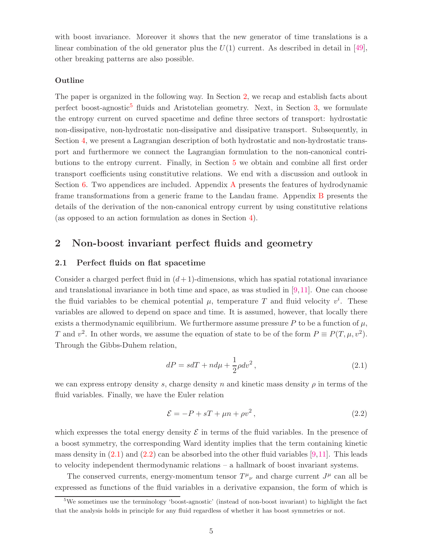with boost invariance. Moreover it shows that the new generator of time translations is a linear combination of the old generator plus the  $U(1)$  current. As described in detail in [\[49\]](#page-45-4), other breaking patterns are also possible.

#### Outline

The paper is organized in the following way. In Section [2,](#page-6-0) we recap and establish facts about perfect boost-agnostic<sup>[5](#page-6-2)</sup> fluids and Aristotelian geometry. Next, in Section [3,](#page-11-0) we formulate the entropy current on curved spacetime and define three sectors of transport: hydrostatic non-dissipative, non-hydrostatic non-dissipative and dissipative transport. Subsequently, in Section [4,](#page-13-0) we present a Lagrangian description of both hydrostatic and non-hydrostatic transport and furthermore we connect the Lagrangian formulation to the non-canonical contributions to the entropy current. Finally, in Section [5](#page-26-0) we obtain and combine all first order transport coefficients using constitutive relations. We end with a discussion and outlook in Section [6.](#page-35-0) Two appendices are included. [A](#page-38-0)ppendix A presents the features of hydrodynamic frame transformations from a generic frame to the Landau frame. Appendix [B](#page-39-0) presents the details of the derivation of the non-canonical entropy current by using constitutive relations (as opposed to an action formulation as dones in Section [4\)](#page-13-0).

## <span id="page-6-1"></span><span id="page-6-0"></span>2 Non-boost invariant perfect fluids and geometry

#### 2.1 Perfect fluids on flat spacetime

Consider a charged perfect fluid in  $(d+1)$ -dimensions, which has spatial rotational invariance and translational invariance in both time and space, as was studied in [\[9,](#page-42-4)[11\]](#page-42-6). One can choose the fluid variables to be chemical potential  $\mu$ , temperature T and fluid velocity  $v^i$ . These variables are allowed to depend on space and time. It is assumed, however, that locally there exists a thermodynamic equilibrium. We furthermore assume pressure P to be a function of  $\mu$ , T and  $v^2$ . In other words, we assume the equation of state to be of the form  $P \equiv P(T, \mu, v^2)$ . Through the Gibbs-Duhem relation,

<span id="page-6-3"></span>
$$
dP = sdT + nd\mu + \frac{1}{2}\rho dv^2, \qquad (2.1)
$$

we can express entropy density s, charge density n and kinetic mass density  $\rho$  in terms of the fluid variables. Finally, we have the Euler relation

<span id="page-6-4"></span>
$$
\mathcal{E} = -P + sT + \mu n + \rho v^2, \qquad (2.2)
$$

which expresses the total energy density  $\mathcal E$  in terms of the fluid variables. In the presence of a boost symmetry, the corresponding Ward identity implies that the term containing kinetic mass density in  $(2.1)$  and  $(2.2)$  can be absorbed into the other fluid variables [\[9,](#page-42-4)[11\]](#page-42-6). This leads to velocity independent thermodynamic relations – a hallmark of boost invariant systems.

The conserved currents, energy-momentum tensor  $T^{\mu}{}_{\nu}$  and charge current  $J^{\mu}$  can all be expressed as functions of the fluid variables in a derivative expansion, the form of which is

<span id="page-6-2"></span><sup>&</sup>lt;sup>5</sup>We sometimes use the terminology 'boost-agnostic' (instead of non-boost invariant) to highlight the fact that the analysis holds in principle for any fluid regardless of whether it has boost symmetries or not.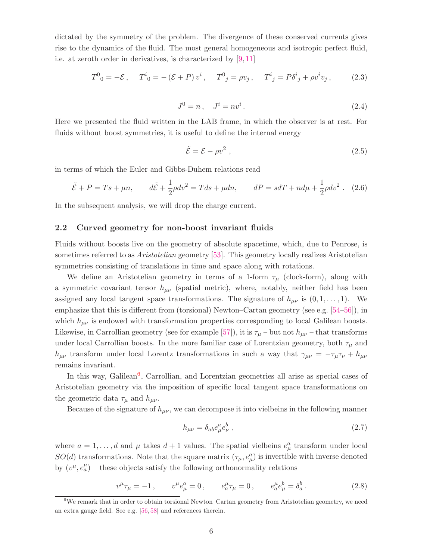dictated by the symmetry of the problem. The divergence of these conserved currents gives rise to the dynamics of the fluid. The most general homogeneous and isotropic perfect fluid, i.e. at zeroth order in derivatives, is characterized by [\[9,](#page-42-4) [11\]](#page-42-6)

$$
T^{0}_{0} = -\mathcal{E}, \quad T^{i}_{0} = -(\mathcal{E} + P)v^{i}, \quad T^{0}_{j} = \rho v_{j}, \quad T^{i}_{j} = P\delta^{i}_{j} + \rho v^{i} v_{j}, \quad (2.3)
$$

<span id="page-7-2"></span>
$$
J^0 = n \,, \quad J^i = n v^i \,. \tag{2.4}
$$

Here we presented the fluid written in the LAB frame, in which the observer is at rest. For fluids without boost symmetries, it is useful to define the internal energy

$$
\tilde{\mathcal{E}} = \mathcal{E} - \rho v^2 \,,\tag{2.5}
$$

in terms of which the Euler and Gibbs-Duhem relations read

<span id="page-7-3"></span>
$$
\tilde{\mathcal{E}} + P = Ts + \mu n, \qquad d\tilde{\mathcal{E}} + \frac{1}{2}\rho dv^2 = Tds + \mu dn, \qquad dP = sdT + nd\mu + \frac{1}{2}\rho dv^2. \tag{2.6}
$$

<span id="page-7-0"></span>In the subsequent analysis, we will drop the charge current.

#### 2.2 Curved geometry for non-boost invariant fluids

Fluids without boosts live on the geometry of absolute spacetime, which, due to Penrose, is sometimes referred to as *Aristotelian* geometry [\[53\]](#page-45-8). This geometry locally realizes Aristotelian symmetries consisting of translations in time and space along with rotations.

We define an Aristotelian geometry in terms of a 1-form  $\tau_{\mu}$  (clock-form), along with a symmetric covariant tensor  $h_{\mu\nu}$  (spatial metric), where, notably, neither field has been assigned any local tangent space transformations. The signature of  $h_{\mu\nu}$  is  $(0, 1, \ldots, 1)$ . We emphasize that this is different from (torsional) Newton–Cartan geometry (see e.g. [\[54–](#page-45-9)[56\]](#page-45-10)), in which  $h_{\mu\nu}$  is endowed with transformation properties corresponding to local Galilean boosts. Likewise, in Carrollian geometry (see for example [\[57\]](#page-45-11)), it is  $\tau_{\mu}$  – but not  $h_{\mu\nu}$  – that transforms under local Carrollian boosts. In the more familiar case of Lorentzian geometry, both  $\tau_{\mu}$  and  $h_{\mu\nu}$  transform under local Lorentz transformations in such a way that  $\gamma_{\mu\nu} = -\tau_{\mu}\tau_{\nu} + h_{\mu\nu}$ remains invariant.

In this way, Galilean<sup>[6](#page-7-1)</sup>, Carrollian, and Lorentzian geometries all arise as special cases of Aristotelian geometry via the imposition of specific local tangent space transformations on the geometric data  $\tau_{\mu}$  and  $h_{\mu\nu}$ .

Because of the signature of  $h_{\mu\nu}$ , we can decompose it into vielbeins in the following manner

$$
h_{\mu\nu} = \delta_{ab} e^a_{\mu} e^b_{\nu} \tag{2.7}
$$

where  $a = 1, \ldots, d$  and  $\mu$  takes  $d+1$  values. The spatial vielbeins  $e^a_\mu$  transform under local  $SO(d)$  transformations. Note that the square matrix  $(\tau_{\mu}, e_{\mu}^{a})$  is invertible with inverse denoted by  $(v^{\mu}, e^{\mu}_{a})$  – these objects satisfy the following orthonormality relations

$$
v^{\mu}\tau_{\mu} = -1, \qquad v^{\mu}e^a_{\mu} = 0, \qquad e^{\mu}_a\tau_{\mu} = 0, \qquad e^{\mu}_a e^b_{\mu} = \delta^b_a. \tag{2.8}
$$

<span id="page-7-1"></span> ${}^{6}$ We remark that in order to obtain torsional Newton–Cartan geometry from Aristotelian geometry, we need an extra gauge field. See e.g. [\[56,](#page-45-10) [58\]](#page-45-12) and references therein.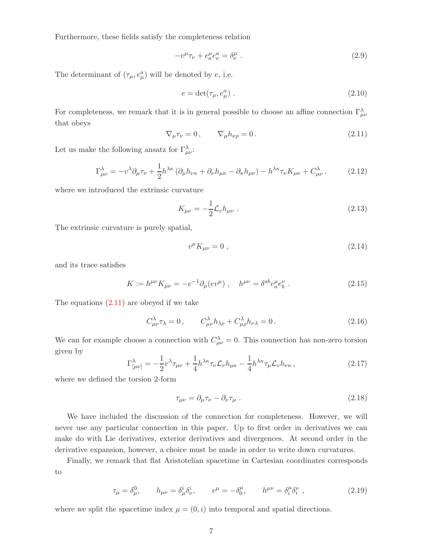Furthermore, these fields satisfy the completeness relation

<span id="page-8-1"></span>
$$
-v^{\mu}\tau_{\nu} + e^{\mu}_{a}e^a_{\nu} = \delta^{\mu}_{\nu} . \qquad (2.9)
$$

The determinant of  $(\tau_{\mu}, e_{\mu}^{a})$  will be denoted by  $e$ , i.e.

$$
e = \det(\tau_{\mu}, e_{\mu}^{a}). \qquad (2.10)
$$

<span id="page-8-0"></span>For completeness, we remark that it is in general possible to choose an affine connection  $\Gamma^{\lambda}_{\mu\nu}$ that obeys

$$
\nabla_{\mu}\tau_{\nu}=0\,,\qquad\nabla_{\mu}h_{\nu\rho}=0\,.
$$
\n(2.11)

Let us make the following ansatz for  $\Gamma_{\mu\nu}^{\lambda}$ :

$$
\Gamma^{\lambda}_{\mu\nu} = -v^{\lambda}\partial_{\mu}\tau_{\nu} + \frac{1}{2}h^{\lambda\kappa} \left(\partial_{\mu}h_{\nu\kappa} + \partial_{\nu}h_{\mu\kappa} - \partial_{\kappa}h_{\mu\nu}\right) - h^{\lambda\kappa}\tau_{\nu}K_{\mu\kappa} + C^{\lambda}_{\mu\nu}.
$$
 (2.12)

where we introduced the extrinsic curvature

<span id="page-8-5"></span>
$$
K_{\mu\nu} = -\frac{1}{2} \mathcal{L}_v h_{\mu\nu} \ . \tag{2.13}
$$

The extrinsic curvature is purely spatial,

$$
v^{\mu}K_{\mu\nu} = 0 \tag{2.14}
$$

and its trace satisfies

<span id="page-8-3"></span>
$$
K := h^{\mu\nu} K_{\mu\nu} = -e^{-1} \partial_{\mu} (e^{j\mu}) \ , \quad h^{\mu\nu} = \delta^{ab} e^{\mu}_a e^{\nu}_b \ . \tag{2.15}
$$

The equations  $(2.11)$  are obeyed if we take

$$
C^{\lambda}_{\mu\nu}\tau_{\lambda} = 0, \qquad C^{\lambda}_{\mu\nu}h_{\lambda\rho} + C^{\lambda}_{\mu\rho}h_{\nu\lambda} = 0. \tag{2.16}
$$

We can for example choose a connection with  $C_{\mu\nu}^{\lambda} = 0$ . This connection has non-zero torsion given by

$$
\Gamma^{\lambda}_{[\mu\nu]} = -\frac{1}{2}v^{\lambda}\tau_{\mu\nu} + \frac{1}{4}h^{\lambda\kappa}\tau_{\nu}\mathcal{L}_{v}h_{\mu\kappa} - \frac{1}{4}h^{\lambda\kappa}\tau_{\mu}\mathcal{L}_{v}h_{\nu\kappa},\tag{2.17}
$$

where we defined the torsion 2-form

<span id="page-8-4"></span>
$$
\tau_{\mu\nu} = \partial_{\mu}\tau_{\nu} - \partial_{\nu}\tau_{\mu} \tag{2.18}
$$

We have included the discussion of the connection for completeness. However, we will never use any particular connection in this paper. Up to first order in derivatives we can make do with Lie derivatives, exterior derivatives and divergences. At second order in the derivative expansion, however, a choice must be made in order to write down curvatures.

Finally, we remark that flat Aristotelian spacetime in Cartesian coordinates corresponds to

<span id="page-8-2"></span>
$$
\tau_{\mu} = \delta^0_{\mu}, \qquad h_{\mu\nu} = \delta^i_{\mu}\delta^i_{\nu}, \qquad v^{\mu} = -\delta^{\mu}_0, \qquad h^{\mu\nu} = \delta^{\mu}_i\delta^{\nu}_i \,, \tag{2.19}
$$

where we split the spacetime index  $\mu = (0, i)$  into temporal and spatial directions.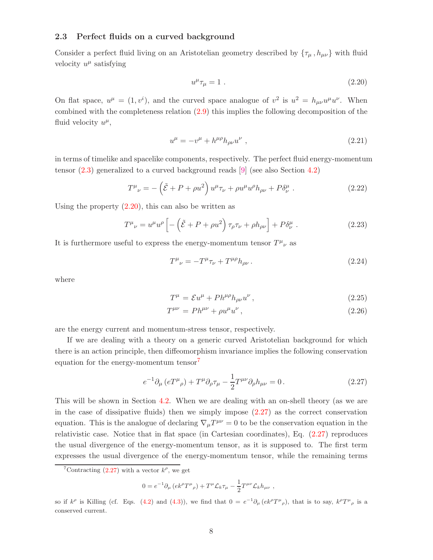#### <span id="page-9-0"></span>2.3 Perfect fluids on a curved background

Consider a perfect fluid living on an Aristotelian geometry described by  $\{\tau_{\mu}, h_{\mu\nu}\}\$  with fluid velocity  $u^{\mu}$  satisfying

<span id="page-9-1"></span>
$$
u^{\mu}\tau_{\mu} = 1 \tag{2.20}
$$

On flat space,  $u^{\mu} = (1, v^{i})$ , and the curved space analogue of  $v^{2}$  is  $u^{2} = h_{\mu\nu}u^{\mu}u^{\nu}$ . When combined with the completeness relation [\(2.9\)](#page-8-1) this implies the following decomposition of the fluid velocity  $u^{\mu}$ ,

<span id="page-9-5"></span>
$$
u^{\mu} = -v^{\mu} + h^{\mu\rho}h_{\rho\nu}u^{\nu} , \qquad (2.21)
$$

in terms of timelike and spacelike components, respectively. The perfect fluid energy-momentum tensor [\(2.3\)](#page-7-2) generalized to a curved background reads [\[9\]](#page-42-4) (see also Section [4.2\)](#page-16-0)

$$
T^{\mu}{}_{\nu} = -\left(\tilde{\mathcal{E}} + P + \rho u^2\right)u^{\mu}\tau_{\nu} + \rho u^{\mu}u^{\rho}h_{\rho\nu} + P\delta^{\mu}_{\nu} \ . \tag{2.22}
$$

Using the property  $(2.20)$ , this can also be written as

$$
T^{\mu}{}_{\nu} = u^{\mu}u^{\rho}\left[-\left(\tilde{\mathcal{E}} + P + \rho u^2\right)\tau_{\rho}\tau_{\nu} + \rho h_{\rho\nu}\right] + P\delta^{\mu}_{\nu} \ . \tag{2.23}
$$

It is furthermore useful to express the energy-momentum tensor  $T^{\mu}{}_{\nu}$  as

<span id="page-9-6"></span>
$$
T^{\mu}{}_{\nu} = -T^{\mu}\tau_{\nu} + T^{\mu\rho}h_{\rho\nu} \,. \tag{2.24}
$$

where

<span id="page-9-4"></span>
$$
T^{\mu} = \mathcal{E}u^{\mu} + Ph^{\mu\rho}h_{\rho\nu}u^{\nu}, \qquad (2.25)
$$

$$
T^{\mu\nu} = P h^{\mu\nu} + \rho u^{\mu} u^{\nu}, \qquad (2.26)
$$

are the energy current and momentum-stress tensor, respectively.

If we are dealing with a theory on a generic curved Aristotelian background for which there is an action principle, then diffeomorphism invariance implies the following conservation equation for the energy-momentum tensor<sup>[7](#page-9-2)</sup>

$$
e^{-1}\partial_{\mu}\left(eT^{\mu}_{\ \rho}\right) + T^{\mu}\partial_{\rho}\tau_{\mu} - \frac{1}{2}T^{\mu\nu}\partial_{\rho}h_{\mu\nu} = 0. \tag{2.27}
$$

This will be shown in Section [4.2.](#page-16-0) When we are dealing with an on-shell theory (as we are in the case of dissipative fluids) then we simply impose  $(2.27)$  as the correct conservation equation. This is the analogue of declaring  $\nabla_{\mu}T^{\mu\nu} = 0$  to be the conservation equation in the relativistic case. Notice that in flat space (in Cartesian coordinates), Eq. [\(2.27\)](#page-9-3) reproduces the usual divergence of the energy-momentum tensor, as it is supposed to. The first term expresses the usual divergence of the energy-momentum tensor, while the remaining terms

<span id="page-9-3"></span>
$$
0 = e^{-1} \partial_{\mu} (ek^{\rho} T^{\mu}{}_{\rho}) + T^{\mu} \mathcal{L}_{k} \tau_{\mu} - \frac{1}{2} T^{\mu \nu} \mathcal{L}_{k} h_{\mu \nu} ,
$$

so if  $k^{\rho}$  is Killing (cf. Eqs. [\(4.2\)](#page-13-2) and [\(4.3\)](#page-13-2)), we find that  $0 = e^{-1}\partial_{\mu}(ek^{\rho}T^{\mu}_{\rho})$ , that is to say,  $k^{\rho}T^{\mu}_{\rho}$  is a conserved current.

<span id="page-9-2"></span><sup>&</sup>lt;sup>7</sup>Contracting [\(2.27\)](#page-9-3) with a vector  $k^{\rho}$ , we get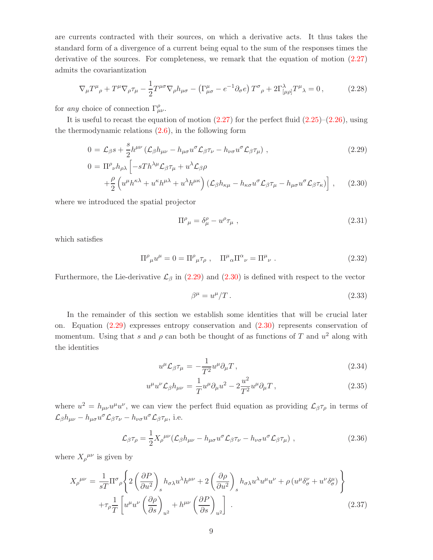are currents contracted with their sources, on which a derivative acts. It thus takes the standard form of a divergence of a current being equal to the sum of the responses times the derivative of the sources. For completeness, we remark that the equation of motion [\(2.27\)](#page-9-3) admits the covariantization

$$
\nabla_{\mu}T^{\mu}{}_{\rho} + T^{\mu}\nabla_{\rho}\tau_{\mu} - \frac{1}{2}T^{\mu\sigma}\nabla_{\rho}h_{\mu\sigma} - \left(\Gamma^{\mu}_{\mu\sigma} - e^{-1}\partial_{\sigma}e\right)T^{\sigma}{}_{\rho} + 2\Gamma^{\lambda}_{\left[\mu\rho\right]}T^{\mu}{}_{\lambda} = 0\,,\tag{2.28}
$$

for *any* choice of connection  $\Gamma^{\rho}_{\mu\nu}$ .

It is useful to recast the equation of motion  $(2.27)$  for the perfect fluid  $(2.25)$ – $(2.26)$ , using the thermodynamic relations [\(2.6\)](#page-7-3), in the following form

<span id="page-10-0"></span>
$$
0 = \mathcal{L}_{\beta} s + \frac{s}{2} h^{\mu\nu} \left( \mathcal{L}_{\beta} h_{\mu\nu} - h_{\mu\sigma} u^{\sigma} \mathcal{L}_{\beta} \tau_{\nu} - h_{\nu\sigma} u^{\sigma} \mathcal{L}_{\beta} \tau_{\mu} \right) , \qquad (2.29)
$$

$$
0 = \Pi^{\rho}{}_{\nu} h_{\rho\lambda} \left[ -sTh^{\lambda\mu} \mathcal{L}_{\beta} \tau_{\mu} + u^{\lambda} \mathcal{L}_{\beta} \rho \right.+ \frac{\rho}{2} \left( u^{\mu} h^{\kappa\lambda} + u^{\kappa} h^{\mu\lambda} + u^{\lambda} h^{\mu\kappa} \right) \left( \mathcal{L}_{\beta} h_{\kappa\mu} - h_{\kappa\sigma} u^{\sigma} \mathcal{L}_{\beta} \tau_{\mu} - h_{\mu\sigma} u^{\sigma} \mathcal{L}_{\beta} \tau_{\kappa} \right) \right], \quad (2.30)
$$

where we introduced the spatial projector

$$
\Pi^{\rho}_{\ \mu} = \delta^{\rho}_{\mu} - u^{\rho} \tau_{\mu} \ , \tag{2.31}
$$

which satisfies

$$
\Pi^{\rho}_{\ \mu}u^{\mu} = 0 = \Pi^{\rho}_{\ \mu}\tau_{\rho} \ , \quad \Pi^{\mu}_{\ \alpha}\Pi^{\alpha}_{\ \nu} = \Pi^{\mu}_{\ \nu} \ . \tag{2.32}
$$

Furthermore, the Lie-derivative  $\mathcal{L}_{\beta}$  in [\(2.29\)](#page-10-0) and [\(2.30\)](#page-10-0) is defined with respect to the vector

$$
\beta^{\mu} = u^{\mu}/T. \tag{2.33}
$$

In the remainder of this section we establish some identities that will be crucial later on. Equation [\(2.29\)](#page-10-0) expresses entropy conservation and [\(2.30\)](#page-10-0) represents conservation of momentum. Using that s and  $\rho$  can both be thought of as functions of T and  $u^2$  along with the identities

$$
u^{\mu} \mathcal{L}_{\beta} \tau_{\mu} = -\frac{1}{T^2} u^{\mu} \partial_{\mu} T , \qquad (2.34)
$$

$$
u^{\mu}u^{\nu}\mathcal{L}_{\beta}h_{\mu\nu} = \frac{1}{T}u^{\mu}\partial_{\mu}u^{2} - 2\frac{u^{2}}{T^{2}}u^{\mu}\partial_{\mu}T, \qquad (2.35)
$$

where  $u^2 = h_{\mu\nu}u^{\mu}u^{\nu}$ , we can view the perfect fluid equation as providing  $\mathcal{L}_{\beta}\tau_{\rho}$  in terms of  $\mathcal{L}_{\beta}h_{\mu\nu} - h_{\mu\sigma}u^{\sigma}\mathcal{L}_{\beta}\tau_{\nu} - h_{\nu\sigma}u^{\sigma}\mathcal{L}_{\beta}\tau_{\mu}$ , i.e.

<span id="page-10-1"></span>
$$
\mathcal{L}_{\beta}\tau_{\rho} = \frac{1}{2}X_{\rho}^{\mu\nu}(\mathcal{L}_{\beta}h_{\mu\nu} - h_{\mu\sigma}u^{\sigma}\mathcal{L}_{\beta}\tau_{\nu} - h_{\nu\sigma}u^{\sigma}\mathcal{L}_{\beta}\tau_{\mu}), \qquad (2.36)
$$

where  $X_{\rho}^{\mu\nu}$  is given by

<span id="page-10-2"></span>
$$
X_{\rho}^{\mu\nu} = \frac{1}{sT} \Pi^{\sigma}{}_{\rho} \left\{ 2 \left( \frac{\partial P}{\partial u^2} \right)_s h_{\sigma\lambda} u^{\lambda} h^{\mu\nu} + 2 \left( \frac{\partial \rho}{\partial u^2} \right)_s h_{\sigma\lambda} u^{\lambda} u^{\mu} u^{\nu} + \rho \left( u^{\mu} \delta^{\nu}_{\sigma} + u^{\nu} \delta^{\mu}_{\sigma} \right) \right\} + \tau_{\rho} \frac{1}{T} \left[ u^{\mu} u^{\nu} \left( \frac{\partial \rho}{\partial s} \right)_{u^2} + h^{\mu\nu} \left( \frac{\partial P}{\partial s} \right)_{u^2} \right].
$$
 (2.37)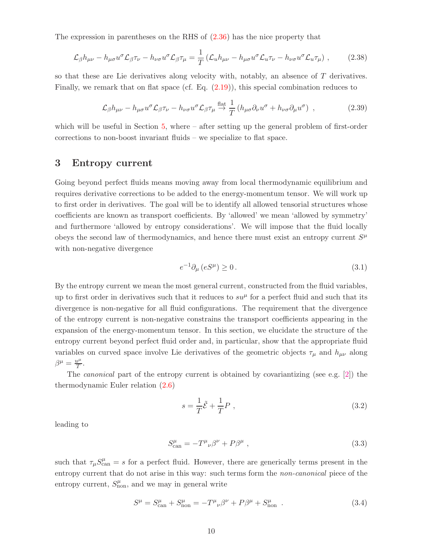The expression in parentheses on the RHS of  $(2.36)$  has the nice property that

$$
\mathcal{L}_{\beta}h_{\mu\nu} - h_{\mu\sigma}u^{\sigma}\mathcal{L}_{\beta}\tau_{\nu} - h_{\nu\sigma}u^{\sigma}\mathcal{L}_{\beta}\tau_{\mu} = \frac{1}{T}\left(\mathcal{L}_{u}h_{\mu\nu} - h_{\mu\sigma}u^{\sigma}\mathcal{L}_{u}\tau_{\nu} - h_{\nu\sigma}u^{\sigma}\mathcal{L}_{u}\tau_{\mu}\right),
$$
 (2.38)

so that these are Lie derivatives along velocity with, notably, an absence of T derivatives. Finally, we remark that on flat space (cf. Eq. [\(2.19\)](#page-8-2)), this special combination reduces to

$$
\mathcal{L}_{\beta}h_{\mu\nu} - h_{\mu\sigma}u^{\sigma}\mathcal{L}_{\beta}\tau_{\nu} - h_{\nu\sigma}u^{\sigma}\mathcal{L}_{\beta}\tau_{\mu} \stackrel{\text{flat}}{\rightarrow} \frac{1}{T}\left(h_{\mu\sigma}\partial_{\nu}u^{\sigma} + h_{\nu\sigma}\partial_{\mu}u^{\sigma}\right) ,\qquad (2.39)
$$

which will be useful in Section  $5$ , where  $-$  after setting up the general problem of first-order corrections to non-boost invariant fluids – we specialize to flat space.

## <span id="page-11-0"></span>3 Entropy current

Going beyond perfect fluids means moving away from local thermodynamic equilibrium and requires derivative corrections to be added to the energy-momentum tensor. We will work up to first order in derivatives. The goal will be to identify all allowed tensorial structures whose coefficients are known as transport coefficients. By 'allowed' we mean 'allowed by symmetry' and furthermore 'allowed by entropy considerations'. We will impose that the fluid locally obeys the second law of thermodynamics, and hence there must exist an entropy current  $S^{\mu}$ with non-negative divergence

<span id="page-11-2"></span>
$$
e^{-1}\partial_{\mu}\left(eS^{\mu}\right)\geq 0\,. \tag{3.1}
$$

By the entropy current we mean the most general current, constructed from the fluid variables, up to first order in derivatives such that it reduces to  $su^{\mu}$  for a perfect fluid and such that its divergence is non-negative for all fluid configurations. The requirement that the divergence of the entropy current is non-negative constrains the transport coefficients appearing in the expansion of the energy-momentum tensor. In this section, we elucidate the structure of the entropy current beyond perfect fluid order and, in particular, show that the appropriate fluid variables on curved space involve Lie derivatives of the geometric objects  $\tau_{\mu}$  and  $h_{\mu\nu}$  along  $\beta^{\mu} = \frac{u^{\mu}}{T}$  $\frac{\iota^{\mu}}{T}$ .

The *canonical* part of the entropy current is obtained by covariantizing (see e.g. [\[2\]](#page-42-1)) the thermodynamic Euler relation [\(2.6\)](#page-7-3)

$$
s = \frac{1}{T}\tilde{\mathcal{E}} + \frac{1}{T}P \t{, \t(3.2)}
$$

leading to

$$
S_{\text{can}}^{\mu} = -T^{\mu}{}_{\nu}\beta^{\nu} + P\beta^{\mu} \tag{3.3}
$$

such that  $\tau_\mu S_{\text{can}}^{\mu} = s$  for a perfect fluid. However, there are generically terms present in the entropy current that do not arise in this way: such terms form the *non-canonical* piece of the entropy current,  $S_{\text{non}}^{\mu}$ , and we may in general write

<span id="page-11-1"></span>
$$
S^{\mu} = S^{\mu}_{\text{can}} + S^{\mu}_{\text{non}} = -T^{\mu}_{\ \nu} \beta^{\nu} + P \beta^{\mu} + S^{\mu}_{\text{non}} \tag{3.4}
$$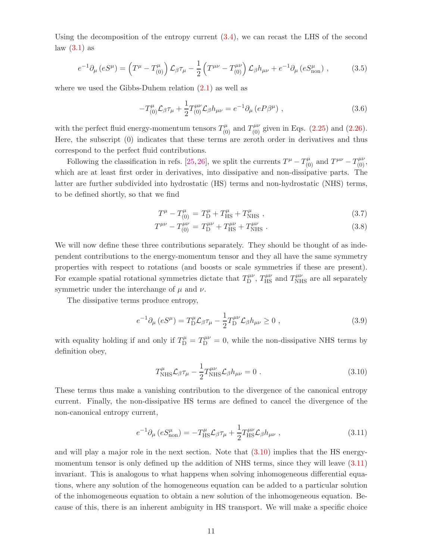Using the decomposition of the entropy current  $(3.4)$ , we can recast the LHS of the second  $law(3.1)$  as

<span id="page-12-3"></span>
$$
e^{-1}\partial_{\mu}\left(eS^{\mu}\right) = \left(T^{\mu} - T^{\mu}_{(0)}\right)\mathcal{L}_{\beta}\tau_{\mu} - \frac{1}{2}\left(T^{\mu\nu} - T^{\mu\nu}_{(0)}\right)\mathcal{L}_{\beta}h_{\mu\nu} + e^{-1}\partial_{\mu}\left(eS^{\mu}_{\text{non}}\right) ,\qquad (3.5)
$$

where we used the Gibbs-Duhem relation  $(2.1)$  as well as

$$
-T_{(0)}^{\mu} \mathcal{L}_{\beta} \tau_{\mu} + \frac{1}{2} T_{(0)}^{\mu \nu} \mathcal{L}_{\beta} h_{\mu \nu} = e^{-1} \partial_{\mu} (e P \beta^{\mu}) , \qquad (3.6)
$$

with the perfect fluid energy-momentum tensors  $T^{\mu}_{(0)}$  and  $T^{\mu\nu}_{(0)}$  given in Eqs. [\(2.25\)](#page-9-4) and [\(2.26\)](#page-9-4). Here, the subscript (0) indicates that these terms are zeroth order in derivatives and thus correspond to the perfect fluid contributions.

Following the classification in refs. [\[25,](#page-43-6) [26\]](#page-43-7), we split the currents  $T^{\mu} - T^{\mu}_{(0)}$  and  $T^{\mu\nu} - T^{\mu\nu}_{(0)}$ , which are at least first order in derivatives, into dissipative and non-dissipative parts. The latter are further subdivided into hydrostatic (HS) terms and non-hydrostatic (NHS) terms, to be defined shortly, so that we find

<span id="page-12-2"></span>
$$
T^{\mu} - T^{\mu}_{(0)} = T^{\mu}_{\text{D}} + T^{\mu}_{\text{HS}} + T^{\mu}_{\text{NHS}} , \qquad (3.7)
$$

$$
T^{\mu\nu} - T^{\mu\nu}_{(0)} = T^{\mu\nu}_{\text{D}} + T^{\mu\nu}_{\text{HS}} + T^{\mu\nu}_{\text{NHS}}.
$$
 (3.8)

We will now define these three contributions separately. They should be thought of as independent contributions to the energy-momentum tensor and they all have the same symmetry properties with respect to rotations (and boosts or scale symmetries if these are present). For example spatial rotational symmetries dictate that  $T_{\text{D}}^{\mu\nu}$  $T_{\rm MS}^{\mu\nu}$ ,  $T_{\rm HS}^{\mu\nu}$  and  $T_{\rm NHS}^{\mu\nu}$  are all separately symmetric under the interchange of  $\mu$  and  $\nu$ .

The dissipative terms produce entropy,

$$
e^{-1}\partial_{\mu}\left(eS^{\mu}\right) = T_{\mathcal{D}}^{\mu}\mathcal{L}_{\beta}\tau_{\mu} - \frac{1}{2}T_{\mathcal{D}}^{\mu\nu}\mathcal{L}_{\beta}h_{\mu\nu} \ge 0\;, \tag{3.9}
$$

with equality holding if and only if  $T_{\text{D}}^{\mu} = T_{\text{D}}^{\mu\nu} = 0$ , while the non-dissipative NHS terms by definition obey,

<span id="page-12-0"></span>
$$
T^{\mu}_{\text{NHS}} \mathcal{L}_{\beta} \tau_{\mu} - \frac{1}{2} T^{\mu \nu}_{\text{NHS}} \mathcal{L}_{\beta} h_{\mu \nu} = 0.
$$
 (3.10)

These terms thus make a vanishing contribution to the divergence of the canonical entropy current. Finally, the non-dissipative HS terms are defined to cancel the divergence of the non-canonical entropy current,

<span id="page-12-1"></span>
$$
e^{-1}\partial_{\mu}\left(eS_{\text{non}}^{\mu}\right) = -T_{\text{HS}}^{\mu}\mathcal{L}_{\beta}\tau_{\mu} + \frac{1}{2}T_{\text{HS}}^{\mu\nu}\mathcal{L}_{\beta}h_{\mu\nu}\,,\tag{3.11}
$$

and will play a major role in the next section. Note that  $(3.10)$  implies that the HS energymomentum tensor is only defined up the addition of NHS terms, since they will leave [\(3.11\)](#page-12-1) invariant. This is analogous to what happens when solving inhomogeneous differential equations, where any solution of the homogeneous equation can be added to a particular solution of the inhomogeneous equation to obtain a new solution of the inhomogeneous equation. Because of this, there is an inherent ambiguity in HS transport. We will make a specific choice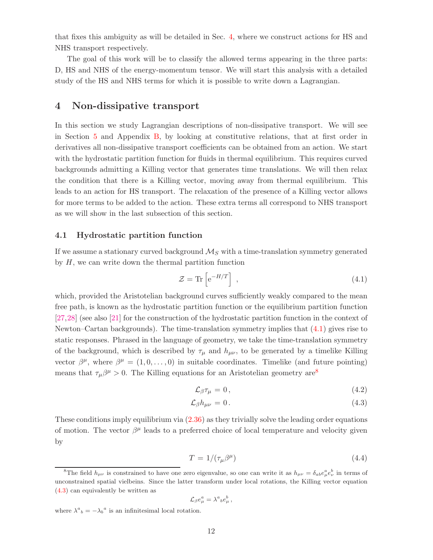that fixes this ambiguity as will be detailed in Sec. [4,](#page-13-0) where we construct actions for HS and NHS transport respectively.

The goal of this work will be to classify the allowed terms appearing in the three parts: D, HS and NHS of the energy-momentum tensor. We will start this analysis with a detailed study of the HS and NHS terms for which it is possible to write down a Lagrangian.

## <span id="page-13-0"></span>4 Non-dissipative transport

In this section we study Lagrangian descriptions of non-dissipative transport. We will see in Section [5](#page-26-0) and Appendix [B,](#page-39-0) by looking at constitutive relations, that at first order in derivatives all non-dissipative transport coefficients can be obtained from an action. We start with the hydrostatic partition function for fluids in thermal equilibrium. This requires curved backgrounds admitting a Killing vector that generates time translations. We will then relax the condition that there is a Killing vector, moving away from thermal equilibrium. This leads to an action for HS transport. The relaxation of the presence of a Killing vector allows for more terms to be added to the action. These extra terms all correspond to NHS transport as we will show in the last subsection of this section.

#### <span id="page-13-1"></span>4.1 Hydrostatic partition function

If we assume a stationary curved background  $\mathcal{M}_S$  with a time-translation symmetry generated by  $H$ , we can write down the thermal partition function

<span id="page-13-3"></span>
$$
\mathcal{Z} = \text{Tr}\left[e^{-H/T}\right],\tag{4.1}
$$

which, provided the Aristotelian background curves sufficiently weakly compared to the mean free path, is known as the hydrostatic partition function or the equilibrium partition function [\[27,](#page-43-8)[28\]](#page-43-9) (see also [\[21\]](#page-43-4) for the construction of the hydrostatic partition function in the context of Newton–Cartan backgrounds). The time-translation symmetry implies that [\(4.1\)](#page-13-3) gives rise to static responses. Phrased in the language of geometry, we take the time-translation symmetry of the background, which is described by  $\tau_{\mu}$  and  $h_{\mu\nu}$ , to be generated by a timelike Killing vector  $\beta^{\mu}$ , where  $\beta^{\mu} = (1, 0, \dots, 0)$  in suitable coordinates. Timelike (and future pointing) means that  $\tau_\mu\beta^\mu > 0$ . The Killing equations for an Aristotelian geometry are<sup>[8](#page-13-4)</sup>

$$
\mathcal{L}_{\beta}\tau_{\mu}=0\,,\tag{4.2}
$$

$$
\mathcal{L}_{\beta}h_{\mu\nu}=0.\tag{4.3}
$$

These conditions imply equilibrium via [\(2.36\)](#page-10-1) as they trivially solve the leading order equations of motion. The vector  $\beta^{\mu}$  leads to a preferred choice of local temperature and velocity given by

$$
T = 1/(\tau_{\mu}\beta^{\mu})\tag{4.4}
$$

<span id="page-13-2"></span>
$$
\mathcal{L}_{\beta}e_{\mu}^{a}=\lambda^{a}{}_{b}e_{\mu}^{b}\,,
$$

where  $\lambda^a{}_b = -\lambda_b{}^a$  is an infinitesimal local rotation.

<span id="page-13-4"></span><sup>&</sup>lt;sup>8</sup>The field  $h_{\mu\nu}$  is constrained to have one zero eigenvalue, so one can write it as  $h_{\mu\nu} = \delta_{ab}e^a_{\mu}e^b_{\nu}$  in terms of unconstrained spatial vielbeins. Since the latter transform under local rotations, the Killing vector equation [\(4.3\)](#page-13-2) can equivalently be written as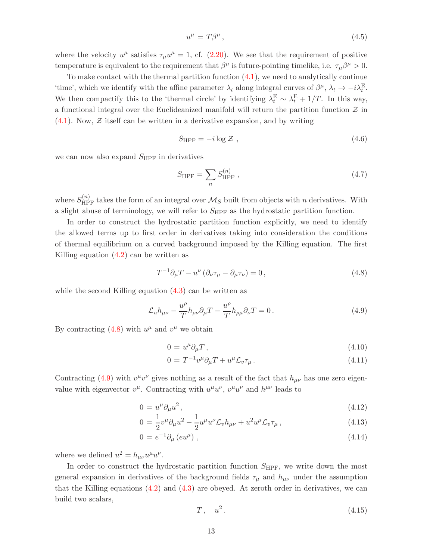$$
u^{\mu} = T\beta^{\mu},\tag{4.5}
$$

where the velocity  $u^{\mu}$  satisfies  $\tau_{\mu}u^{\mu} = 1$ , cf. [\(2.20\)](#page-9-1). We see that the requirement of positive temperature is equivalent to the requirement that  $\beta^{\mu}$  is future-pointing timelike, i.e.  $\tau_{\mu}\beta^{\mu} > 0$ .

To make contact with the thermal partition function [\(4.1\)](#page-13-3), we need to analytically continue 'time', which we identify with the affine parameter  $\lambda_t$  along integral curves of  $\beta^{\mu}$ ,  $\lambda_t \to -i\lambda_t^{\text{E}}$ . We then compactify this to the 'thermal circle' by identifying  $\lambda_t^{\rm E} \sim \lambda_t^{\rm E} + 1/T$ . In this way, a functional integral over the Euclideanized manifold will return the partition function  $\mathcal Z$  in  $(4.1)$ . Now,  $\mathcal{Z}$  itself can be written in a derivative expansion, and by writing

$$
S_{\rm HPF} = -i \log \mathcal{Z} \tag{4.6}
$$

we can now also expand  $S_{\rm HPF}$  in derivatives

$$
S_{\rm HPF} = \sum_{n} S_{\rm HPF}^{(n)} \,, \tag{4.7}
$$

where  $S_{\text{HPF}}^{(n)}$  takes the form of an integral over  $\mathcal{M}_S$  built from objects with n derivatives. With a slight abuse of terminology, we will refer to  $S_{\text{HPF}}$  as the hydrostatic partition function.

In order to construct the hydrostatic partition function explicitly, we need to identify the allowed terms up to first order in derivatives taking into consideration the conditions of thermal equilibrium on a curved background imposed by the Killing equation. The first Killing equation [\(4.2\)](#page-13-2) can be written as

<span id="page-14-1"></span><span id="page-14-0"></span>
$$
T^{-1}\partial_{\mu}T - u^{\nu}\left(\partial_{\nu}\tau_{\mu} - \partial_{\mu}\tau_{\nu}\right) = 0, \qquad (4.8)
$$

while the second Killing equation  $(4.3)$  can be written as

$$
\mathcal{L}_{u}h_{\mu\nu} - \frac{u^{\rho}}{T}h_{\rho\nu}\partial_{\mu}T - \frac{u^{\rho}}{T}h_{\rho\mu}\partial_{\nu}T = 0.
$$
\n(4.9)

By contracting  $(4.8)$  with  $u^{\mu}$  and  $v^{\mu}$  we obtain

<span id="page-14-2"></span>
$$
0 = u^{\mu} \partial_{\mu} T , \qquad (4.10)
$$

$$
0 = T^{-1}v^{\mu}\partial_{\mu}T + u^{\mu}\mathcal{L}_v\tau_{\mu}.
$$
\n(4.11)

Contracting [\(4.9\)](#page-14-1) with  $v^{\mu}v^{\nu}$  gives nothing as a result of the fact that  $h_{\mu\nu}$  has one zero eigenvalue with eigenvector  $v^{\mu}$ . Contracting with  $u^{\mu}u^{\nu}$ ,  $v^{\mu}u^{\nu}$  and  $h^{\mu\nu}$  leads to

<span id="page-14-3"></span>
$$
0 = u^{\mu} \partial_{\mu} u^{2}, \qquad (4.12)
$$

$$
0 = \frac{1}{2}v^{\mu}\partial_{\mu}u^{2} - \frac{1}{2}u^{\mu}u^{\nu}\mathcal{L}_{v}h_{\mu\nu} + u^{2}u^{\mu}\mathcal{L}_{v}\tau_{\mu}, \qquad (4.13)
$$

$$
0 = e^{-1} \partial_{\mu} (e u^{\mu}), \qquad (4.14)
$$

where we defined  $u^2 = h_{\mu\nu}u^{\mu}u^{\nu}$ .

In order to construct the hydrostatic partition function  $S_{\rm HPF}$ , we write down the most general expansion in derivatives of the background fields  $\tau_{\mu}$  and  $h_{\mu\nu}$  under the assumption that the Killing equations  $(4.2)$  and  $(4.3)$  are obeyed. At zeroth order in derivatives, we can build two scalars,

$$
T, \quad u^2. \tag{4.15}
$$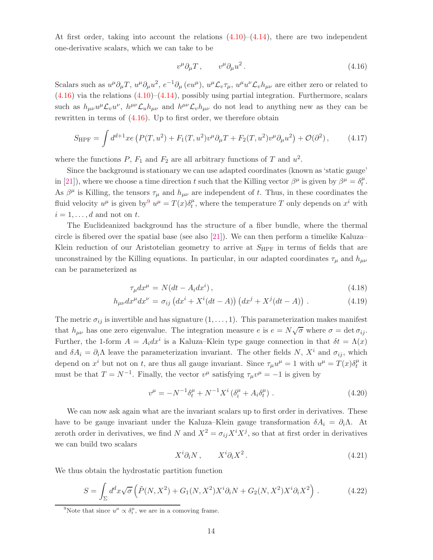At first order, taking into account the relations  $(4.10)$ – $(4.14)$ , there are two independent one-derivative scalars, which we can take to be

<span id="page-15-2"></span><span id="page-15-0"></span>
$$
v^{\mu}\partial_{\mu}T\,,\qquad v^{\mu}\partial_{\mu}u^{2}\,.
$$
\n
$$
(4.16)
$$

Scalars such as  $u^{\mu}\partial_{\mu}T, u^{\mu}\partial_{\mu}u^{2}, e^{-1}\partial_{\mu} (eu^{\mu}), u^{\mu}\mathcal{L}_{v}\tau_{\mu}, u^{\mu}u^{\nu}\mathcal{L}_{v}h_{\mu\nu}$  are either zero or related to  $(4.16)$  via the relations  $(4.10)$ – $(4.14)$ , possibly using partial integration. Furthermore, scalars such as  $h_{\mu\nu}u^{\mu}\mathcal{L}_v u^{\nu}$ ,  $h^{\mu\nu}\mathcal{L}_uh_{\mu\nu}$  and  $h^{\mu\nu}\mathcal{L}_v h_{\mu\nu}$  do not lead to anything new as they can be rewritten in terms of [\(4.16\)](#page-15-0). Up to first order, we therefore obtain

$$
S_{\text{HPF}} = \int d^{d+1}x e \left( P(T, u^2) + F_1(T, u^2) v^{\mu} \partial_{\mu} T + F_2(T, u^2) v^{\mu} \partial_{\mu} u^2 \right) + \mathcal{O}(\partial^2) \,, \tag{4.17}
$$

where the functions  $P, F_1$  and  $F_2$  are all arbitrary functions of T and  $u^2$ .

Since the background is stationary we can use adapted coordinates (known as 'static gauge' in [\[21\]](#page-43-4)), where we choose a time direction t such that the Killing vector  $\beta^{\mu}$  is given by  $\beta^{\mu} = \delta^{\mu}_{t}$  $_t^\mu.$ As  $\beta^{\mu}$  is Killing, the tensors  $\tau_{\mu}$  and  $h_{\mu\nu}$  are independent of t. Thus, in these coordinates the fluid velocity  $u^{\mu}$  is given by  $u^{\mu} = T(x)\delta_t^{\mu}$  $t<sup>\mu</sup>$ , where the temperature T only depends on  $x<sup>i</sup>$  with  $i = 1, \ldots, d$  and not on t.

The Euclideanized background has the structure of a fiber bundle, where the thermal circle is fibered over the spatial base (see also [\[21\]](#page-43-4)). We can then perform a timelike Kaluza– Klein reduction of our Aristotelian geometry to arrive at  $S_{\rm HPF}$  in terms of fields that are unconstrained by the Killing equations. In particular, in our adapted coordinates  $\tau_{\mu}$  and  $h_{\mu\nu}$ can be parameterized as

$$
\tau_{\mu} dx^{\mu} = N(dt - A_i dx^i), \qquad (4.18)
$$

$$
h_{\mu\nu}dx^{\mu}dx^{\nu} = \sigma_{ij}\left(dx^i + X^i(dt - A)\right)\left(dx^j + X^j(dt - A)\right). \tag{4.19}
$$

The metric  $\sigma_{ij}$  is invertible and has signature  $(1, \ldots, 1)$ . This parameterization makes manifest that  $h_{\mu\nu}$  has one zero eigenvalue. The integration measure e is  $e = N\sqrt{\sigma}$  where  $\sigma = \det \sigma_{ij}$ . Further, the 1-form  $A = A_i dx^i$  is a Kaluza–Klein type gauge connection in that  $\delta t = \Lambda(x)$ and  $\delta A_i = \partial_i \Lambda$  leave the parameterization invariant. The other fields N,  $X^i$  and  $\sigma_{ij}$ , which depend on  $x^i$  but not on t, are thus all gauge invariant. Since  $\tau_\mu u^\mu = 1$  with  $u^\mu = T(x)\delta_t^\mu$  $\frac{\mu}{t}$  it must be that  $T = N^{-1}$ . Finally, the vector  $v^{\mu}$  satisfying  $\tau_{\mu}v^{\mu} = -1$  is given by

$$
v^{\mu} = -N^{-1}\delta_t^{\mu} + N^{-1}X^i \left( \delta_i^{\mu} + A_i \delta_t^{\mu} \right). \tag{4.20}
$$

We can now ask again what are the invariant scalars up to first order in derivatives. These have to be gauge invariant under the Kaluza–Klein gauge transformation  $\delta A_i = \partial_i \Lambda$ . At zeroth order in derivatives, we find N and  $X^2 = \sigma_{ij} X^i X^j$ , so that at first order in derivatives we can build two scalars

<span id="page-15-3"></span>
$$
X^i \partial_i N \,, \qquad X^i \partial_i X^2 \,. \tag{4.21}
$$

We thus obtain the hydrostatic partition function

$$
S = \int_{\Sigma} d^d x \sqrt{\sigma} \left( \tilde{P}(N, X^2) + G_1(N, X^2) X^i \partial_i N + G_2(N, X^2) X^i \partial_i X^2 \right). \tag{4.22}
$$

<span id="page-15-1"></span><sup>&</sup>lt;sup>9</sup>Note that since  $u^{\mu} \propto \delta_t^{\mu}$ , we are in a comoving frame.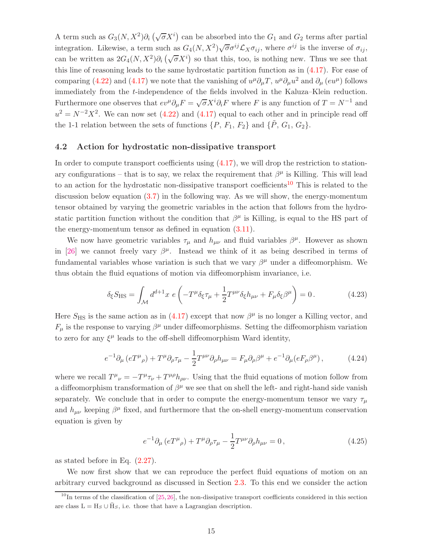A term such as  $G_3(N, X^2) \partial_i (\sqrt{\sigma} X^i)$  can be absorbed into the  $G_1$  and  $G_2$  terms after partial integration. Likewise, a term such as  $G_4(N, X^2)\sqrt{\sigma}\sigma^{ij}\mathcal{L}_X\sigma_{ij}$ , where  $\sigma^{ij}$  is the inverse of  $\sigma_{ij}$ , can be written as  $2G_4(N, X^2)\partial_i(\sqrt{\sigma}X^i)$  so that this, too, is nothing new. Thus we see that this line of reasoning leads to the same hydrostatic partition function as in [\(4.17\)](#page-15-2). For ease of comparing [\(4.22\)](#page-15-3) and [\(4.17\)](#page-15-2) we note that the vanishing of  $u^{\mu}\partial_{\mu}T$ ,  $u^{\mu}\partial_{\mu}u^{2}$  and  $\partial_{\mu}(eu^{\mu})$  follows immediately from the t-independence of the fields involved in the Kaluza–Klein reduction. Furthermore one observes that  $ev^{\mu}\partial_{\mu}F = \sqrt{\sigma}X^{i}\partial_{i}F$  where F is any function of  $T = N^{-1}$  and  $u^2 = N^{-2}X^2$ . We can now set [\(4.22\)](#page-15-3) and [\(4.17\)](#page-15-2) equal to each other and in principle read off the 1-1 relation between the sets of functions  $\{P, F_1, F_2\}$  and  $\{\tilde{P}, G_1, G_2\}$ .

#### <span id="page-16-0"></span>4.2 Action for hydrostatic non-dissipative transport

In order to compute transport coefficients using  $(4.17)$ , we will drop the restriction to stationary configurations – that is to say, we relax the requirement that  $\beta^{\mu}$  is Killing. This will lead to an action for the hydrostatic non-dissipative transport coefficients<sup>[10](#page-16-1)</sup> This is related to the discussion below equation  $(3.7)$  in the following way. As we will show, the energy-momentum tensor obtained by varying the geometric variables in the action that follows from the hydrostatic partition function without the condition that  $\beta^{\mu}$  is Killing, is equal to the HS part of the energy-momentum tensor as defined in equation [\(3.11\)](#page-12-1).

We now have geometric variables  $\tau_{\mu}$  and  $h_{\mu\nu}$  and fluid variables  $\beta^{\mu}$ . However as shown in [\[26\]](#page-43-7) we cannot freely vary  $\beta^{\mu}$ . Instead we think of it as being described in terms of fundamental variables whose variation is such that we vary  $\beta^{\mu}$  under a diffeomorphism. We thus obtain the fluid equations of motion via diffeomorphism invariance, i.e.

$$
\delta_{\xi} S_{\text{HS}} = \int_{\mathcal{M}} d^{d+1} x \ e \left( -T^{\mu} \delta_{\xi} \tau_{\mu} + \frac{1}{2} T^{\mu \nu} \delta_{\xi} h_{\mu \nu} + F_{\mu} \delta_{\xi} \beta^{\mu} \right) = 0 \,. \tag{4.23}
$$

Here  $S_{\text{HS}}$  is the same action as in [\(4.17\)](#page-15-2) except that now  $\beta^{\mu}$  is no longer a Killing vector, and  $F_{\mu}$  is the response to varying  $\beta^{\mu}$  under diffeomorphisms. Setting the diffeomorphism variation to zero for any  $\xi^{\mu}$  leads to the off-shell diffeomorphism Ward identity,

$$
e^{-1}\partial_{\mu}\left(eT^{\mu}_{\ \rho}\right) + T^{\mu}\partial_{\rho}\tau_{\mu} - \frac{1}{2}T^{\mu\nu}\partial_{\rho}h_{\mu\nu} = F_{\mu}\partial_{\rho}\beta^{\mu} + e^{-1}\partial_{\mu}(eF_{\rho}\beta^{\mu}),\tag{4.24}
$$

where we recall  $T^{\mu}_{\ \nu} = -T^{\mu} \tau_{\nu} + T^{\mu \rho} h_{\rho \nu}$ . Using that the fluid equations of motion follow from a diffeomorphism transformation of  $\beta^{\mu}$  we see that on shell the left- and right-hand side vanish separately. We conclude that in order to compute the energy-momentum tensor we vary  $\tau_{\mu}$ and  $h_{\mu\nu}$  keeping  $\beta^{\mu}$  fixed, and furthermore that the on-shell energy-momentum conservation equation is given by

$$
e^{-1}\partial_{\mu}\left(eT^{\mu}_{\ \rho}\right) + T^{\mu}\partial_{\rho}\tau_{\mu} - \frac{1}{2}T^{\mu\nu}\partial_{\rho}h_{\mu\nu} = 0\,,\tag{4.25}
$$

as stated before in Eq. [\(2.27\)](#page-9-3).

We now first show that we can reproduce the perfect fluid equations of motion on an arbitrary curved background as discussed in Section [2.3.](#page-9-0) To this end we consider the action

<span id="page-16-1"></span> $10$ In terms of the classification of [\[25,](#page-43-6) [26\]](#page-43-7), the non-dissipative transport coefficients considered in this section are class  $L = H_S \cup \overline{H}_S$ , i.e. those that have a Lagrangian description.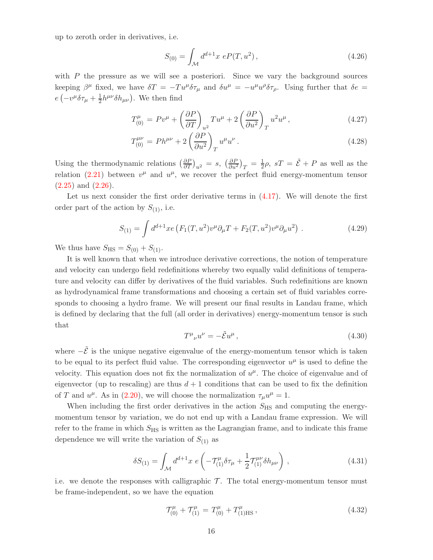up to zeroth order in derivatives, i.e.

$$
S_{(0)} = \int_{\mathcal{M}} d^{d+1}x \ e P(T, u^2) \,, \tag{4.26}
$$

with  $P$  the pressure as we will see a posteriori. Since we vary the background sources keeping  $\beta^{\mu}$  fixed, we have  $\delta T = -Tu^{\mu}\delta\tau_{\mu}$  and  $\delta u^{\mu} = -u^{\mu}u^{\rho}\delta\tau_{\rho}$ . Using further that  $\delta e =$  $e\left(-v^{\mu}\delta\tau_{\mu}+\frac{1}{2}\right)$  $\frac{1}{2}h^{\mu\nu}\delta h_{\mu\nu}$ . We then find

$$
T_{(0)}^{\mu} = Pv^{\mu} + \left(\frac{\partial P}{\partial T}\right)_{u^2} Tu^{\mu} + 2\left(\frac{\partial P}{\partial u^2}\right)_T u^2 u^{\mu}, \qquad (4.27)
$$

$$
T_{(0)}^{\mu\nu} = P h^{\mu\nu} + 2 \left( \frac{\partial P}{\partial u^2} \right)_T u^{\mu} u^{\nu} . \tag{4.28}
$$

Using the thermodynamic relations  $\left(\frac{\partial P}{\partial T}\right)_{u^2} = s$ ,  $\left(\frac{\partial P}{\partial u^2}\right)_T = \frac{1}{2}$  $\frac{1}{2}\rho$ ,  $sT = \tilde{\mathcal{E}} + P$  as well as the relation [\(2.21\)](#page-9-5) between  $v^{\mu}$  and  $u^{\mu}$ , we recover the perfect fluid energy-momentum tensor  $(2.25)$  and  $(2.26)$ .

Let us next consider the first order derivative terms in [\(4.17\)](#page-15-2). We will denote the first order part of the action by  $S_{(1)}$ , i.e.

<span id="page-17-0"></span>
$$
S_{(1)} = \int d^{d+1}x e \left( F_1(T, u^2) v^{\mu} \partial_{\mu} T + F_2(T, u^2) v^{\mu} \partial_{\mu} u^2 \right) . \tag{4.29}
$$

We thus have  $S_{\text{HS}} = S_{(0)} + S_{(1)}$ .

It is well known that when we introduce derivative corrections, the notion of temperature and velocity can undergo field redefinitions whereby two equally valid definitions of temperature and velocity can differ by derivatives of the fluid variables. Such redefinitions are known as hydrodynamical frame transformations and choosing a certain set of fluid variables corresponds to choosing a hydro frame. We will present our final results in Landau frame, which is defined by declaring that the full (all order in derivatives) energy-momentum tensor is such that

$$
T^{\mu}{}_{\nu}u^{\nu} = -\tilde{\mathcal{E}}u^{\mu}\,,\tag{4.30}
$$

where  $-\tilde{\mathcal{E}}$  is the unique negative eigenvalue of the energy-momentum tensor which is taken to be equal to its perfect fluid value. The corresponding eigenvector  $u^{\mu}$  is used to define the velocity. This equation does not fix the normalization of  $u^{\mu}$ . The choice of eigenvalue and of eigenvector (up to rescaling) are thus  $d+1$  conditions that can be used to fix the definition of T and  $u^{\mu}$ . As in [\(2.20\)](#page-9-1), we will choose the normalization  $\tau_{\mu}u^{\mu} = 1$ .

When including the first order derivatives in the action  $S_{\text{HS}}$  and computing the energymomentum tensor by variation, we do not end up with a Landau frame expression. We will refer to the frame in which  $S_{\text{HS}}$  is written as the Lagrangian frame, and to indicate this frame dependence we will write the variation of  $S_{(1)}$  as

$$
\delta S_{(1)} = \int_{\mathcal{M}} d^{d+1}x \ e \left( -\mathcal{T}_{(1)}^{\mu} \delta \tau_{\mu} + \frac{1}{2} \mathcal{T}_{(1)}^{\mu \nu} \delta h_{\mu \nu} \right) , \qquad (4.31)
$$

i.e. we denote the responses with calligraphic  $\mathcal T$ . The total energy-momentum tensor must be frame-independent, so we have the equation

<span id="page-17-1"></span>
$$
\mathcal{T}_{(0)}^{\mu} + \mathcal{T}_{(1)}^{\mu} = T_{(0)}^{\mu} + T_{(1)\text{HS}}^{\mu}, \qquad (4.32)
$$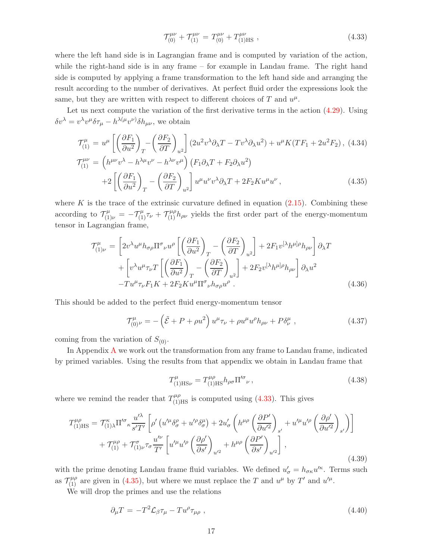$$
\mathcal{T}^{\mu\nu}_{(0)} + \mathcal{T}^{\mu\nu}_{(1)} = T^{\mu\nu}_{(0)} + T^{\mu\nu}_{(1)HS} , \qquad (4.33)
$$

where the left hand side is in Lagrangian frame and is computed by variation of the action, while the right-hand side is in any frame – for example in Landau frame. The right hand side is computed by applying a frame transformation to the left hand side and arranging the result according to the number of derivatives. At perfect fluid order the expressions look the same, but they are written with respect to different choices of  $T$  and  $u^{\mu}$ .

Let us next compute the variation of the first derivative terms in the action [\(4.29\)](#page-17-0). Using  $\delta v^{\lambda} = v^{\lambda} v^{\mu} \delta \tau_{\mu} - h^{\lambda(\mu} v^{\nu)} \delta h_{\mu\nu}$ , we obtain

<span id="page-18-0"></span>
$$
\mathcal{T}_{(1)}^{\mu} = u^{\mu} \left[ \left( \frac{\partial F_1}{\partial u^2} \right)_T - \left( \frac{\partial F_2}{\partial T} \right)_{u^2} \right] (2u^2 v^{\lambda} \partial_{\lambda} T - T v^{\lambda} \partial_{\lambda} u^2) + u^{\mu} K (T F_1 + 2u^2 F_2), \quad (4.34)
$$
\n
$$
\mathcal{T}_{(1)}^{\mu\nu} = \left( h^{\mu\nu} v^{\lambda} - h^{\lambda\mu} v^{\nu} - h^{\lambda\nu} v^{\mu} \right) \left( F_1 \partial_{\lambda} T + F_2 \partial_{\lambda} u^2 \right)
$$
\n
$$
+ 2 \left[ \left( \frac{\partial F_1}{\partial u^2} \right)_T - \left( \frac{\partial F_2}{\partial T} \right)_{u^2} \right] u^{\mu} u^{\nu} v^{\lambda} \partial_{\lambda} T + 2F_2 K u^{\mu} u^{\nu}, \quad (4.35)
$$

where K is the trace of the extrinsic curvature defined in equation  $(2.15)$ . Combining these according to  $\mathcal{T}_{(1)\nu}^{\mu} = -\mathcal{T}_{(1)}^{\mu} \tau_{\nu} + \mathcal{T}_{(1)}^{\mu \rho} h_{\rho \nu}$  yields the first order part of the energy-momentum tensor in Lagrangian frame,

<span id="page-18-1"></span>
$$
\mathcal{T}^{\mu}_{(1)\nu} = \left[ 2v^{\lambda}u^{\mu}h_{\sigma\rho}\Pi^{\sigma}{}_{\nu}u^{\rho}\left[ \left(\frac{\partial F_{1}}{\partial u^{2}}\right)_{T} - \left(\frac{\partial F_{2}}{\partial T}\right)_{u^{2}} \right] + 2F_{1}v^{[\lambda}h^{\mu]\rho}h_{\rho\nu} \right] \partial_{\lambda}T \n+ \left[ v^{\lambda}u^{\mu}\tau_{\nu}T\left[ \left(\frac{\partial F_{1}}{\partial u^{2}}\right)_{T} - \left(\frac{\partial F_{2}}{\partial T}\right)_{u^{2}} \right] + 2F_{2}v^{[\lambda}h^{\mu]\rho}h_{\rho\nu} \right] \partial_{\lambda}u^{2} \n- Tu^{\mu}\tau_{\nu}F_{1}K + 2F_{2}Ku^{\mu}\Pi^{\sigma}{}_{\nu}h_{\sigma\rho}u^{\rho} .
$$
\n(4.36)

This should be added to the perfect fluid energy-momentum tensor

$$
\mathcal{T}_{(0)}^{\mu}{}_{\nu} = -\left(\tilde{\mathcal{E}} + P + \rho u^2\right)u^{\mu}\tau_{\nu} + \rho u^{\mu}u^{\rho}h_{\rho\nu} + P\delta^{\mu}_{\nu} , \qquad (4.37)
$$

coming from the variation of  $S_{(0)}$ .

In [A](#page-38-0)ppendix  $\bf{A}$  we work out the transformation from any frame to Landau frame, indicated by primed variables. Using the results from that appendix we obtain in Landau frame that

<span id="page-18-4"></span><span id="page-18-2"></span>
$$
T_{(1)\text{HS}\nu}^{\mu} = T_{(1)\text{HS}}^{\mu\rho} h_{\rho\sigma} \Pi^{\prime\sigma}{}_{\nu} , \qquad (4.38)
$$

where we remind the reader that  $T^{\mu\rho}_{(1)\text{HS}}$  is computed using [\(4.33\)](#page-17-1). This gives

$$
T_{(1)HS}^{\mu\rho} = \mathcal{T}_{(1)\lambda}^{\kappa} \Pi^{\prime\sigma}{}_{\kappa} \frac{u^{\prime\lambda}}{s^{\prime}T^{\prime}} \left[ \rho^{\prime} \left( u^{\prime\mu} \delta^{\rho}_{\sigma} + u^{\prime\rho} \delta^{\mu}_{\sigma} \right) + 2u^{\prime}_{\sigma} \left( h^{\mu\rho} \left( \frac{\partial P^{\prime}}{\partial u^{\prime 2}} \right)_{s^{\prime}} + u^{\prime\mu} u^{\prime\rho} \left( \frac{\partial \rho^{\prime}}{\partial u^{\prime 2}} \right)_{s^{\prime}} \right) \right] + \mathcal{T}_{(1)}^{\mu\rho} + \mathcal{T}_{(1)\nu}^{\sigma} \tau_{\sigma} \frac{u^{\prime\nu}}{T^{\prime}} \left[ u^{\prime\mu} u^{\prime\rho} \left( \frac{\partial \rho^{\prime}}{\partial s^{\prime}} \right)_{u^{\prime 2}} + h^{\mu\rho} \left( \frac{\partial P^{\prime}}{\partial s^{\prime}} \right)_{u^{\prime 2}} \right],
$$
\n(4.39)

with the prime denoting Landau frame fluid variables. We defined  $u'_{\sigma} = h_{\sigma \kappa} u'^{\kappa}$ . Terms such as  $\mathcal{T}_{(1)}^{\mu\rho}$  are given in [\(4.35\)](#page-18-0), but where we must replace the T and  $u^{\mu}$  by T' and  $u^{\prime\mu}$ .

We will drop the primes and use the relations

<span id="page-18-3"></span>
$$
\partial_{\mu}T = -T^2 \mathcal{L}_{\beta}\tau_{\mu} - T u^{\rho}\tau_{\mu\rho} \,, \tag{4.40}
$$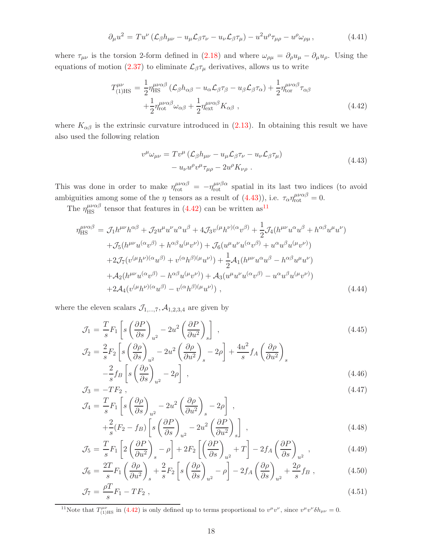$$
\partial_{\mu}u^{2} = Tu^{\nu}\left(\mathcal{L}_{\beta}h_{\mu\nu} - u_{\mu}\mathcal{L}_{\beta}\tau_{\nu} - u_{\nu}\mathcal{L}_{\beta}\tau_{\mu}\right) - u^{2}u^{\rho}\tau_{\mu\rho} - u^{\rho}\omega_{\rho\mu},\tag{4.41}
$$

where  $\tau_{\mu\nu}$  is the torsion 2-form defined in [\(2.18\)](#page-8-4) and where  $\omega_{\rho\mu} = \partial_{\rho}u_{\mu} - \partial_{\mu}u_{\rho}$ . Using the equations of motion [\(2.37\)](#page-10-2) to eliminate  $\mathcal{L}_{\beta}\tau_{\mu}$  derivatives, allows us to write

<span id="page-19-1"></span>
$$
T^{\mu\nu}_{(1)HS} = \frac{1}{2} \eta_{HS}^{\mu\nu\alpha\beta} (\mathcal{L}_{\beta} h_{\alpha\beta} - u_{\alpha} \mathcal{L}_{\beta} \tau_{\beta} - u_{\beta} \mathcal{L}_{\beta} \tau_{\alpha}) + \frac{1}{2} \eta_{\text{tor}}^{\mu\nu\alpha\beta} \tau_{\alpha\beta} + \frac{1}{2} \eta_{\text{rot}}^{\mu\nu\alpha\beta} \omega_{\alpha\beta} + \frac{1}{2} \eta_{\text{ext}}^{\mu\nu\alpha\beta} K_{\alpha\beta} ,
$$
\n(4.42)

where  $K_{\alpha\beta}$  is the extrinsic curvature introduced in [\(2.13\)](#page-8-5). In obtaining this result we have also used the following relation

<span id="page-19-0"></span>
$$
v^{\mu}\omega_{\mu\nu} = Tv^{\mu} (\mathcal{L}_{\beta}h_{\mu\nu} - u_{\mu}\mathcal{L}_{\beta}\tau_{\nu} - u_{\nu}\mathcal{L}_{\beta}\tau_{\mu})
$$
  

$$
- u_{\nu}u^{\rho}v^{\mu}\tau_{\mu\rho} - 2u^{\rho}K_{\nu\rho} .
$$
 (4.43)

This was done in order to make  $\eta_{\text{rot}}^{\mu\nu\alpha\beta} = -\eta_{\text{rot}}^{\mu\nu\beta\alpha}$  spatial in its last two indices (to avoid ambiguities among some of the  $\eta$  tensors as a result of [\(4.43\)](#page-19-0)), i.e.  $\tau_{\alpha} \eta_{\text{rot}}^{\mu\nu\alpha\beta} = 0$ .

The  $\eta_{\rm HS}^{\mu\nu\alpha\beta}$  tensor that features in [\(4.42\)](#page-19-1) can be written as<sup>[11](#page-19-2)</sup>

<span id="page-19-3"></span>
$$
\eta_{\rm HS}^{\mu\nu\alpha\beta} = \mathcal{J}_1 h^{\mu\nu} h^{\alpha\beta} + \mathcal{J}_2 u^{\mu} u^{\nu} u^{\alpha} u^{\beta} + 4 \mathcal{J}_3 v^{(\mu} h^{\nu)(\alpha} v^{\beta)} + \frac{1}{2} \mathcal{J}_4 (h^{\mu\nu} u^{\alpha} u^{\beta} + h^{\alpha\beta} u^{\mu} u^{\nu}) \n+ \mathcal{J}_5 (h^{\mu\nu} u^{(\alpha} v^{\beta)} + h^{\alpha\beta} u^{(\mu} v^{\nu)}) + \mathcal{J}_6 (u^{\mu} u^{\nu} u^{(\alpha} v^{\beta)} + u^{\alpha} u^{\beta} u^{(\mu} v^{\nu)}) \n+ 2 \mathcal{J}_7 (v^{(\mu} h^{\nu)(\alpha} u^{\beta)} + v^{(\alpha} h^{\beta)(\mu} u^{\nu)}) + \frac{1}{2} \mathcal{A}_1 (h^{\mu\nu} u^{\alpha} u^{\beta} - h^{\alpha\beta} u^{\mu} u^{\nu}) \n+ \mathcal{A}_2 (h^{\mu\nu} u^{(\alpha} v^{\beta)} - h^{\alpha\beta} u^{(\mu} v^{\nu)}) + \mathcal{A}_3 (u^{\mu} u^{\nu} u^{(\alpha} v^{\beta)} - u^{\alpha} u^{\beta} u^{(\mu} v^{\nu)}) \n+ 2 \mathcal{A}_4 (v^{(\mu} h^{\nu)(\alpha} u^{\beta)} - v^{(\alpha} h^{\beta)(\mu} u^{\nu)}) ,
$$
\n(4.44)

where the eleven scalars  $\mathcal{J}_{1,\dots,7}$ ,  $\mathcal{A}_{1,2,3,4}$  are given by

$$
\mathcal{J}_1 = \frac{T}{s} F_1 \left[ s \left( \frac{\partial P}{\partial s} \right)_{u^2} - 2u^2 \left( \frac{\partial P}{\partial u^2} \right)_s \right],
$$
\n
$$
\mathcal{J}_2 = \frac{2}{s} F_2 \left[ s \left( \frac{\partial \rho}{\partial s} \right)_{u^2} - 2u^2 \left( \frac{\partial \rho}{\partial u^2} \right)_s - 2\rho \right] + \frac{4u^2}{s} f_A \left( \frac{\partial \rho}{\partial u^2} \right)_s
$$
\n(4.45)

$$
-\frac{2}{s}f_B\left[s\left(\frac{\partial\rho}{\partial s}\right)_{u^2}-2\rho\right] \tag{4.46}
$$

$$
\mathcal{J}_3 = -TF_2 \,,\tag{4.47}
$$

$$
\mathcal{J}_4 = \frac{T}{s} F_1 \left[ s \left( \frac{\partial \rho}{\partial s} \right)_{u^2} - 2u^2 \left( \frac{\partial \rho}{\partial u^2} \right)_s - 2\rho \right],
$$
\n
$$
\left[ \frac{2}{\sqrt{5}} \left( \frac{r}{\rho} \right) \right] \left( \frac{\partial P}{\partial u^2} \right)_{u^2} - 2 \left( \frac{\partial P}{\partial u^2} \right) \left( \frac{\partial P}{\partial u^2} \right) \tag{4.48}
$$

$$
+\frac{2}{s}(F_2 - f_B)\left[s\left(\frac{\partial P}{\partial s}\right)_{u^2} - 2u^2\left(\frac{\partial P}{\partial u^2}\right)_s\right],
$$
\n
$$
T = \left(\begin{array}{cc} \langle AP \rangle & 1 \end{array}\right) = \left(\begin{array}{cc} \langle AP \rangle & 1 \end{array}\right) = \left(\begin{array}{cc} \langle AP \rangle & 1 \end{array}\right)
$$
\n
$$
\left(\begin{array}{cc} \langle AP \rangle & 1 \end{array}\right) = \left(\begin{array}{cc} \langle AP \rangle & 1 \end{array}\right) = \left(\begin{array}{cc} \langle AP \rangle & 1 \end{array}\right) = \left(\begin{array}{cc} \langle AP \rangle & 1 \end{array}\right) = \left(\begin{array}{cc} \langle AP \rangle & 1 \end{array}\right) = \left(\begin{array}{cc} \langle AP \rangle & 1 \end{array}\right) = \left(\begin{array}{cc} \langle AP \rangle & 1 \end{array}\right) = \left(\begin{array}{cc} \langle AP \rangle & 1 \end{array}\right) = \left(\begin{array}{cc} \langle AP \rangle & 1 \end{array}\right) = \left(\begin{array}{cc} \langle AP \rangle & 1 \end{array}\right) = \left(\begin{array}{cc} \langle AP \rangle & 1 \end{array}\right) = \left(\begin{array}{cc} \langle AP \rangle & 1 \end{array}\right) = \left(\begin{array}{cc} \langle AP \rangle & 1 \end{array}\right) = \left(\begin{array}{cc} \langle AP \rangle & 1 \end{array}\right) = \left(\begin{array}{cc} \langle AP \rangle & 1 \end{array}\right) = \left(\begin{array}{cc} \langle AP \rangle & 1 \end{array}\right) = \left(\begin{array}{cc} \langle AP \rangle & 1 \end{array}\right) = \left(\begin{array}{cc} \langle AP \rangle & 1 \end{array}\right) = \left(\begin{array}{cc} \langle AP \rangle & 1 \end{array}\right) = \left(\begin{array}{cc} \langle AP \rangle & 1 \end{array}\right) = \left(\begin{array}{cc} \langle AP \rangle & 1 \end{array}\right) = \left(\begin{array}{cc} \langle AP \rangle & 1 \end{array}\right) = \left(\begin{array}{cc} \langle AP \rangle & 1 \end{array}\right) = \left(\begin{array}{cc} \langle AP \rangle & 1 \end{array}\right) = \left(\begin
$$

$$
\mathcal{J}_5 = \frac{T}{s} F_1 \left[ 2 \left( \frac{\partial P}{\partial u^2} \right)_s - \rho \right] + 2F_2 \left[ \left( \frac{\partial P}{\partial s} \right)_{u^2} + T \right] - 2f_A \left( \frac{\partial P}{\partial s} \right)_{u^2},\tag{4.49}
$$

$$
\mathcal{J}_6 = \frac{2T}{s} F_1 \left( \frac{\partial \rho}{\partial u^2} \right)_s + \frac{2}{s} F_2 \left[ s \left( \frac{\partial \rho}{\partial s} \right)_{u^2} - \rho \right] - 2f_A \left( \frac{\partial \rho}{\partial s} \right)_{u^2} + \frac{2\rho}{s} f_B , \qquad (4.50)
$$

$$
\mathcal{J}_7 = \frac{\rho T}{s} F_1 - T F_2 \,,\tag{4.51}
$$

<span id="page-19-2"></span><sup>&</sup>lt;sup>11</sup>Note that  $T^{\mu\nu}_{(1)HS}$  in [\(4.42\)](#page-19-1) is only defined up to terms proportional to  $v^{\mu}v^{\nu}$ , since  $v^{\mu}v^{\nu}\delta h_{\mu\nu}=0$ .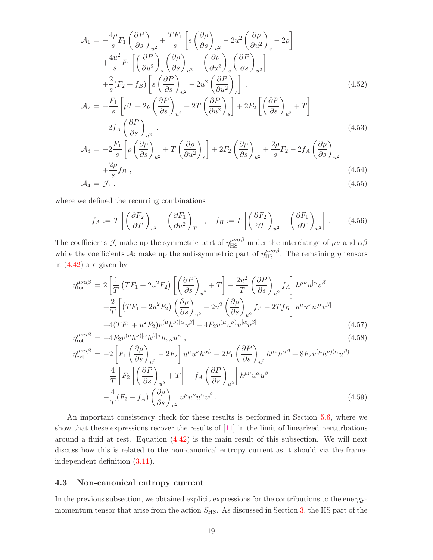$$
\mathcal{A}_{1} = -\frac{4\rho}{s} F_{1} \left( \frac{\partial P}{\partial s} \right)_{u^{2}} + \frac{TF_{1}}{s} \left[ s \left( \frac{\partial \rho}{\partial s} \right)_{u^{2}} - 2u^{2} \left( \frac{\partial \rho}{\partial u^{2}} \right)_{s} - 2\rho \right]
$$
  
\n
$$
+ \frac{4u^{2}}{s} F_{1} \left[ \left( \frac{\partial P}{\partial u^{2}} \right)_{s} \left( \frac{\partial \rho}{\partial s} \right)_{u^{2}} - \left( \frac{\partial \rho}{\partial u^{2}} \right)_{s} \left( \frac{\partial P}{\partial s} \right)_{u^{2}} \right]
$$
  
\n
$$
+ \frac{2}{s} (F_{2} + f_{B}) \left[ s \left( \frac{\partial P}{\partial s} \right)_{u^{2}} - 2u^{2} \left( \frac{\partial P}{\partial u^{2}} \right)_{s} \right],
$$
  
\n
$$
\mathcal{A}_{2} = -\frac{F_{1}}{s} \left[ \rho T + 2\rho \left( \frac{\partial P}{\partial s} \right)_{u^{2}} + 2T \left( \frac{\partial P}{\partial u^{2}} \right)_{s} \right] + 2F_{2} \left[ \left( \frac{\partial P}{\partial s} \right)_{u^{2}} + T \right]
$$
  
\n
$$
-2f_{A} \left( \frac{\partial P}{\partial s} \right)_{u^{2}},
$$
  
\n
$$
F_{1} \left[ \left( \frac{\partial \rho}{\partial \rho} \right)_{u^{2}} - \left( \frac{\partial \rho}{\partial \rho} \right) \right]_{u^{2}} - \left( \frac{\partial \rho}{\partial \rho} \right)_{u^{2}} - 2\rho_{-} \left( \frac{\partial \rho}{\partial \rho} \right)
$$
  
\n(4.53)

$$
\mathcal{A}_3 = -2\frac{F_1}{s} \left[ \rho \left( \frac{\partial \rho}{\partial s} \right)_{u^2} + T \left( \frac{\partial \rho}{\partial u^2} \right)_s \right] + 2F_2 \left( \frac{\partial \rho}{\partial s} \right)_{u^2} + \frac{2\rho}{s} F_2 - 2f_A \left( \frac{\partial \rho}{\partial s} \right)_{u^2} + \frac{2\rho}{s} f_B ,
$$
\n(4.54)

$$
\mathcal{A}_4 = \mathcal{J}_7 \,, \tag{4.55}
$$

where we defined the recurring combinations

$$
f_A := T \left[ \left( \frac{\partial F_2}{\partial T} \right)_{u^2} - \left( \frac{\partial F_1}{\partial u^2} \right)_T \right], \quad f_B := T \left[ \left( \frac{\partial F_2}{\partial T} \right)_{u^2} - \left( \frac{\partial F_1}{\partial T} \right)_{u^2} \right].
$$
 (4.56)

The coefficients  $\mathcal{J}_i$  make up the symmetric part of  $\eta_{\rm HS}^{\mu\nu\alpha\beta}$  under the interchange of  $\mu\nu$  and  $\alpha\beta$ while the coefficients  $A_i$  make up the anti-symmetric part of  $\eta_{\rm HS}^{\mu\nu\alpha\beta}$ . The remaining  $\eta$  tensors in [\(4.42\)](#page-19-1) are given by

$$
\eta_{\text{tor}}^{\mu\nu\alpha\beta} = 2 \left[ \frac{1}{T} \left( T F_1 + 2u^2 F_2 \right) \left[ \left( \frac{\partial P}{\partial s} \right)_{u^2} + T \right] - \frac{2u^2}{T} \left( \frac{\partial P}{\partial s} \right)_{u^2} f_A \right] h^{\mu\nu} u^{[\alpha} v^{\beta]} + \frac{2}{T} \left[ \left( T F_1 + 2u^2 F_2 \right) \left( \frac{\partial \rho}{\partial s} \right)_{u^2} - 2u^2 \left( \frac{\partial \rho}{\partial s} \right)_{u^2} f_A - 2T f_B \right] u^{\mu} u^{\nu} u^{[\alpha} v^{\beta]} + 4(T F_1 + u^2 F_2) v^{(\mu} h^{\nu)[\alpha} u^{\beta]} - 4F_2 v^{(\mu} u^{\nu)} u^{[\alpha} v^{\beta]} \tag{4.57}
$$

$$
\eta_{\rm rot}^{\mu\nu\alpha\beta} = -4F_2 v^{(\mu}h^{\nu)[\alpha}h^{\beta]\sigma}h_{\sigma\kappa}u^{\kappa} \tag{4.58}
$$

$$
\eta_{\text{ext}}^{\mu\nu\alpha\beta} = -2 \left[ F_1 \left( \frac{\partial \rho}{\partial s} \right)_{u^2} - 2F_2 \right] u^{\mu} u^{\nu} h^{\alpha\beta} - 2F_1 \left( \frac{\partial P}{\partial s} \right)_{u^2} h^{\mu\nu} h^{\alpha\beta} + 8F_2 v^{(\mu} h^{\nu)(\alpha} u^{\beta)} - \frac{4}{T} \left[ F_2 \left[ \left( \frac{\partial P}{\partial s} \right)_{u^2} + T \right] - f_A \left( \frac{\partial P}{\partial s} \right)_{u^2} \right] h^{\mu\nu} u^{\alpha} u^{\beta} - \frac{4}{T} (F_2 - f_A) \left( \frac{\partial \rho}{\partial s} \right)_{u^2} u^{\mu} u^{\nu} u^{\alpha} u^{\beta} . \tag{4.59}
$$

An important consistency check for these results is performed in Section [5.6,](#page-34-0) where we show that these expressions recover the results of [\[11\]](#page-42-6) in the limit of linearized perturbations around a fluid at rest. Equation [\(4.42\)](#page-19-1) is the main result of this subsection. We will next discuss how this is related to the non-canonical entropy current as it should via the frameindependent definition [\(3.11\)](#page-12-1).

#### <span id="page-20-0"></span>4.3 Non-canonical entropy current

In the previous subsection, we obtained explicit expressions for the contributions to the energymomentum tensor that arise from the action  $S_{\text{HS}}$ . As discussed in Section [3,](#page-11-0) the HS part of the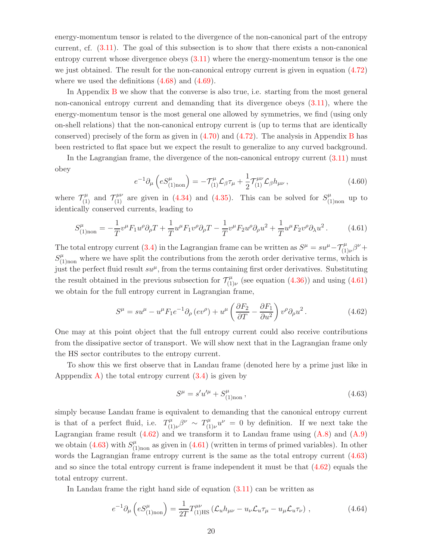energy-momentum tensor is related to the divergence of the non-canonical part of the entropy current, cf. [\(3.11\)](#page-12-1). The goal of this subsection is to show that there exists a non-canonical entropy current whose divergence obeys [\(3.11\)](#page-12-1) where the energy-momentum tensor is the one we just obtained. The result for the non-canonical entropy current is given in equation [\(4.72\)](#page-22-0) where we used the definitions  $(4.68)$  and  $(4.69)$ .

In Appendix [B](#page-39-0) we show that the converse is also true, i.e. starting from the most general non-canonical entropy current and demanding that its divergence obeys [\(3.11\)](#page-12-1), where the energy-momentum tensor is the most general one allowed by symmetries, we find (using only on-shell relations) that the non-canonical entropy current is (up to terms that are identically conserved) precisely of the form as given in [\(4.70\)](#page-22-2) and [\(4.72\)](#page-22-0). The analysis in Appendix [B](#page-39-0) has been restricted to flat space but we expect the result to generalize to any curved background.

<span id="page-21-3"></span>In the Lagrangian frame, the divergence of the non-canonical entropy current [\(3.11\)](#page-12-1) must obey

<span id="page-21-0"></span>
$$
e^{-1}\partial_{\mu}\left(eS_{(1)\text{non}}^{\mu}\right) = -\mathcal{T}_{(1)}^{\mu}\mathcal{L}_{\beta}\tau_{\mu} + \frac{1}{2}\mathcal{T}_{(1)}^{\mu\nu}\mathcal{L}_{\beta}h_{\mu\nu}\,,\tag{4.60}
$$

where  $\mathcal{T}_{(1)}^{\mu}$  and  $\mathcal{T}_{(1)}^{\mu\nu}$  are given in [\(4.34\)](#page-18-0) and [\(4.35\)](#page-18-0). This can be solved for  $S_{(1)_{\text{non}}}^{\mu}$  up to identically conserved currents, leading to

$$
S_{(1) non}^{\mu} = -\frac{1}{T} v^{\mu} F_1 u^{\rho} \partial_{\rho} T + \frac{1}{T} u^{\mu} F_1 v^{\rho} \partial_{\rho} T - \frac{1}{T} v^{\mu} F_2 u^{\rho} \partial_{\rho} u^2 + \frac{1}{T} u^{\mu} F_2 v^{\rho} \partial_{\lambda} u^2.
$$
 (4.61)

The total entropy current [\(3.4\)](#page-11-1) in the Lagrangian frame can be written as  $S^{\mu} = su^{\mu} - \mathcal{T}_{(1)\nu}^{\mu} \beta^{\nu} +$  $S_{(1)_{\text{non}}}^{\mu}$  where we have split the contributions from the zeroth order derivative terms, which is just the perfect fluid result  $su^{\mu}$ , from the terms containing first order derivatives. Substituting the result obtained in the previous subsection for  $\mathcal{T}_{(1)}^{\mu}$  $\zeta_{(1)\nu}^{\mu}$  (see equation  $(4.36)$ ) and using  $(4.61)$ we obtain for the full entropy current in Lagrangian frame,

$$
S^{\mu} = su^{\mu} - u^{\mu} F_1 e^{-1} \partial_{\rho} (e v^{\rho}) + u^{\mu} \left( \frac{\partial F_2}{\partial T} - \frac{\partial F_1}{\partial u^2} \right) v^{\rho} \partial_{\rho} u^2.
$$
 (4.62)

One may at this point object that the full entropy current could also receive contributions from the dissipative sector of transport. We will show next that in the Lagrangian frame only the HS sector contributes to the entropy current.

To show this we first observe that in Landau frame (denoted here by a prime just like in Apppendix [A\)](#page-38-0) the total entropy current  $(3.4)$  is given by

<span id="page-21-4"></span><span id="page-21-2"></span><span id="page-21-1"></span>
$$
S^{\mu} = s'u'^{\mu} + S^{\mu}_{(1)_{\text{non}}}, \qquad (4.63)
$$

simply because Landau frame is equivalent to demanding that the canonical entropy current is that of a perfect fluid, i.e.  $T_{(1)}^{\mu}$  $T^{\mu}_{(1)\nu}\beta^{\nu} \sim T^{\mu}_{(1)}$  $(y_{(1)\nu}^{\mu}u^{\nu})=0$  by definition. If we next take the Lagrangian frame result  $(4.62)$  and we transform it to Landau frame using  $(A.8)$  and  $(A.9)$ we obtain [\(4.63\)](#page-21-2) with  $S^{\mu}_{(1)_{\text{non}}}$  as given in [\(4.61\)](#page-21-0) (written in terms of primed variables). In other words the Lagrangian frame entropy current is the same as the total entropy current [\(4.63\)](#page-21-2) and so since the total entropy current is frame independent it must be that [\(4.62\)](#page-21-1) equals the total entropy current.

In Landau frame the right hand side of equation [\(3.11\)](#page-12-1) can be written as

$$
e^{-1}\partial_{\mu}\left(eS_{(1)\text{non}}^{\mu}\right) = \frac{1}{2T}T_{(1)\text{HS}}^{\mu\nu}\left(\mathcal{L}_{u}h_{\mu\nu} - u_{\nu}\mathcal{L}_{u}\tau_{\mu} - u_{\mu}\mathcal{L}_{u}\tau_{\nu}\right),\tag{4.64}
$$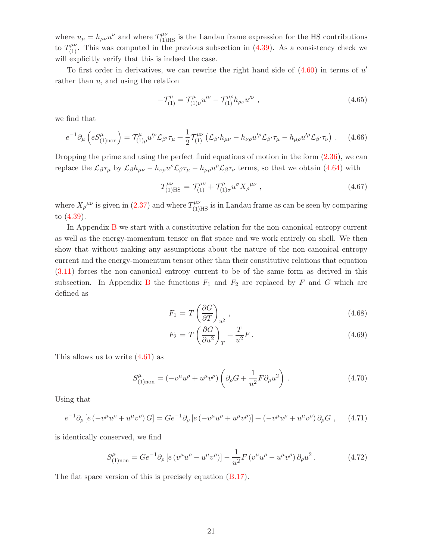where  $u_{\mu} = h_{\mu\nu}u^{\nu}$  and where  $T^{\mu\nu}_{(1)HS}$  is the Landau frame expression for the HS contributions to  $T_{(1)}^{\mu\nu}$ . This was computed in the previous subsection in [\(4.39\)](#page-18-2). As a consistency check we will explicitly verify that this is indeed the case.

To first order in derivatives, we can rewrite the right hand side of  $(4.60)$  in terms of  $u'$ rather than  $u$ , and using the relation

$$
-\mathcal{T}_{(1)}^{\mu} = \mathcal{T}_{(1)\nu}^{\mu} u^{\prime\nu} - \mathcal{T}_{(1)}^{\mu\rho} h_{\rho\nu} u^{\prime\nu} , \qquad (4.65)
$$

we find that

$$
e^{-1}\partial_{\mu}\left(eS_{(1)_{\text{non}}}^{\mu}\right) = \mathcal{T}_{(1)\rho}^{\mu}u^{\prime\rho}\mathcal{L}_{\beta'}\tau_{\mu} + \frac{1}{2}\mathcal{T}_{(1)}^{\mu\nu}\left(\mathcal{L}_{\beta'}h_{\mu\nu} - h_{\nu\rho}u^{\prime\rho}\mathcal{L}_{\beta'}\tau_{\mu} - h_{\mu\rho}u^{\prime\rho}\mathcal{L}_{\beta'}\tau_{\nu}\right). \tag{4.66}
$$

Dropping the prime and using the perfect fluid equations of motion in the form  $(2.36)$ , we can replace the  $\mathcal{L}_{\beta}\tau_{\mu}$  by  $\mathcal{L}_{\beta}h_{\mu\nu} - h_{\nu\rho}u^{\rho}\mathcal{L}_{\beta}\tau_{\mu} - h_{\mu\rho}u^{\rho}\mathcal{L}_{\beta}\tau_{\nu}$  terms, so that we obtain [\(4.64\)](#page-21-4) with

$$
T^{\mu\nu}_{(1)HS} = T^{\mu\nu}_{(1)} + T^{\rho}_{(1)\sigma} u^{\sigma} X_{\rho}^{\mu\nu} , \qquad (4.67)
$$

where  $X_{\rho}^{\mu\nu}$  is given in [\(2.37\)](#page-10-2) and where  $T^{\mu\nu}_{(1)HS}$  is in Landau frame as can be seen by comparing to [\(4.39\)](#page-18-2).

In Appendix [B](#page-39-0) we start with a constitutive relation for the non-canonical entropy current as well as the energy-momentum tensor on flat space and we work entirely on shell. We then show that without making any assumptions about the nature of the non-canonical entropy current and the energy-momentum tensor other than their constitutive relations that equation [\(3.11\)](#page-12-1) forces the non-canonical entropy current to be of the same form as derived in this subsection. In Appendix [B](#page-39-0) the functions  $F_1$  and  $F_2$  are replaced by F and G which are defined as

<span id="page-22-1"></span>
$$
F_1 = T \left(\frac{\partial G}{\partial T}\right)_{u^2},\tag{4.68}
$$

<span id="page-22-2"></span>
$$
F_2 = T\left(\frac{\partial G}{\partial u^2}\right)_T + \frac{T}{u^2}F\,. \tag{4.69}
$$

This allows us to write [\(4.61\)](#page-21-0) as

$$
S_{(1)_{\text{non}}}^{\mu} = (-v^{\mu}u^{\rho} + u^{\mu}v^{\rho}) \left( \partial_{\rho}G + \frac{1}{u^2}F \partial_{\rho}u^2 \right) . \tag{4.70}
$$

Using that

$$
e^{-1}\partial_{\rho}\left[e(-v^{\mu}u^{\rho}+u^{\mu}v^{\rho})G\right] = Ge^{-1}\partial_{\rho}\left[e(-v^{\mu}u^{\rho}+u^{\mu}v^{\rho})\right] + (-v^{\mu}u^{\rho}+u^{\mu}v^{\rho})\partial_{\rho}G ,\qquad(4.71)
$$

is identically conserved, we find

<span id="page-22-0"></span>
$$
S_{(1)_{\text{non}}}^{\mu} = Ge^{-1}\partial_{\rho} \left[ e \left( v^{\mu}u^{\rho} - u^{\mu}v^{\rho} \right) \right] - \frac{1}{u^2}F \left( v^{\mu}u^{\rho} - u^{\mu}v^{\rho} \right)\partial_{\rho}u^2. \tag{4.72}
$$

The flat space version of this is precisely equation [\(B.17\)](#page-41-1).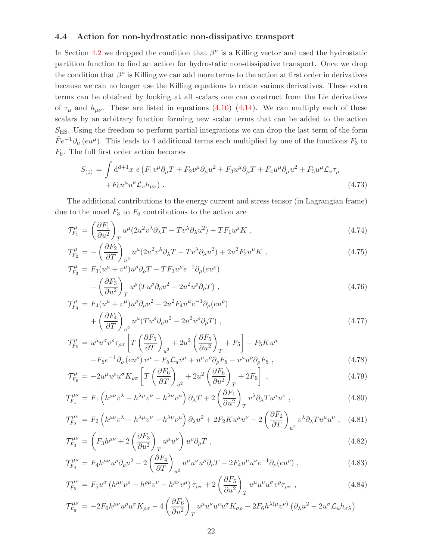#### <span id="page-23-0"></span>4.4 Action for non-hydrostatic non-dissipative transport

In Section [4.2](#page-16-0) we dropped the condition that  $\beta^{\mu}$  is a Killing vector and used the hydrostatic partition function to find an action for hydrostatic non-dissipative transport. Once we drop the condition that  $\beta^{\mu}$  is Killing we can add more terms to the action at first order in derivatives because we can no longer use the Killing equations to relate various derivatives. These extra terms can be obtained by looking at all scalars one can construct from the Lie derivatives of  $\tau_{\mu}$  and  $h_{\mu\nu}$ . These are listed in equations [\(4.10\)](#page-14-2)–[\(4.14\)](#page-14-3). We can multiply each of these scalars by an arbitrary function forming new scalar terms that can be added to the action  $S_{\text{HS}}$ . Using the freedom to perform partial integrations we can drop the last term of the form  $\tilde{F}e^{-1}\partial_{\mu}(eu^{\mu})$ . This leads to 4 additional terms each multiplied by one of the functions  $F_3$  to  $F_6$ . The full first order action becomes

$$
S_{(1)} = \int d^{d+1}x \ e \left( F_1 v^{\mu} \partial_{\mu} T + F_2 v^{\mu} \partial_{\mu} u^2 + F_3 u^{\mu} \partial_{\mu} T + F_4 u^{\mu} \partial_{\mu} u^2 + F_5 u^{\mu} \mathcal{L}_v \tau_{\mu} + F_6 u^{\mu} u^{\nu} \mathcal{L}_v h_{\mu\nu} \right) . \tag{4.73}
$$

The additional contributions to the energy current and stress tensor (in Lagrangian frame) due to the novel  $F_3$  to  $F_6$  contributions to the action are

$$
\mathcal{T}_{F_1}^{\mu} = \left(\frac{\partial F_1}{\partial u^2}\right)_T u^{\mu} (2u^2 v^{\lambda} \partial_{\lambda} T - T v^{\lambda} \partial_{\lambda} u^2) + T F_1 u^{\mu} K , \qquad (4.74)
$$

$$
\mathcal{T}_{F_2}^{\mu} = -\left(\frac{\partial F_2}{\partial T}\right)_{u^2} u^{\mu} (2u^2 v^{\lambda} \partial_{\lambda} T - T v^{\lambda} \partial_{\lambda} u^2) + 2u^2 F_2 u^{\mu} K , \qquad (4.75)
$$

$$
\mathcal{T}^{\mu}_{F_3} = F_3(u^{\mu} + v^{\mu})u^{\rho}\partial_{\rho}T - TF_3u^{\mu}e^{-1}\partial_{\rho}(eu^{\rho})
$$

$$
-\left(\frac{\partial F_3}{\partial u^2}\right)_T u^{\mu}(Tu^{\rho}\partial_{\rho}u^2 - 2u^2u^{\rho}\partial_{\rho}T) , \qquad (4.76)
$$

$$
\mathcal{T}_{F_4}^{\mu} = F_4(u^{\mu} + v^{\mu})u^{\rho}\partial_{\rho}u^2 - 2u^2F_4u^{\mu}e^{-1}\partial_{\rho}(eu^{\rho})
$$
  
+ 
$$
\left(\frac{\partial F_4}{\partial T}\right)_{u^2}u^{\mu}(Tu^{\rho}\partial_{\rho}u^2 - 2u^2u^{\rho}\partial_{\rho}T) ,
$$
 (4.77)

$$
\mathcal{T}_{F_5}^{\mu} = u^{\mu} u^{\sigma} v^{\rho} \tau_{\rho \sigma} \left[ T \left( \frac{\partial F_5}{\partial T} \right)_{u^2} + 2u^2 \left( \frac{\partial F_5}{\partial u^2} \right)_T + F_5 \right] - F_5 K u^{\mu} \n- F_5 e^{-1} \partial_{\rho} (e u^{\rho}) v^{\mu} - F_5 \mathcal{L}_u v^{\mu} + u^{\mu} v^{\rho} \partial_{\rho} F_5 - v^{\mu} u^{\rho} \partial_{\rho} F_5 ,
$$
\n(4.78)

$$
\mathcal{T}_{F_6}^{\mu} = -2u^{\mu}u^{\rho}u^{\sigma}K_{\rho\sigma} \left[ T \left( \frac{\partial F_6}{\partial T} \right)_{u^2} + 2u^2 \left( \frac{\partial F_6}{\partial u^2} \right)_T + 2F_6 \right] , \qquad (4.79)
$$

$$
\mathcal{T}_{F_1}^{\mu\nu} = F_1 \left( h^{\mu\nu} v^\lambda - h^{\lambda\mu} v^\nu - h^{\lambda\nu} v^\mu \right) \partial_\lambda T + 2 \left( \frac{\partial F_1}{\partial u^2} \right)_T v^\lambda \partial_\lambda T u^\mu u^\nu , \qquad (4.80)
$$

$$
\mathcal{T}_{F_2}^{\mu\nu} = F_2 \left( h^{\mu\nu} v^\lambda - h^{\lambda\mu} v^\nu - h^{\lambda\nu} v^\mu \right) \partial_\lambda u^2 + 2F_2 K u^\mu u^\nu - 2 \left( \frac{\partial F_2}{\partial T} \right)_{u^2} v^\lambda \partial_\lambda T u^\mu u^\nu , \quad (4.81)
$$

$$
\mathcal{T}_{F_3}^{\mu\nu} = \left( F_3 h^{\mu\nu} + 2 \left( \frac{\partial F_3}{\partial u^2} \right)_T u^{\mu} u^{\nu} \right) u^{\rho} \partial_{\rho} T , \qquad (4.82)
$$

$$
\mathcal{T}_{F_4}^{\mu\nu} = F_4 h^{\mu\nu} u^{\rho} \partial_{\rho} u^2 - 2 \left( \frac{\partial F_4}{\partial T} \right)_{u^2} u^{\mu} u^{\nu} u^{\rho} \partial_{\rho} T - 2 F_4 u^{\mu} u^{\nu} e^{-1} \partial_{\rho} (e u^{\rho}) , \qquad (4.83)
$$

$$
\mathcal{T}_{F_5}^{\mu\nu} = F_5 u^{\sigma} \left( h^{\mu\nu} v^{\rho} - h^{\rho\mu} v^{\nu} - h^{\rho\nu} v^{\mu} \right) \tau_{\rho\sigma} + 2 \left( \frac{\partial F_5}{\partial u^2} \right)_T u^{\mu} u^{\nu} u^{\sigma} v^{\rho} \tau_{\rho\sigma} , \qquad (4.84)
$$

$$
\mathcal{T}_{F_6}^{\mu\nu} = -2F_6 h^{\mu\nu} u^{\rho} u^{\sigma} K_{\rho\sigma} - 4 \left( \frac{\partial F_6}{\partial u^2} \right)_T u^{\mu} u^{\nu} u^{\rho} u^{\sigma} K_{\sigma\rho} - 2F_6 h^{\lambda(\mu} v^{\nu)} \left( \partial_{\lambda} u^2 - 2u^{\sigma} \mathcal{L}_u h_{\sigma\lambda} \right)
$$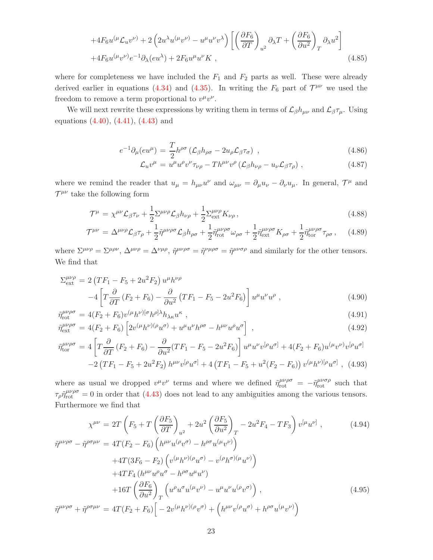$$
+4F_6u^{(\mu}\mathcal{L}_u v^{\nu)} + 2\left(2u^{\lambda}u^{(\mu}v^{\nu)} - u^{\mu}u^{\nu}v^{\lambda}\right)\left[\left(\frac{\partial F_6}{\partial T}\right)_{u^2}\partial_{\lambda}T + \left(\frac{\partial F_6}{\partial u^2}\right)_T\partial_{\lambda}u^2\right] +4F_6u^{(\mu}v^{\nu)}e^{-1}\partial_{\lambda}(eu^{\lambda}) + 2F_6u^{\mu}u^{\nu}K,
$$
\n(4.85)

where for completeness we have included the  $F_1$  and  $F_2$  parts as well. These were already derived earlier in equations [\(4.34\)](#page-18-0) and [\(4.35\)](#page-18-0). In writing the  $F_6$  part of  $\mathcal{T}^{\mu\nu}$  we used the freedom to remove a term proportional to  $v^{\mu}v^{\nu}$ .

We will next rewrite these expressions by writing them in terms of  $\mathcal{L}_{\beta}h_{\mu\nu}$  and  $\mathcal{L}_{\beta}\tau_{\mu}$ . Using equations [\(4.40\)](#page-18-3), [\(4.41\)](#page-18-3), [\(4.43\)](#page-19-0) and

$$
e^{-1}\partial_{\mu}(eu^{\mu}) = \frac{T}{2}h^{\rho\sigma}\left(\mathcal{L}_{\beta}h_{\rho\sigma} - 2u_{\rho}\mathcal{L}_{\beta}\tau_{\sigma}\right) ,\qquad (4.86)
$$

$$
\mathcal{L}_u v^{\mu} = u^{\mu} u^{\rho} v^{\nu} \tau_{\nu \rho} - T h^{\mu \nu} v^{\rho} \left( \mathcal{L}_{\beta} h_{\nu \rho} - u_{\nu} \mathcal{L}_{\beta} \tau_{\rho} \right) , \qquad (4.87)
$$

where we remind the reader that  $u_{\mu} = h_{\mu\nu}u^{\nu}$  and  $\omega_{\mu\nu} = \partial_{\mu}u_{\nu} - \partial_{\nu}u_{\mu}$ . In general,  $\mathcal{T}^{\mu}$  and  $\mathcal{T}^{\mu\nu}$  take the following form

<span id="page-24-0"></span>
$$
\mathcal{T}^{\mu} = \chi^{\mu\nu} \mathcal{L}_{\beta} \tau_{\nu} + \frac{1}{2} \Sigma^{\mu\nu\rho} \mathcal{L}_{\beta} h_{\nu\rho} + \frac{1}{2} \Sigma^{\mu\nu\rho}_{\text{ext}} K_{\nu\rho} , \qquad (4.88)
$$

$$
\mathcal{T}^{\mu\nu} = \Delta^{\mu\nu\rho} \mathcal{L}_{\beta} \tau_{\rho} + \frac{1}{2} \tilde{\eta}^{\mu\nu\rho\sigma} \mathcal{L}_{\beta} h_{\rho\sigma} + \frac{1}{2} \tilde{\eta}^{\mu\nu\rho\sigma}_{\text{rot}} \omega_{\rho\sigma} + \frac{1}{2} \tilde{\eta}^{\mu\nu\rho\sigma}_{\text{ext}} K_{\rho\sigma} + \frac{1}{2} \tilde{\eta}^{\mu\nu\rho\sigma}_{\text{tor}} \tau_{\rho\sigma} ,\qquad(4.89)
$$

where  $\Sigma^{\mu\nu\rho} = \Sigma^{\mu\rho\nu}$ ,  $\Delta^{\mu\nu\rho} = \Delta^{\nu\mu\rho}$ ,  $\tilde{\eta}^{\mu\nu\rho\sigma} = \tilde{\eta}^{\nu\mu\rho\sigma} = \tilde{\eta}^{\mu\nu\sigma\rho}$  and similarly for the other tensors. We find that

$$
\Sigma_{\text{ext}}^{\mu\nu\rho} = 2\left(TF_1 - F_5 + 2u^2F_2\right)u^{\mu}h^{\nu\rho} \n-4\left[T\frac{\partial}{\partial T}\left(F_2 + F_6\right) - \frac{\partial}{\partial u^2}\left(TF_1 - F_5 - 2u^2F_6\right)\right]u^{\mu}u^{\nu}u^{\rho} ,
$$
\n(4.90)

$$
\tilde{\eta}_{\text{rot}}^{\mu\nu\rho\sigma} = 4(F_2 + F_6)v^{(\mu}h^{\nu)[\sigma}h^{\rho]\lambda}h_{\lambda\kappa}u^{\kappa},\tag{4.91}
$$

$$
\tilde{\eta}_{\text{ext}}^{\mu\nu\rho\sigma} = 4(F_2 + F_6) \left[ 2v^{(\mu}h^{\nu)(\rho}u^{\sigma)} + u^{\mu}u^{\nu}h^{\rho\sigma} - h^{\mu\nu}u^{\rho}u^{\sigma} \right] ,\qquad(4.92)
$$

$$
\tilde{\eta}_{\text{tor}}^{\mu\nu\rho\sigma} = 4 \left[ T \frac{\partial}{\partial T} \left( F_2 + F_6 \right) - \frac{\partial}{\partial u^2} (TF_1 - F_5 - 2u^2 F_6) \right] u^{\mu} u^{\nu} v^{[\rho} u^{\sigma]} + 4(F_2 + F_6) u^{(\mu} v^{\nu)} v^{[\rho} u^{\sigma]} - 2 \left( TF_1 - F_5 + 2u^2 F_2 \right) h^{\mu\nu} v^{[\rho} u^{\sigma]} + 4 \left( TF_1 - F_5 + u^2 (F_2 - F_6) \right) v^{(\mu} h^{\nu)}^{[\rho} u^{\sigma]} , \tag{4.93}
$$

where as usual we dropped  $v^{\mu}v^{\nu}$  terms and where we defined  $\tilde{\eta}^{\mu\nu\rho\sigma}_{\text{rot}} = -\tilde{\eta}^{\mu\nu\sigma\rho}_{\text{rot}}$  such that  $\tau_\rho \tilde{\eta}^{\mu\nu\rho\sigma}_{\rm rot} = 0$  in order that [\(4.43\)](#page-19-0) does not lead to any ambiguities among the various tensors. Furthermore we find that

$$
\chi^{\mu\nu} = 2T \left( F_5 + T \left( \frac{\partial F_5}{\partial T} \right)_{u^2} + 2u^2 \left( \frac{\partial F_5}{\partial u^2} \right)_T - 2u^2 F_4 - TF_3 \right) v^{[\mu} u^{\nu]}, \qquad (4.94)
$$
  

$$
\tilde{\eta}^{\mu\nu\rho\sigma} - \tilde{\eta}^{\rho\sigma\mu\nu} = 4T (F_2 - F_6) \left( h^{\mu\nu} u^{(\rho} v^{\sigma)} - h^{\rho\sigma} u^{(\mu} v^{\nu)} \right)
$$

$$
+ 4T (3F_6 - F_2) \left( v^{(\mu} h^{\nu)(\rho} u^{\sigma)} - v^{(\rho} h^{\sigma)(\mu} u^{\nu)} \right)
$$

$$
+ 4TF_4 \left( h^{\mu\nu} u^{\rho} u^{\sigma} - h^{\rho\sigma} u^{\mu} u^{\nu} \right)
$$

$$
+ 16T \left( \frac{\partial F_6}{\partial u^2} \right)_T \left( u^{\rho} u^{\sigma} u^{(\mu} v^{\nu)} - u^{\mu} u^{\nu} u^{(\rho} v^{\sigma)} \right), \qquad (4.95)
$$

$$
\tilde{\eta}^{\mu\nu\rho\sigma} + \tilde{\eta}^{\rho\sigma\mu\nu} = 4T (F_2 + F_6) \left[ -2v^{(\mu} h^{\nu)(\rho} v^{\sigma)} + \left( h^{\mu\nu} v^{(\rho} u^{\sigma)} + h^{\rho\sigma} u^{(\mu} v^{\nu)} \right) \right]
$$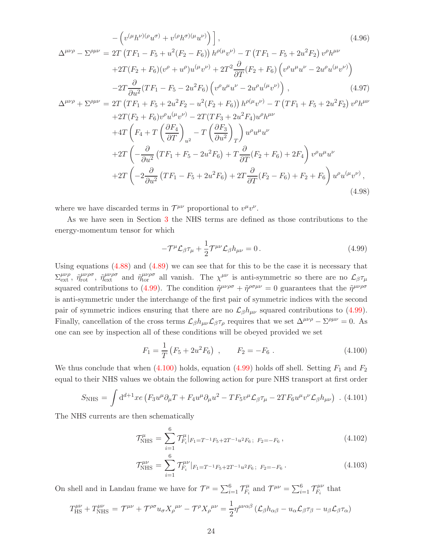$$
-\left(v^{(\mu}h^{\nu)(\rho}u^{\sigma}) + v^{(\rho}h^{\sigma)(\mu}u^{\nu)}\right),
$$
\n
$$
\Delta^{\mu\nu\rho} - \Sigma^{\rho\mu\nu} = 2T\left(TF_1 - F_5 + u^2(F_2 - F_6)\right)h^{\rho(\mu}v^{\nu)} - T\left(TF_1 - F_5 + 2u^2F_2\right)v^{\rho}h^{\mu\nu}
$$
\n
$$
+ 2T(F_2 + F_6)(v^{\rho} + u^{\rho})u^{(\mu}v^{\nu)} + 2T^2\frac{\partial}{\partial T}(F_2 + F_6)\left(v^{\rho}u^{\mu}u^{\nu} - 2u^{\rho}u^{(\mu}v^{\nu)}\right)
$$
\n
$$
-2T\frac{\partial}{\partial u^2}(TF_1 - F_5 - 2u^2F_6)\left(v^{\rho}u^{\mu}u^{\nu} - 2u^{\rho}u^{(\mu}v^{\nu)}\right),
$$
\n
$$
\Delta^{\mu\nu\rho} + \Sigma^{\rho\mu\nu} = 2T\left(TF_1 + F_5 + 2u^2F_2 - u^2(F_2 + F_6)\right)h^{\rho(\mu}v^{\nu)} - T\left(TF_1 + F_5 + 2u^2F_2\right)v^{\rho}h^{\mu\nu}
$$
\n
$$
+ 2T(F_2 + F_6)v^{\rho}u^{(\mu}v^{\nu)} - 2T(TF_3 + 2u^2F_4)u^{\rho}h^{\mu\nu}
$$
\n
$$
+ 4T\left(F_4 + T\left(\frac{\partial F_4}{\partial T}\right)_{u^2} - T\left(\frac{\partial F_3}{\partial u^2}\right)_{T}\right)u^{\rho}u^{\mu}u^{\nu}
$$
\n
$$
+ 2T\left(-\frac{\partial}{\partial u^2}(TF_1 + F_5 - 2u^2F_6) + T\frac{\partial}{\partial T}(F_2 + F_6) + 2F_4\right)v^{\rho}u^{\mu}u^{\nu}
$$
\n
$$
+ 2T\left(-2\frac{\partial}{\partial u^2}(TF_1 - F_5 + 2u^2F_6) + 2T\frac{\partial}{\partial T}(F_2 - F_6) + F_2 + F_6\right)u^{\rho}u^{\mu}
$$

where we have discarded terms in  $\mathcal{T}^{\mu\nu}$  proportional to  $v^{\mu}v^{\nu}$ .

As we have seen in Section [3](#page-11-0) the NHS terms are defined as those contributions to the energy-momentum tensor for which

<span id="page-25-0"></span>
$$
-\mathcal{T}^{\mu}\mathcal{L}_{\beta}\tau_{\mu} + \frac{1}{2}\mathcal{T}^{\mu\nu}\mathcal{L}_{\beta}h_{\mu\nu} = 0.
$$
 (4.99)

Using equations [\(4.88\)](#page-24-0) and [\(4.89\)](#page-24-0) we can see that for this to be the case it is necessary that  $\Sigma_{\text{ext}}^{\mu\nu\rho}$ ,  $\tilde{\eta}_{\text{rot}}^{\mu\nu\rho\sigma}$ ,  $\tilde{\eta}_{\text{tor}}^{\mu\nu\rho\sigma}$  all vanish. The  $\chi^{\mu\nu}$  is anti-symmetric so there are no  $\mathcal{L}_{\beta}\tau_{\mu}$ squared contributions to [\(4.99\)](#page-25-0). The condition  $\tilde{\eta}^{\mu\nu\rho\sigma} + \tilde{\eta}^{\rho\sigma\mu\nu} = 0$  guarantees that the  $\tilde{\eta}^{\mu\nu\rho\sigma}$ is anti-symmetric under the interchange of the first pair of symmetric indices with the second pair of symmetric indices ensuring that there are no  $\mathcal{L}_{\beta}h_{\mu\nu}$  squared contributions to [\(4.99\)](#page-25-0). Finally, cancellation of the cross terms  $\mathcal{L}_{\beta} h_{\mu\nu} \mathcal{L}_{\beta} \tau_{\rho}$  requires that we set  $\Delta^{\mu\nu\rho} - \Sigma^{\rho\mu\nu} = 0$ . As one can see by inspection all of these conditions will be obeyed provided we set

<span id="page-25-1"></span>
$$
F_1 = \frac{1}{T} \left( F_5 + 2u^2 F_6 \right) , \qquad F_2 = -F_6 . \tag{4.100}
$$

We thus conclude that when  $(4.100)$  holds, equation  $(4.99)$  holds off shell. Setting  $F_1$  and  $F_2$ equal to their NHS values we obtain the following action for pure NHS transport at first order

<span id="page-25-3"></span>
$$
S_{\text{NHS}} = \int d^{d+1}x e \left( F_3 u^{\mu} \partial_{\mu} T + F_4 u^{\mu} \partial_{\mu} u^2 - T F_5 v^{\mu} \mathcal{L}_{\beta} \tau_{\mu} - 2 T F_6 u^{\mu} v^{\nu} \mathcal{L}_{\beta} h_{\mu \nu} \right) .
$$
 (4.101)

The NHS currents are then schematically

$$
\mathcal{T}^{\mu}_{\text{NHS}} = \sum_{i=1}^{6} \mathcal{T}^{\mu}_{F_i}|_{F_1 = T^{-1}F_5 + 2T^{-1}u^2F_6}; \ F_2 = -F_6 \,, \tag{4.102}
$$

$$
\mathcal{T}^{\mu\nu}_{\text{NHS}} = \sum_{i=1}^{6} \mathcal{T}^{\mu\nu}_{F_i}|_{F_1 = T^{-1}F_5 + 2T^{-1}u^2F_6}; \ F_2 = -F_6 \,. \tag{4.103}
$$

On shell and in Landau frame we have for  $\mathcal{T}^{\mu} = \sum_{i=1}^{6} \mathcal{T}^{\mu}_{F_i}$  $\mathcal{T}^{\mu}_{F_i}$  and  $\mathcal{T}^{\mu\nu} = \sum_{i=1}^6 \mathcal{T}^{\mu\nu}_{F_i}$  $T_i^{\mu\nu}$  that

<span id="page-25-2"></span>
$$
T^{\mu\nu}_{\text{HS}} + T^{\mu\nu}_{\text{NHS}} = \mathcal{T}^{\mu\nu} + \mathcal{T}^{\rho\sigma} u_{\sigma} X_{\rho}^{\mu\nu} - \mathcal{T}^{\rho} X_{\rho}^{\mu\nu} = \frac{1}{2} \eta^{\mu\nu\alpha\beta} \left( \mathcal{L}_{\beta} h_{\alpha\beta} - u_{\alpha} \mathcal{L}_{\beta} \tau_{\beta} - u_{\beta} \mathcal{L}_{\beta} \tau_{\alpha} \right)
$$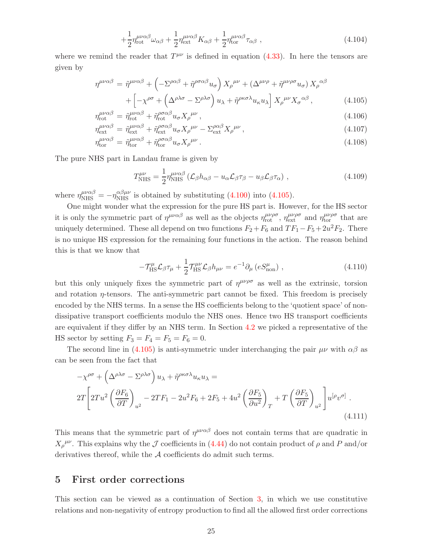$$
+\frac{1}{2}\eta_{\text{rot}}^{\mu\nu\alpha\beta}\omega_{\alpha\beta} + \frac{1}{2}\eta_{\text{ext}}^{\mu\nu\alpha\beta}K_{\alpha\beta} + \frac{1}{2}\eta_{\text{tor}}^{\mu\nu\alpha\beta}\tau_{\alpha\beta} , \qquad (4.104)
$$

where we remind the reader that  $T^{\mu\nu}$  is defined in equation [\(4.33\)](#page-17-1). In here the tensors are given by

<span id="page-26-1"></span>
$$
\eta^{\mu\nu\alpha\beta} = \tilde{\eta}^{\mu\nu\alpha\beta} + \left( -\Sigma^{\rho\alpha\beta} + \tilde{\eta}^{\rho\sigma\alpha\beta} u_{\sigma} \right) X_{\rho}^{\mu\nu} + \left( \Delta^{\mu\nu\rho} + \tilde{\eta}^{\mu\nu\rho\sigma} u_{\sigma} \right) X_{\rho}^{\alpha\beta} + \left[ -\chi^{\rho\sigma} + \left( \Delta^{\rho\lambda\sigma} - \Sigma^{\rho\lambda\sigma} \right) u_{\lambda} + \tilde{\eta}^{\rho\kappa\sigma\lambda} u_{\kappa} u_{\lambda} \right] X_{\rho}^{\mu\nu} X_{\sigma}^{\alpha\beta} ,
$$
(4.105)

$$
\eta_{\rm rot}^{\mu\nu\alpha\beta} = \tilde{\eta}_{\rm rot}^{\mu\nu\alpha\beta} + \tilde{\eta}_{\rm rot}^{\rho\sigma\alpha\beta} u_{\sigma} X_{\rho}^{\mu\nu},\tag{4.106}
$$

$$
\eta_{\text{ext}}^{\mu\nu\alpha\beta} = \tilde{\eta}_{\text{ext}}^{\mu\nu\alpha\beta} + \tilde{\eta}_{\text{ext}}^{\rho\sigma\alpha\beta} u_{\sigma} X_{\rho}^{\mu\nu} - \Sigma_{\text{ext}}^{\rho\alpha\beta} X_{\rho}^{\mu\nu}, \qquad (4.107)
$$

$$
\eta_{\rm tor}^{\mu\nu\alpha\beta} = \tilde{\eta}_{\rm tor}^{\mu\nu\alpha\beta} + \tilde{\eta}_{\rm tor}^{\rho\sigma\alpha\beta} u_{\sigma} X_{\rho}^{\mu\nu} . \tag{4.108}
$$

The pure NHS part in Landau frame is given by

$$
T_{\text{NHS}}^{\mu\nu} = \frac{1}{2} \eta_{\text{NHS}}^{\mu\nu\alpha\beta} \left( \mathcal{L}_{\beta} h_{\alpha\beta} - u_{\alpha} \mathcal{L}_{\beta} \tau_{\beta} - u_{\beta} \mathcal{L}_{\beta} \tau_{\alpha} \right) , \qquad (4.109)
$$

where  $\eta_{\text{NHS}}^{\mu\nu\alpha\beta} = -\eta_{\text{NHS}}^{\alpha\beta\mu\nu}$  is obtained by substituting [\(4.100\)](#page-25-1) into [\(4.105\)](#page-26-1).

One might wonder what the expression for the pure HS part is. However, for the HS sector it is only the symmetric part of  $\eta^{\mu\nu\alpha\beta}$  as well as the objects  $\eta_{\rm rot}^{\mu\nu\rho\sigma}$ ,  $\eta_{\rm ext}^{\mu\nu\rho\sigma}$  and  $\eta_{\rm tor}^{\mu\nu\rho\sigma}$  that are uniquely determined. These all depend on two functions  $F_2 + F_6$  and  $TF_1 - F_5 + 2u^2F_2$ . There is no unique HS expression for the remaining four functions in the action. The reason behind this is that we know that

$$
-\mathcal{T}^{\mu}_{\text{HS}}\mathcal{L}_{\beta}\tau_{\mu} + \frac{1}{2}\mathcal{T}^{\mu\nu}_{\text{HS}}\mathcal{L}_{\beta}h_{\mu\nu} = e^{-1}\partial_{\mu}\left(eS^{\mu}_{\text{non}}\right) ,\qquad (4.110)
$$

but this only uniquely fixes the symmetric part of  $\eta^{\mu\nu\rho\sigma}$  as well as the extrinsic, torsion and rotation  $\eta$ -tensors. The anti-symmetric part cannot be fixed. This freedom is precisely encoded by the NHS terms. In a sense the HS coefficients belong to the 'quotient space' of nondissipative transport coefficients modulo the NHS ones. Hence two HS transport coefficients are equivalent if they differ by an NHS term. In Section [4.2](#page-16-0) we picked a representative of the HS sector by setting  $F_3 = F_4 = F_5 = F_6 = 0$ .

The second line in [\(4.105\)](#page-26-1) is anti-symmetric under interchanging the pair  $\mu\nu$  with  $\alpha\beta$  as can be seen from the fact that

$$
-\chi^{\rho\sigma} + \left(\Delta^{\rho\lambda\sigma} - \Sigma^{\rho\lambda\sigma}\right)u_{\lambda} + \tilde{\eta}^{\rho\kappa\sigma\lambda}u_{\kappa}u_{\lambda} =
$$
  

$$
2T\left[2Tu^{2}\left(\frac{\partial F_{6}}{\partial T}\right)_{u^{2}} - 2TF_{1} - 2u^{2}F_{6} + 2F_{5} + 4u^{2}\left(\frac{\partial F_{5}}{\partial u^{2}}\right)_{T} + T\left(\frac{\partial F_{5}}{\partial T}\right)_{u^{2}}\right]u^{[\rho}v^{\sigma]}.
$$
\n(4.111)

This means that the symmetric part of  $\eta^{\mu\nu\alpha\beta}$  does not contain terms that are quadratic in  $X_{\rho}{}^{\mu\nu}$ . This explains why the  $\mathcal J$  coefficients in [\(4.44\)](#page-19-3) do not contain product of  $\rho$  and  $P$  and/or derivatives thereof, while the A coefficients do admit such terms.

## <span id="page-26-0"></span>5 First order corrections

This section can be viewed as a continuation of Section [3,](#page-11-0) in which we use constitutive relations and non-negativity of entropy production to find all the allowed first order corrections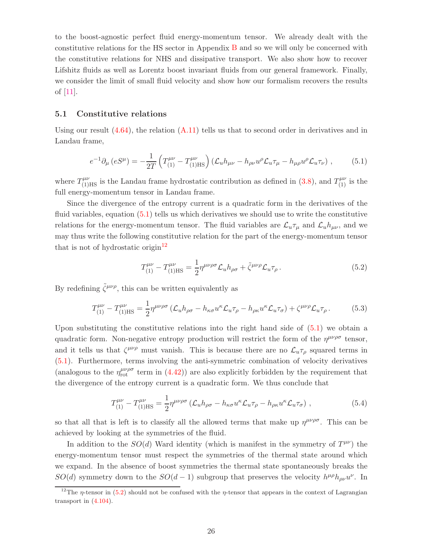to the boost-agnostic perfect fluid energy-momentum tensor. We already dealt with the constitutive relations for the HS sector in Appendix [B](#page-39-0) and so we will only be concerned with the constitutive relations for NHS and dissipative transport. We also show how to recover Lifshitz fluids as well as Lorentz boost invariant fluids from our general framework. Finally, we consider the limit of small fluid velocity and show how our formalism recovers the results of [\[11\]](#page-42-6).

#### <span id="page-27-0"></span>5.1 Constitutive relations

Using our result  $(4.64)$ , the relation  $(A.11)$  tells us that to second order in derivatives and in Landau frame,

<span id="page-27-1"></span>
$$
e^{-1}\partial_{\mu}\left(eS^{\mu}\right) = -\frac{1}{2T}\left(T_{(1)}^{\mu\nu} - T_{(1)\text{HS}}^{\mu\nu}\right)\left(\mathcal{L}_{u}h_{\mu\nu} - h_{\rho\nu}u^{\rho}\mathcal{L}_{u}\tau_{\mu} - h_{\mu\rho}u^{\rho}\mathcal{L}_{u}\tau_{\nu}\right),\tag{5.1}
$$

where  $T^{\mu\nu}_{(1)HS}$  is the Landau frame hydrostatic contribution as defined in [\(3.8\)](#page-12-2), and  $T^{\mu\nu}_{(1)}$  is the full energy-momentum tensor in Landau frame.

Since the divergence of the entropy current is a quadratic form in the derivatives of the fluid variables, equation [\(5.1\)](#page-27-1) tells us which derivatives we should use to write the constitutive relations for the energy-momentum tensor. The fluid variables are  $\mathcal{L}_u \tau_\mu$  and  $\mathcal{L}_u h_{\mu\nu}$ , and we may thus write the following constitutive relation for the part of the energy-momentum tensor that is not of hydrostatic origin<sup>[12](#page-27-2)</sup>

<span id="page-27-3"></span>
$$
T_{(1)}^{\mu\nu} - T_{(1)\text{HS}}^{\mu\nu} = \frac{1}{2} \eta^{\mu\nu\rho\sigma} \mathcal{L}_u h_{\rho\sigma} + \tilde{\zeta}^{\mu\nu\rho} \mathcal{L}_u \tau_\rho \,. \tag{5.2}
$$

By redefining  $\tilde{\zeta}^{\mu\nu\rho}$ , this can be written equivalently as

$$
T_{(1)}^{\mu\nu} - T_{(1)\text{HS}}^{\mu\nu} = \frac{1}{2} \eta^{\mu\nu\rho\sigma} \left( \mathcal{L}_u h_{\rho\sigma} - h_{\kappa\sigma} u^{\kappa} \mathcal{L}_u \tau_\rho - h_{\rho\kappa} u^{\kappa} \mathcal{L}_u \tau_\sigma \right) + \zeta^{\mu\nu\rho} \mathcal{L}_u \tau_\rho \,. \tag{5.3}
$$

Upon substituting the constitutive relations into the right hand side of  $(5.1)$  we obtain a quadratic form. Non-negative entropy production will restrict the form of the  $\eta^{\mu\nu\rho\sigma}$  tensor, and it tells us that  $\zeta^{\mu\nu\rho}$  must vanish. This is because there are no  $\mathcal{L}_u \tau_\rho$  squared terms in [\(5.1\)](#page-27-1). Furthermore, terms involving the anti-symmetric combination of velocity derivatives (analogous to the  $\eta_{\rm rot}^{\mu\nu\rho\sigma}$  term in [\(4.42\)](#page-19-1)) are also explicitly forbidden by the requirement that the divergence of the entropy current is a quadratic form. We thus conclude that

<span id="page-27-4"></span>
$$
T_{(1)}^{\mu\nu} - T_{(1)\text{HS}}^{\mu\nu} = \frac{1}{2} \eta^{\mu\nu\rho\sigma} \left( \mathcal{L}_u h_{\rho\sigma} - h_{\kappa\sigma} u^{\kappa} \mathcal{L}_u \tau_\rho - h_{\rho\kappa} u^{\kappa} \mathcal{L}_u \tau_\sigma \right) , \qquad (5.4)
$$

so that all that is left is to classify all the allowed terms that make up  $\eta^{\mu\nu\rho\sigma}$ . This can be achieved by looking at the symmetries of the fluid.

In addition to the  $SO(d)$  Ward identity (which is manifest in the symmetry of  $T^{\mu\nu}$ ) the energy-momentum tensor must respect the symmetries of the thermal state around which we expand. In the absence of boost symmetries the thermal state spontaneously breaks the  $SO(d)$  symmetry down to the  $SO(d-1)$  subgroup that preserves the velocity  $h^{\mu\rho}h_{\rho\nu}u^{\nu}$ . In

<span id="page-27-2"></span><sup>&</sup>lt;sup>12</sup>The *η*-tensor in [\(5.2\)](#page-27-3) should not be confused with the *η*-tensor that appears in the context of Lagrangian transport in [\(4.104\)](#page-25-2).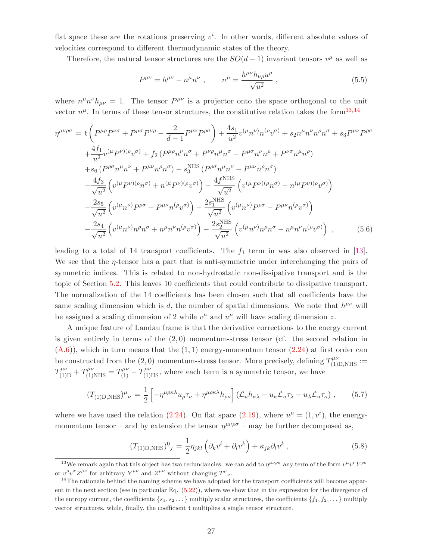flat space these are the rotations preserving  $v^i$ . In other words, different absolute values of velocities correspond to different thermodynamic states of the theory.

Therefore, the natural tensor structures are the  $SO(d-1)$  invariant tensors  $v^{\mu}$  as well as

<span id="page-28-2"></span>
$$
P^{\mu\nu} = h^{\mu\nu} - n^{\mu}n^{\nu} , \qquad n^{\mu} = \frac{h^{\mu\nu}h_{\nu\rho}u^{\rho}}{\sqrt{u^2}} , \qquad (5.5)
$$

where  $n^{\mu}n^{\nu}h_{\mu\nu} = 1$ . The tensor  $P^{\mu\nu}$  is a projector onto the space orthogonal to the unit vector  $n^{\mu}$ . In terms of these tensor structures, the constitutive relation takes the form<sup>[13](#page-28-0),[14](#page-28-1)</sup>

<span id="page-28-4"></span>
$$
\eta^{\mu\nu\rho\sigma} = t \left( P^{\mu\rho} P^{\nu\sigma} + P^{\mu\sigma} P^{\nu\rho} - \frac{2}{d-1} P^{\mu\nu} P^{\rho\sigma} \right) + \frac{4s_1}{u^2} v^{(\mu} n^{\nu)} n^{(\rho} v^{\sigma)} + s_2 n^{\mu} n^{\nu} n^{\rho} n^{\sigma} + s_3 P^{\mu\nu} P^{\rho\sigma} \n+ \frac{4f_1}{u^2} v^{(\mu} P^{\nu)(\rho} v^{\sigma)} + f_2 (P^{\mu\rho} n^{\nu} n^{\sigma} + P^{\nu\rho} n^{\mu} n^{\sigma} + P^{\mu\sigma} n^{\nu} n^{\rho} + P^{\nu\sigma} n^{\mu} n^{\rho}) \n+ s_6 (P^{\rho\sigma} n^{\mu} n^{\nu} + P^{\mu\nu} n^{\rho} n^{\sigma}) - s_3^{\text{NHS}} (P^{\rho\sigma} n^{\mu} n^{\nu} - P^{\mu\nu} n^{\rho} n^{\sigma}) \n- \frac{4f_3}{\sqrt{u^2}} \left( v^{(\mu} P^{\nu)(\rho} n^{\sigma)} + n^{(\mu} P^{\nu)(\rho} v^{\sigma)} \right) - \frac{4f^{\text{NHS}}}{\sqrt{u^2}} \left( v^{(\mu} P^{\nu)(\rho} n^{\sigma)} - n^{(\mu} P^{\nu)(\rho} v^{\sigma)} \right) \n- \frac{2s_5}{\sqrt{u^2}} \left( v^{(\mu} n^{\nu)} P^{\rho\sigma} + P^{\mu\nu} n^{(\rho} v^{\sigma)} \right) - \frac{2s_1^{\text{NHS}}}{\sqrt{u^2}} \left( v^{(\mu} n^{\nu)} P^{\rho\sigma} - P^{\mu\nu} n^{(\rho} v^{\sigma)} \right) \n- \frac{2s_4}{\sqrt{u^2}} \left( v^{(\mu} n^{\nu)} n^{\rho} n^{\sigma} + n^{\mu} n^{\nu} n^{(\rho} v^{\sigma)} \right) - \frac{2s_2^{\text{NHS}}}{\sqrt{u^2}} \left( v^{(\mu} n^{\nu)} n^{\rho} n^{\sigma} - n^{\mu} n^{\nu} n^{(\rho} v^{\sigma)} \right) , \qquad (5.6)
$$

leading to a total of 14 transport coefficients. The  $f_1$  term in was also observed in [\[13\]](#page-42-10). We see that the  $\eta$ -tensor has a part that is anti-symmetric under interchanging the pairs of symmetric indices. This is related to non-hydrostatic non-dissipative transport and is the topic of Section [5.2.](#page-29-0) This leaves 10 coefficients that could contribute to dissipative transport. The normalization of the 14 coefficients has been chosen such that all coefficients have the same scaling dimension which is d, the number of spatial dimensions. We note that  $h^{\mu\nu}$  will be assigned a scaling dimension of 2 while  $v^{\mu}$  and  $u^{\mu}$  will have scaling dimension z.

A unique feature of Landau frame is that the derivative corrections to the energy current is given entirely in terms of the  $(2,0)$  momentum-stress tensor (cf. the second relation in  $(A.6)$ , which in turn means that the  $(1, 1)$  energy-momentum tensor  $(2.24)$  at first order can be constructed from the (2,0) momentum-stress tensor. More precisely, defining  $T^{\mu\nu}_{(1)D,NHS}$  :=  $T^{\mu\nu}_{(1)\text{D}}+T^{\mu\nu}_{(1)\text{NHS}}=T^{\mu\nu}_{(1)}-T^{\mu\nu}_{(1)\text{HS}}$ , where each term is a symmetric tensor, we have

<span id="page-28-3"></span>
$$
(T_{(1)D,\text{NHS}})^{\mu}{}_{\nu} = \frac{1}{2} \left[ -\eta^{\mu\rho\kappa\lambda} u_{\rho}\tau_{\nu} + \eta^{\mu\rho\kappa\lambda} h_{\rho\nu} \right] (\mathcal{L}_{u}h_{\kappa\lambda} - u_{\kappa}\mathcal{L}_{u}\tau_{\lambda} - u_{\lambda}\mathcal{L}_{u}\tau_{\kappa}), \quad (5.7)
$$

where we have used the relation [\(2.24\)](#page-9-6). On flat space [\(2.19\)](#page-8-2), where  $u^{\mu} = (1, v^{i})$ , the energymomentum tensor – and by extension the tensor  $\eta^{\mu\nu\rho\sigma}$  – may be further decomposed as,

<span id="page-28-5"></span>
$$
(T_{(1)D,\text{NHS}})^0{}_j = \frac{1}{2} \eta_{jkl} \left( \partial_k v^l + \partial_l v^k \right) + \kappa_{jk} \partial_t v^k \,, \tag{5.8}
$$

<span id="page-28-0"></span><sup>&</sup>lt;sup>13</sup>We remark again that this object has two redundancies: we can add to  $\eta^{\mu\nu\rho\sigma}$  any term of the form  $v^{\mu}v^{\nu}Y^{\rho\sigma}$ or  $v^{\rho}v^{\sigma}Z^{\mu\nu}$  for arbitrary  $Y^{\mu\nu}$  and  $Z^{\mu\nu}$  without changing  $T^{\mu}{}_{\nu}$ .

<span id="page-28-1"></span> $14$ The rationale behind the naming scheme we have adopted for the transport coefficients will become apparent in the next section (see in particular Eq. [\(5.22\)](#page-30-1)), where we show that in the expression for the divergence of the entropy current, the coefficients  $\{s_1, s_2, \ldots\}$  multiply scalar structures, the coefficients  $\{f_1, f_2, \ldots\}$  multiply vector structures, while, finally, the coefficient t multiplies a single tensor structure.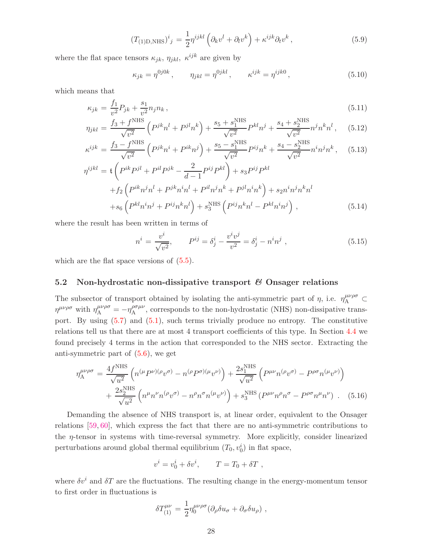$$
(T_{(1)D,\text{NHS}})^i{}_j = \frac{1}{2} \eta^{ijkl} \left( \partial_k v^l + \partial_l v^k \right) + \kappa^{ijk} \partial_t v^k \,, \tag{5.9}
$$

where the flat space tensors  $\kappa_{jk}$ ,  $\eta_{jkl}$ ,  $\kappa^{ijk}$  are given by

<span id="page-29-1"></span>
$$
\kappa_{jk} = \eta^{0j0k}, \qquad \eta_{jkl} = \eta^{0jkl}, \qquad \kappa^{ijk} = \eta^{ijk0}, \qquad (5.10)
$$

which means that

<span id="page-29-2"></span>
$$
\kappa_{jk} = \frac{f_1}{v^2} P_{jk} + \frac{s_1}{v^2} n_j n_k, \tag{5.11}
$$

$$
\eta_{jkl} = \frac{f_3 + f^{\text{NHS}}}{\sqrt{v^2}} \left( P^{jk} n^l + P^{jl} n^k \right) + \frac{s_5 + s_1^{\text{NHS}}}{\sqrt{v^2}} P^{kl} n^j + \frac{s_4 + s_2^{\text{NHS}}}{\sqrt{v^2}} n^j n^k n^l ,\tag{5.12}
$$

$$
\kappa^{ijk} = \frac{f_3 - f^{\text{NHS}}}{\sqrt{v^2}} \left( P^{jk} n^i + P^{ik} n^j \right) + \frac{s_5 - s_1^{\text{NHS}}}{\sqrt{v^2}} P^{ij} n^k + \frac{s_4 - s_2^{\text{NHS}}}{\sqrt{v^2}} n^i n^j n^k, \quad (5.13)
$$

$$
\eta^{ijkl} = t \left( P^{ik} P^{jl} + P^{il} P^{jk} - \frac{2}{d-1} P^{ij} P^{kl} \right) + s_3 P^{ij} P^{kl}
$$
  
+ 
$$
f_2 \left( P^{ik} n^j n^l + P^{jk} n^i n^l + P^{il} n^j n^k + P^{jl} n^i n^k \right) + s_2 n^i n^j n^k n^l
$$
  
+ 
$$
s_6 \left( P^{kl} n^i n^j + P^{ij} n^k n^l \right) + s_3^{\text{NHS}} \left( P^{ij} n^k n^l - P^{kl} n^i n^j \right) , \qquad (5.14)
$$

where the result has been written in terms of

$$
n^{i} = \frac{v^{i}}{\sqrt{v^{2}}}, \qquad P^{ij} = \delta^{i}_{j} - \frac{v^{i}v^{j}}{v^{2}} = \delta^{i}_{j} - n^{i}n^{j} , \qquad (5.15)
$$

<span id="page-29-0"></span>which are the flat space versions of  $(5.5)$ .

#### 5.2 Non-hydrostatic non-dissipative transport  $\mathcal{B}$  Onsager relations

The subsector of transport obtained by isolating the anti-symmetric part of  $\eta$ , i.e.  $\eta_A^{\mu\nu\rho\sigma} \subset$  $\eta^{\mu\nu\rho\sigma}$  with  $\eta_{\rm A}^{\mu\nu\rho\sigma} = -\eta_{\rm A}^{\rho\sigma\mu\nu}$  $A^{\rho\sigma\mu\nu}$ , corresponds to the non-hydrostatic (NHS) non-dissipative transport. By using  $(5.7)$  and  $(5.1)$ , such terms trivially produce no entropy. The constitutive relations tell us that there are at most 4 transport coefficients of this type. In Section [4.4](#page-23-0) we found precisely 4 terms in the action that corresponded to the NHS sector. Extracting the anti-symmetric part of [\(5.6\)](#page-28-4), we get

<span id="page-29-3"></span>
$$
\eta_{A}^{\mu\nu\rho\sigma} = \frac{4f^{NHS}}{\sqrt{u^2}} \left( n^{(\mu} P^{\nu)(\rho} v^{\sigma)} - n^{(\rho} P^{\sigma)(\mu} v^{\nu)} \right) + \frac{2s_1^{NHS}}{\sqrt{u^2}} \left( P^{\mu\nu} n^{(\rho} v^{\sigma)} - P^{\rho\sigma} n^{(\mu} v^{\nu)} \right) + \frac{2s_2^{NHS}}{\sqrt{u^2}} \left( n^{\mu} n^{\nu} n^{(\rho} v^{\sigma)} - n^{\rho} n^{\sigma} n^{(\mu} v^{\nu)} \right) + s_3^{NHS} \left( P^{\mu\nu} n^{\rho} n^{\sigma} - P^{\rho\sigma} n^{\mu} n^{\nu} \right) .
$$
 (5.16)

Demanding the absence of NHS transport is, at linear order, equivalent to the Onsager relations [\[59,](#page-46-0) [60\]](#page-46-1), which express the fact that there are no anti-symmetric contributions to the  $\eta$ -tensor in systems with time-reversal symmetry. More explicitly, consider linearized perturbations around global thermal equilibrium  $(T_0, v_0^i)$  in flat space,

$$
v^i = v_0^i + \delta v^i, \qquad T = T_0 + \delta T ,
$$

where  $\delta v^i$  and  $\delta T$  are the fluctuations. The resulting change in the energy-momentum tensor to first order in fluctuations is

$$
\delta T^{\mu\nu}_{(1)} = \frac{1}{2} \eta_0^{\mu\nu\rho\sigma} (\partial_\rho \delta u_\sigma + \partial_\sigma \delta u_\rho) ,
$$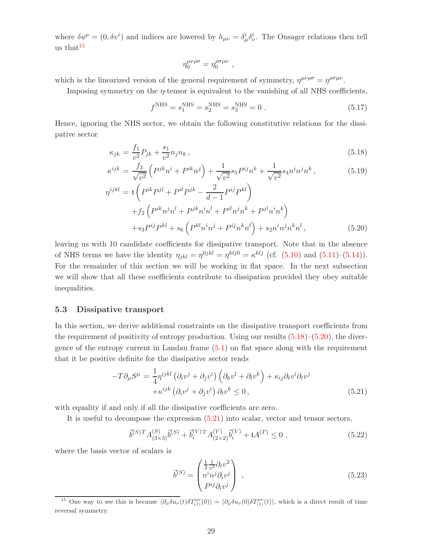where  $\delta u^{\mu} = (0, \delta v^{i})$  and indices are lowered by  $h_{\mu\nu} = \delta^{i}_{\mu} \delta^{i}_{\nu}$ . The Onsager relations then tell us that $15$ 

$$
\eta_0^{\mu\nu\rho\sigma} = \eta_0^{\rho\sigma\mu\nu} \ ,
$$

which is the linearized version of the general requirement of symmetry,  $\eta^{\mu\nu\rho\sigma} = \eta^{\rho\sigma\mu\nu}$ .

Imposing symmetry on the  $\eta$ -tensor is equivalent to the vanishing of all NHS coefficients,

$$
f^{\text{NHS}} = s_1^{\text{NHS}} = s_2^{\text{NHS}} = s_3^{\text{NHS}} = 0.
$$
 (5.17)

Hence, ignoring the NHS sector, we obtain the following constitutive relations for the dissipative sector

<span id="page-30-3"></span>
$$
\kappa_{jk} = \frac{f_1}{v^2} P_{jk} + \frac{s_1}{v^2} n_j n_k \,,\tag{5.18}
$$

$$
\kappa^{ijk} = \frac{f_3}{\sqrt{v^2}} \left( P^{jk} n^i + P^{ik} n^j \right) + \frac{1}{\sqrt{v^2}} s_5 P^{ij} n^k + \frac{1}{\sqrt{v^2}} s_4 n^i n^j n^k, \tag{5.19}
$$

$$
\eta^{ijkl} = \mathfrak{t} \left( P^{ik} P^{jl} + P^{il} P^{jk} - \frac{2}{d-1} P^{ij} P^{kl} \right) \n+ f_2 \left( P^{ik} n^j n^l + P^{jk} n^i n^l + P^{il} n^j n^k + P^{jl} n^i n^k \right) \n+ s_3 P^{ij} P^{kl} + s_6 \left( P^{kl} n^i n^j + P^{ij} n^k n^l \right) + s_2 n^i n^j n^k n^l ,
$$
\n(5.20)

leaving us with 10 candidate coefficients for dissipative transport. Note that in the absence of NHS terms we have the identity  $\eta_{jkl} = \eta^{0jkl} = \eta^{klj} = \kappa^{klj}$  (cf. [\(5.10\)](#page-29-1) and [\(5.11\)](#page-29-2)–[\(5.14\)](#page-29-2)). For the remainder of this section we will be working in flat space. In the next subsection we will show that all these coefficients contribute to dissipation provided they obey suitable inequalities.

#### <span id="page-30-0"></span>5.3 Dissipative transport

In this section, we derive additional constraints on the dissipative transport coefficients from the requirement of positivity of entropy production. Using our results  $(5.18)$ – $(5.20)$ , the divergence of the entropy current in Landau frame  $(5.1)$  on flat space along with the requirement that it be positive definite for the dissipative sector reads

<span id="page-30-4"></span>
$$
-T\partial_{\mu}S^{\mu} = \frac{1}{4}\eta^{ijkl} \left(\partial_{i}v^{j} + \partial_{j}v^{i}\right) \left(\partial_{k}v^{l} + \partial_{l}v^{k}\right) + \kappa_{ij}\partial_{t}v^{i}\partial_{t}v^{j} + \kappa^{ijk} \left(\partial_{i}v^{j} + \partial_{j}v^{i}\right)\partial_{t}v^{k} \leq 0,
$$
\n(5.21)

with equality if and only if all the dissipative coefficients are zero.

It is useful to decompose the expression [\(5.21\)](#page-30-4) into scalar, vector and tensor sectors,

<span id="page-30-1"></span>
$$
\vec{b}^{(S)T} A^{(S)}_{(3\times3)} \vec{b}^{(S)} + \vec{b}^{(V)}_{i} {T} A^{(V)}_{(2\times2)} \vec{b}^{(V)}_{i} + \mathfrak{t} A^{(T)} \le 0 , \qquad (5.22)
$$

where the basis vector of scalars is

$$
\vec{b}^{(S)} = \begin{pmatrix} \frac{1}{2} \frac{1}{v^2} \partial_t v^2 \\ n^i n^j \partial_i v^j \\ P^{ij} \partial_i v^j \end{pmatrix} , \qquad (5.23)
$$

<span id="page-30-2"></span><sup>&</sup>lt;sup>15</sup> One way to see this is because  $\langle \partial_\mu \delta u_\nu(t) \delta T^{\mu\nu}_{(1)}(0) \rangle = \langle \partial_\mu \delta u_\nu(0) \delta T^{\mu\nu}_{(1)}(t) \rangle$ , which is a direct result of time reversal symmetry.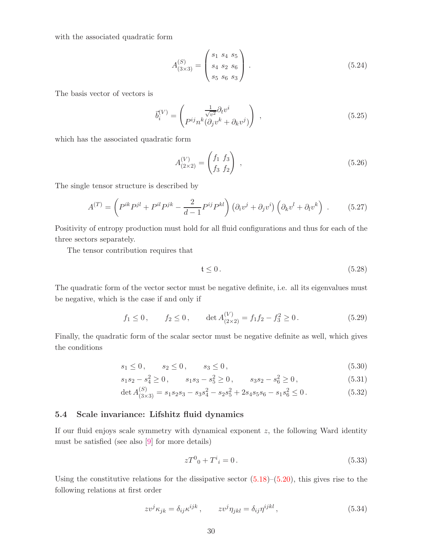with the associated quadratic form

$$
A_{(3\times3)}^{(S)} = \begin{pmatrix} s_1 & s_4 & s_5 \\ s_4 & s_2 & s_6 \\ s_5 & s_6 & s_3 \end{pmatrix} . \tag{5.24}
$$

The basis vector of vectors is

$$
\vec{b}_i^{(V)} = \begin{pmatrix} \frac{1}{\sqrt{v^2}} \partial_t v^i \\ P^{ij} n^k (\partial_j v^k + \partial_k v^j) \end{pmatrix} , \qquad (5.25)
$$

which has the associated quadratic form

$$
A_{(2\times2)}^{(V)} = \begin{pmatrix} f_1 & f_3 \\ f_3 & f_2 \end{pmatrix} , \qquad (5.26)
$$

The single tensor structure is described by

$$
A^{(T)} = \left(P^{ik}P^{jl} + P^{il}P^{jk} - \frac{2}{d-1}P^{ij}P^{kl}\right)\left(\partial_i v^j + \partial_j v^i\right)\left(\partial_k v^l + \partial_l v^k\right) \ . \tag{5.27}
$$

Positivity of entropy production must hold for all fluid configurations and thus for each of the three sectors separately.

The tensor contribution requires that

$$
\mathfrak{t}\leq 0\,. \tag{5.28}
$$

The quadratic form of the vector sector must be negative definite, i.e. all its eigenvalues must be negative, which is the case if and only if

$$
f_1 \le 0
$$
,  $f_2 \le 0$ ,  $\det A_{(2\times 2)}^{(V)} = f_1 f_2 - f_3^2 \ge 0$ . (5.29)

Finally, the quadratic form of the scalar sector must be negative definite as well, which gives the conditions

<span id="page-31-1"></span>
$$
s_1 \le 0, \qquad s_2 \le 0, \qquad s_3 \le 0,\tag{5.30}
$$

$$
s_1 s_2 - s_4^2 \ge 0
$$
,  $s_1 s_3 - s_5^2 \ge 0$ ,  $s_3 s_2 - s_6^2 \ge 0$ , 
$$
(5.31)
$$

$$
\det A_{(3\times3)}^{(S)} = s_1 s_2 s_3 - s_3 s_4^2 - s_2 s_5^2 + 2 s_4 s_5 s_6 - s_1 s_6^2 \le 0.
$$
\n(5.32)

#### <span id="page-31-0"></span>5.4 Scale invariance: Lifshitz fluid dynamics

If our fluid enjoys scale symmetry with dynamical exponent z, the following Ward identity must be satisfied (see also [\[9\]](#page-42-4) for more details)

$$
zT^0{}_0 + T^i{}_i = 0. \t\t(5.33)
$$

Using the constitutive relations for the dissipative sector  $(5.18)$ – $(5.20)$ , this gives rise to the following relations at first order

$$
zv^j\kappa_{jk} = \delta_{ij}\kappa^{ijk}, \qquad zv^j\eta_{jkl} = \delta_{ij}\eta^{ijkl}, \qquad (5.34)
$$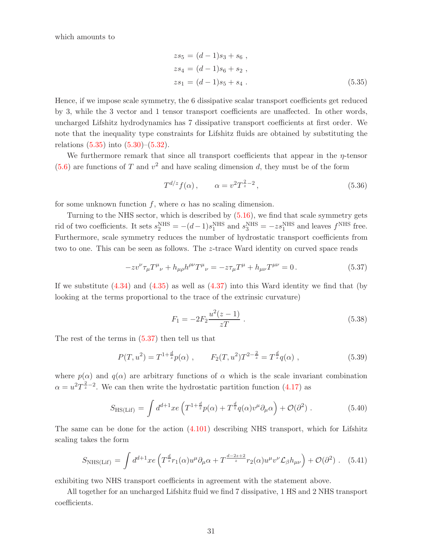which amounts to

<span id="page-32-0"></span>
$$
zs5 = (d-1)s3 + s6,
$$
  
\n
$$
zs4 = (d-1)s6 + s2,
$$
  
\n
$$
zs1 = (d-1)s5 + s4.
$$
\n(5.35)

Hence, if we impose scale symmetry, the 6 dissipative scalar transport coefficients get reduced by 3, while the 3 vector and 1 tensor transport coefficients are unaffected. In other words, uncharged Lifshitz hydrodynamics has 7 dissipative transport coefficients at first order. We note that the inequality type constraints for Lifshitz fluids are obtained by substituting the relations  $(5.35)$  into  $(5.30)$ – $(5.32)$ .

We furthermore remark that since all transport coefficients that appear in the  $\eta$ -tensor  $(5.6)$  are functions of T and  $v^2$  and have scaling dimension d, they must be of the form

$$
T^{d/z} f(\alpha) , \qquad \alpha = v^2 T^{\frac{2}{z} - 2} , \qquad (5.36)
$$

for some unknown function f, where  $\alpha$  has no scaling dimension.

Turning to the NHS sector, which is described by  $(5.16)$ , we find that scale symmetry gets rid of two coefficients. It sets  $s_2^{\text{NHS}} = -(d-1)s_1^{\text{NHS}}$  and  $s_3^{\text{NHS}} = -zs_1^{\text{NHS}}$  and leaves  $f^{\text{NHS}}$  free. Furthermore, scale symmetry reduces the number of hydrostatic transport coefficients from two to one. This can be seen as follows. The z-trace Ward identity on curved space reads

$$
-zv^{\nu}\tau_{\mu}T^{\mu}{}_{\nu} + h_{\mu\rho}h^{\rho\nu}T^{\mu}{}_{\nu} = -z\tau_{\mu}T^{\mu} + h_{\mu\nu}T^{\mu\nu} = 0.
$$
 (5.37)

If we substitute  $(4.34)$  and  $(4.35)$  as well as  $(4.37)$  into this Ward identity we find that (by looking at the terms proportional to the trace of the extrinsic curvature)

<span id="page-32-1"></span>
$$
F_1 = -2F_2 \frac{u^2(z-1)}{zT} \ . \tag{5.38}
$$

The rest of the terms in  $(5.37)$  then tell us that

$$
P(T, u^2) = T^{1 + \frac{d}{z}} p(\alpha) , \qquad F_2(T, u^2) T^{2 - \frac{2}{z}} = T^{\frac{d}{z}} q(\alpha) , \qquad (5.39)
$$

where  $p(\alpha)$  and  $q(\alpha)$  are arbitrary functions of  $\alpha$  which is the scale invariant combination  $\alpha = u^2 T^{\frac{2}{z}-2}$ . We can then write the hydrostatic partition function [\(4.17\)](#page-15-2) as

$$
S_{\text{HS(Lif)}} = \int d^{d+1}x e \left( T^{1 + \frac{d}{z}} p(\alpha) + T^{\frac{d}{z}} q(\alpha) v^{\mu} \partial_{\mu} \alpha \right) + \mathcal{O}(\partial^2) . \tag{5.40}
$$

The same can be done for the action  $(4.101)$  describing NHS transport, which for Lifshitz scaling takes the form

$$
S_{\text{NHS(Lif)}} = \int d^{d+1}x e \left( T^{\frac{d}{z}} r_1(\alpha) u^{\mu} \partial_{\mu} \alpha + T^{\frac{d-2z+2}{z}} r_2(\alpha) u^{\mu} v^{\nu} \mathcal{L}_{\beta} h_{\mu \nu} \right) + \mathcal{O}(\partial^2) \ . \tag{5.41}
$$

exhibiting two NHS transport coefficients in agreement with the statement above.

All together for an uncharged Lifshitz fluid we find 7 dissipative, 1 HS and 2 NHS transport coefficients.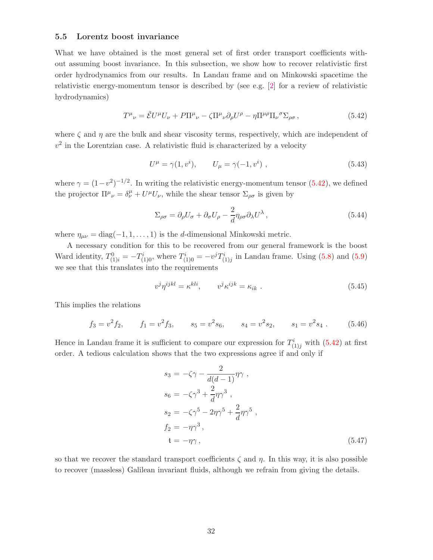#### <span id="page-33-0"></span>5.5 Lorentz boost invariance

What we have obtained is the most general set of first order transport coefficients without assuming boost invariance. In this subsection, we show how to recover relativistic first order hydrodynamics from our results. In Landau frame and on Minkowski spacetime the relativistic energy-momentum tensor is described by (see e.g. [\[2\]](#page-42-1) for a review of relativistic hydrodynamics)

<span id="page-33-1"></span>
$$
T^{\mu}{}_{\nu} = \tilde{\mathcal{E}} U^{\mu} U_{\nu} + P \Pi^{\mu}{}_{\nu} - \zeta \Pi^{\mu}{}_{\nu} \partial_{\rho} U^{\rho} - \eta \Pi^{\mu \rho} \Pi_{\nu}{}^{\sigma} \Sigma_{\rho \sigma} , \qquad (5.42)
$$

where  $\zeta$  and  $\eta$  are the bulk and shear viscosity terms, respectively, which are independent of  $v<sup>2</sup>$  in the Lorentzian case. A relativistic fluid is characterized by a velocity

$$
U^{\mu} = \gamma(1, v^{i}), \qquad U_{\mu} = \gamma(-1, v^{i}), \qquad (5.43)
$$

where  $\gamma = (1 - v^2)^{-1/2}$ . In writing the relativistic energy-momentum tensor [\(5.42\)](#page-33-1), we defined the projector  $\Pi^{\mu}{}_{\nu} = \delta^{\mu}_{\nu} + U^{\mu}U_{\nu}$ , while the shear tensor  $\Sigma_{\rho\sigma}$  is given by

$$
\Sigma_{\rho\sigma} = \partial_{\rho}U_{\sigma} + \partial_{\sigma}U_{\rho} - \frac{2}{d}\eta_{\rho\sigma}\partial_{\lambda}U^{\lambda},\qquad(5.44)
$$

where  $\eta_{\mu\nu} = \text{diag}(-1, 1, \dots, 1)$  is the d-dimensional Minkowski metric.

A necessary condition for this to be recovered from our general framework is the boost Ward identity,  $T_{(1)i}^0 = -T_{(1)0}^i$ , where  $T_{(1)0}^i = -v^j T_{(1)j}^i$  in Landau frame. Using [\(5.8\)](#page-28-5) and [\(5.9\)](#page-28-5) we see that this translates into the requirements

$$
v^j \eta^{ijkl} = \kappa^{kli}, \qquad v^j \kappa^{ijk} = \kappa_{ik} \ . \tag{5.45}
$$

This implies the relations

$$
f_3 = v^2 f_2,
$$
  $f_1 = v^2 f_3,$   $s_5 = v^2 s_6,$   $s_4 = v^2 s_2,$   $s_1 = v^2 s_4.$  (5.46)

Hence in Landau frame it is sufficient to compare our expression for  $T^i_{(1)j}$  with  $(5.42)$  at first order. A tedious calculation shows that the two expressions agree if and only if

$$
s_3 = -\zeta\gamma - \frac{2}{d(d-1)}\eta\gamma ,
$$
  
\n
$$
s_6 = -\zeta\gamma^3 + \frac{2}{d}\eta\gamma^3 ,
$$
  
\n
$$
s_2 = -\zeta\gamma^5 - 2\eta\gamma^5 + \frac{2}{d}\eta\gamma^5 ,
$$
  
\n
$$
f_2 = -\eta\gamma^3 ,
$$
  
\n
$$
t = -\eta\gamma ,
$$
\n(5.47)

so that we recover the standard transport coefficients  $\zeta$  and  $\eta$ . In this way, it is also possible to recover (massless) Galilean invariant fluids, although we refrain from giving the details.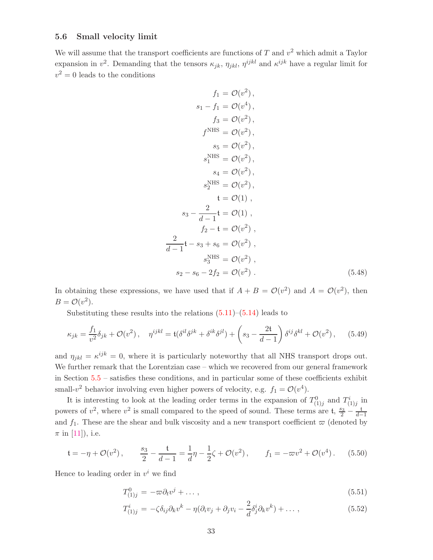#### <span id="page-34-0"></span>5.6 Small velocity limit

We will assume that the transport coefficients are functions of  $T$  and  $v^2$  which admit a Taylor expansion in  $v^2$ . Demanding that the tensors  $\kappa_{jk}$ ,  $\eta_{jkl}$ ,  $\eta^{ijkl}$  and  $\kappa^{ijk}$  have a regular limit for  $v^2 = 0$  leads to the conditions

$$
f_1 = \mathcal{O}(v^2),
$$
  
\n
$$
s_1 - f_1 = \mathcal{O}(v^4),
$$
  
\n
$$
f_3 = \mathcal{O}(v^2),
$$
  
\n
$$
f^{\text{NHS}} = \mathcal{O}(v^2),
$$
  
\n
$$
s_5 = \mathcal{O}(v^2),
$$
  
\n
$$
s_1^{\text{NHS}} = \mathcal{O}(v^2),
$$
  
\n
$$
s_4 = \mathcal{O}(v^2),
$$
  
\n
$$
s_2^{\text{NHS}} = \mathcal{O}(v^2),
$$
  
\n
$$
t = \mathcal{O}(1),
$$
  
\n
$$
s_3 - \frac{2}{d-1}t = \mathcal{O}(1),
$$
  
\n
$$
f_2 - t = \mathcal{O}(v^2),
$$
  
\n
$$
\frac{2}{d-1}t - s_3 + s_6 = \mathcal{O}(v^2),
$$
  
\n
$$
s_3^{\text{NHS}} = \mathcal{O}(v^2),
$$
  
\n
$$
s_2 - s_6 - 2f_2 = \mathcal{O}(v^2).
$$
  
\n(5.48)

In obtaining these expressions, we have used that if  $A + B = \mathcal{O}(v^2)$  and  $A = \mathcal{O}(v^2)$ , then  $B = \mathcal{O}(v^2)$ .

Substituting these results into the relations  $(5.11)$ – $(5.14)$  leads to

<span id="page-34-2"></span>
$$
\kappa_{jk} = \frac{f_1}{v^2} \delta_{jk} + \mathcal{O}(v^2), \quad \eta^{ijkl} = \mathfrak{t}(\delta^{il}\delta^{jk} + \delta^{ik}\delta^{jl}) + \left(s_3 - \frac{2\mathfrak{t}}{d-1}\right)\delta^{ij}\delta^{kl} + \mathcal{O}(v^2), \quad (5.49)
$$

and  $\eta_{jkl} = \kappa^{ijk} = 0$ , where it is particularly noteworthy that all NHS transport drops out. We further remark that the Lorentzian case – which we recovered from our general framework in Section [5.5](#page-33-0) – satisfies these conditions, and in particular some of these coefficients exhibit small- $v^2$  behavior involving even higher powers of velocity, e.g.  $f_1 = \mathcal{O}(v^4)$ .

It is interesting to look at the leading order terms in the expansion of  $T_{(1)j}^0$  and  $T_{(1)j}^i$  in powers of  $v^2$ , where  $v^2$  is small compared to the speed of sound. These terms are t,  $\frac{s_3}{2} - \frac{t}{d-1}$ and  $f_1$ . These are the shear and bulk viscosity and a new transport coefficient  $\varpi$  (denoted by  $\pi$  in [\[11\]](#page-42-6)), i.e.

$$
\mathfrak{t} = -\eta + \mathcal{O}(v^2), \qquad \frac{s_3}{2} - \frac{\mathfrak{t}}{d-1} = \frac{1}{d}\eta - \frac{1}{2}\zeta + \mathcal{O}(v^2), \qquad f_1 = -\varpi v^2 + \mathcal{O}(v^4). \tag{5.50}
$$

Hence to leading order in  $v^i$  we find

<span id="page-34-1"></span>
$$
T_{(1)j}^0 = -\varpi \partial_t v^j + \dots \,, \tag{5.51}
$$

$$
T_{(1)j}^i = -\zeta \delta_{ij} \partial_k v^k - \eta (\partial_i v_j + \partial_j v_i - \frac{2}{d} \delta_j^i \partial_k v^k) + \dots , \qquad (5.52)
$$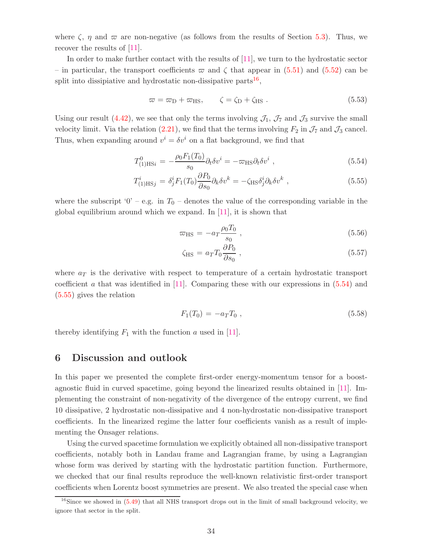where  $\zeta$ ,  $\eta$  and  $\varpi$  are non-negative (as follows from the results of Section [5.3\)](#page-30-0). Thus, we recover the results of [\[11\]](#page-42-6).

In order to make further contact with the results of [\[11\]](#page-42-6), we turn to the hydrostatic sector – in particular, the transport coefficients  $\varpi$  and  $\zeta$  that appear in [\(5.51\)](#page-34-1) and [\(5.52\)](#page-34-1) can be split into dissipiative and hydrostatic non-dissipative parts<sup>[16](#page-35-1)</sup>,

$$
\varpi = \varpi_{\rm D} + \varpi_{\rm HS}, \qquad \zeta = \zeta_{\rm D} + \zeta_{\rm HS} \ . \tag{5.53}
$$

Using our result [\(4.42\)](#page-19-1), we see that only the terms involving  $\mathcal{J}_1$ ,  $\mathcal{J}_7$  and  $\mathcal{J}_3$  survive the small velocity limit. Via the relation [\(2.21\)](#page-9-5), we find that the terms involving  $F_2$  in  $\mathcal{J}_7$  and  $\mathcal{J}_3$  cancel. Thus, when expanding around  $v^i = \delta v^i$  on a flat background, we find that

<span id="page-35-2"></span>
$$
T_{(1)HSi}^{0} = -\frac{\rho_0 F_1(T_0)}{s_0} \partial_t \delta v^i = -\varpi_{HS} \partial_t \delta v^i , \qquad (5.54)
$$

$$
T_{(1)HSj}^i = \delta_j^i F_1(T_0) \frac{\partial P_0}{\partial s_0} \partial_k \delta v^k = -\zeta_{HS} \delta_j^i \partial_k \delta v^k , \qquad (5.55)
$$

where the subscript '0' – e.g. in  $T_0$  – denotes the value of the corresponding variable in the global equilibrium around which we expand. In [\[11\]](#page-42-6), it is shown that

$$
\varpi_{\rm HS} = -a_T \frac{\rho_0 T_0}{s_0} \,, \tag{5.56}
$$

$$
\zeta_{\rm HS} = a_T T_0 \frac{\partial P_0}{\partial s_0} \,,\tag{5.57}
$$

where  $a_T$  is the derivative with respect to temperature of a certain hydrostatic transport coefficient a that was identified in  $[11]$ . Comparing these with our expressions in  $(5.54)$  and [\(5.55\)](#page-35-2) gives the relation

$$
F_1(T_0) = -a_T T_0 , \t\t(5.58)
$$

<span id="page-35-0"></span>thereby identifying  $F_1$  with the function a used in [\[11\]](#page-42-6).

## 6 Discussion and outlook

In this paper we presented the complete first-order energy-momentum tensor for a boostagnostic fluid in curved spacetime, going beyond the linearized results obtained in [\[11\]](#page-42-6). Implementing the constraint of non-negativity of the divergence of the entropy current, we find 10 dissipative, 2 hydrostatic non-dissipative and 4 non-hydrostatic non-dissipative transport coefficients. In the linearized regime the latter four coefficients vanish as a result of implementing the Onsager relations.

Using the curved spacetime formulation we explicitly obtained all non-dissipative transport coefficients, notably both in Landau frame and Lagrangian frame, by using a Lagrangian whose form was derived by starting with the hydrostatic partition function. Furthermore, we checked that our final results reproduce the well-known relativistic first-order transport coefficients when Lorentz boost symmetries are present. We also treated the special case when

<span id="page-35-1"></span> $16$ Since we showed in  $(5.49)$  that all NHS transport drops out in the limit of small background velocity, we ignore that sector in the split.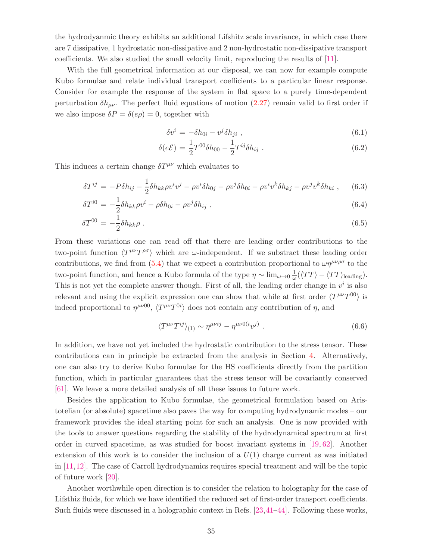the hydrodyanmic theory exhibits an additional Lifshitz scale invariance, in which case there are 7 dissipative, 1 hydrostatic non-dissipative and 2 non-hydrostatic non-dissipative transport coefficients. We also studied the small velocity limit, reproducing the results of [\[11\]](#page-42-6).

With the full geometrical information at our disposal, we can now for example compute Kubo formulae and relate individual transport coefficients to a particular linear response. Consider for example the response of the system in flat space to a purely time-dependent perturbation  $\delta h_{\mu\nu}$ . The perfect fluid equations of motion [\(2.27\)](#page-9-3) remain valid to first order if we also impose  $\delta P = \delta(e\rho) = 0$ , together with

$$
\delta v^i = -\delta h_{0i} - v^j \delta h_{ji} \t{,} \t(6.1)
$$

$$
\delta(e\mathcal{E}) = \frac{1}{2}T^{00}\delta h_{00} - \frac{1}{2}T^{ij}\delta h_{ij} . \tag{6.2}
$$

This induces a certain change  $\delta T^{\mu\nu}$  which evaluates to

$$
\delta T^{ij} = -P\delta h_{ij} - \frac{1}{2}\delta h_{kk}\rho v^i v^j - \rho v^i \delta h_{0j} - \rho v^j \delta h_{0i} - \rho v^i v^k \delta h_{kj} - \rho v^j v^k \delta h_{ki} , \qquad (6.3)
$$

$$
\delta T^{i0} = -\frac{1}{2} \delta h_{kk} \rho v^i - \rho \delta h_{0i} - \rho v^j \delta h_{ij} \tag{6.4}
$$

$$
\delta T^{00} = -\frac{1}{2} \delta h_{kk} \rho \; . \tag{6.5}
$$

From these variations one can read off that there are leading order contributions to the two-point function  $\langle T^{\mu\nu}T^{\rho\sigma} \rangle$  which are  $\omega$ -independent. If we substract these leading order contributions, we find from [\(5.4\)](#page-27-4) that we expect a contribution proportional to  $\omega \eta^{\mu\nu\rho\sigma}$  to the two-point function, and hence a Kubo formula of the type  $\eta \sim \lim_{\omega \to 0} \frac{1}{\omega}$  $\frac{1}{\omega}(\langle TT \rangle - \langle TT \rangle_{\text{leading}}).$ This is not yet the complete answer though. First of all, the leading order change in  $v^i$  is also relevant and using the explicit expression one can show that while at first order  $\langle T^{\mu\nu}T^{00} \rangle$  is indeed proportional to  $\eta^{\mu\nu 00}$ ,  $\langle T^{\mu\nu}T^{0i} \rangle$  does not contain any contribution of  $\eta$ , and

$$
\langle T^{\mu\nu} T^{ij} \rangle_{(1)} \sim \eta^{\mu\nu ij} - \eta^{\mu\nu 0(i} v^{j)} . \tag{6.6}
$$

In addition, we have not yet included the hydrostatic contribution to the stress tensor. These contributions can in principle be extracted from the analysis in Section [4.](#page-13-0) Alternatively, one can also try to derive Kubo formulae for the HS coefficients directly from the partition function, which in particular guarantees that the stress tensor will be covariantly conserved [\[61\]](#page-46-2). We leave a more detailed analysis of all these issues to future work.

Besides the application to Kubo formulae, the geometrical formulation based on Aristotelian (or absolute) spacetime also paves the way for computing hydrodynamic modes – our framework provides the ideal starting point for such an analysis. One is now provided with the tools to answer questions regarding the stability of the hydrodynamical spectrum at first order in curved spacetime, as was studied for boost invariant systems in [\[19,](#page-43-2) [62\]](#page-46-3). Another extension of this work is to consider the inclusion of a  $U(1)$  charge current as was initiated in [\[11,](#page-42-6)[12\]](#page-42-7). The case of Carroll hydrodynamics requires special treatment and will be the topic of future work [\[20\]](#page-43-3).

Another worthwhile open direction is to consider the relation to holography for the case of Lifsthiz fluids, for which we have identified the reduced set of first-order transport coefficients. Such fluids were discussed in a holographic context in Refs. [\[23,](#page-43-12)[41](#page-44-8)[–44\]](#page-44-9). Following these works,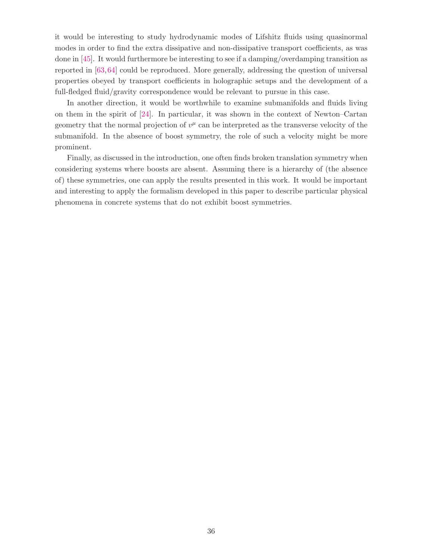it would be interesting to study hydrodynamic modes of Lifshitz fluids using quasinormal modes in order to find the extra dissipative and non-dissipative transport coefficients, as was done in [\[45\]](#page-45-0). It would furthermore be interesting to see if a damping/overdamping transition as reported in [\[63,](#page-46-4)[64\]](#page-46-5) could be reproduced. More generally, addressing the question of universal properties obeyed by transport coefficients in holographic setups and the development of a full-fledged fluid/gravity correspondence would be relevant to pursue in this case.

In another direction, it would be worthwhile to examine submanifolds and fluids living on them in the spirit of [\[24\]](#page-43-5). In particular, it was shown in the context of Newton–Cartan geometry that the normal projection of  $v^{\mu}$  can be interpreted as the transverse velocity of the submanifold. In the absence of boost symmetry, the role of such a velocity might be more prominent.

Finally, as discussed in the introduction, one often finds broken translation symmetry when considering systems where boosts are absent. Assuming there is a hierarchy of (the absence of) these symmetries, one can apply the results presented in this work. It would be important and interesting to apply the formalism developed in this paper to describe particular physical phenomena in concrete systems that do not exhibit boost symmetries.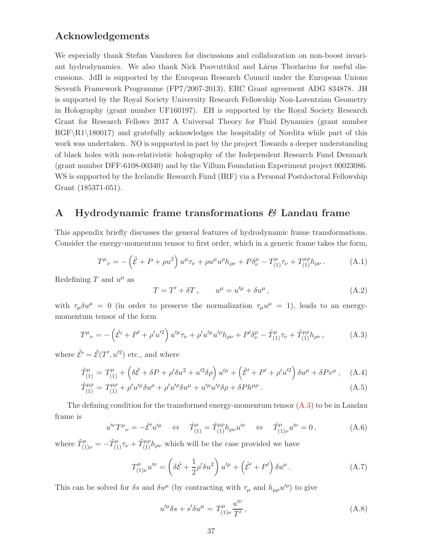## Acknowledgements

We especially thank Stefan Vandoren for discussions and collaboration on non-boost invariant hydrodynamics. We also thank Nick Poovuttikul and Lárus Thorlacius for useful discussions. JdB is supported by the European Research Council under the European Unions Seventh Framework Programme (FP7/2007-2013), ERC Grant agreement ADG 834878. JH is supported by the Royal Society University Research Fellowship Non-Lorentzian Geometry in Holography (grant number UF160197). EH is supported by the Royal Society Research Grant for Research Fellows 2017 A Universal Theory for Fluid Dynamics (grant number  $RGF\R1\180017$  and gratefully acknowledges the hospitality of Nordita while part of this work was undertaken. NO is supported in part by the project Towards a deeper understanding of black holes with non-relativistic holography of the Independent Research Fund Denmark (grant number DFF-6108-00340) and by the Villum Foundation Experiment project 00023086. WS is supported by the Icelandic Research Fund (IRF) via a Personal Postdoctoral Fellowship Grant (185371-051).

## <span id="page-38-0"></span>A Hydrodynamic frame transformations  $\mathcal{B}$  Landau frame

This appendix briefly discusses the general features of hydrodynamic frame transformations. Consider the energy-momentum tensor to first order, which in a generic frame takes the form,

$$
T^{\mu}{}_{\nu} = -\left(\tilde{\mathcal{E}} + P + \rho u^2\right)u^{\mu}\tau_{\nu} + \rho u^{\mu}u^{\rho}h_{\rho\nu} + P\delta^{\mu}_{\nu} - T^{\mu}_{(1)}\tau_{\nu} + T^{\mu\rho}_{(1)}h_{\rho\nu}.
$$
 (A.1)

Redefining T and  $u^{\mu}$  as

<span id="page-38-3"></span>
$$
T = T' + \delta T, \qquad u^{\mu} = u'^{\mu} + \delta u^{\mu}, \qquad (A.2)
$$

with  $\tau_{\mu}\delta u^{\mu} = 0$  (in order to preserve the normalization  $\tau_{\mu}u^{\mu} = 1$ ), leads to an energymomentum tensor of the form

$$
T^{\mu}{}_{\nu} = -\left(\tilde{\mathcal{E}}' + P' + \rho' u'^2\right) u'^{\mu} \tau_{\nu} + \rho' u'^{\mu} u'^{\rho} h_{\rho\nu} + P' \delta^{\mu}_{\nu} - \tilde{T}^{\mu}_{(1)} \tau_{\nu} + \tilde{T}^{\mu\rho}_{(1)} h_{\rho\nu} ,\tag{A.3}
$$

where  $\tilde{\mathcal{E}}' = \tilde{\mathcal{E}}(T', u'^2)$  etc., and where

$$
\tilde{T}_{(1)}^{\mu} = T_{(1)}^{\mu} + \left(\delta\tilde{\mathcal{E}} + \delta P + \rho'\delta u^2 + u'^2\delta\rho\right)u'^{\mu} + \left(\tilde{\mathcal{E}}' + P' + \rho'u'^2\right)\delta u^{\mu} + \delta P v^{\mu}, \quad \text{(A.4)}
$$

$$
\tilde{T}_{(1)}^{\mu\rho} = T_{(1)}^{\mu\rho} + \rho' u'^{\mu} \delta u^{\rho} + \rho' u'^{\rho} \delta u^{\mu} + u'^{\mu} u'^{\rho} \delta \rho + \delta P h^{\mu\rho} \,. \tag{A.5}
$$

The defining condition for the transformed energy-momentum tensor  $(A.3)$  to be in Landau frame is

<span id="page-38-2"></span>
$$
u^{\prime\nu}T^{\mu}{}_{\nu} = -\tilde{\mathcal{E}}'u^{\prime\mu} \quad \Leftrightarrow \quad \tilde{T}^{\mu}_{(1)} = \tilde{T}^{\mu\rho}_{(1)}h_{\rho\nu}u^{\prime\nu} \quad \Leftrightarrow \quad \tilde{T}^{\mu}_{(1)\nu}u^{\prime\nu} = 0, \tag{A.6}
$$

where  $\tilde{T}_{(1)\nu}^{\mu} = -\tilde{T}_{(1)}^{\mu} \tau_{\nu} + \tilde{T}_{(1)}^{\mu} h_{\rho\nu}$  which will be the case provided we have

$$
T^{\mu}_{(1)\nu}u^{\prime\nu} = \left(\delta\tilde{\mathcal{E}} + \frac{1}{2}\rho'\delta u^2\right)u^{\prime\mu} + \left(\tilde{\mathcal{E}}' + P'\right)\delta u^{\mu}.
$$
 (A.7)

This can be solved for  $\delta s$  and  $\delta u^{\mu}$  (by contracting with  $\tau_{\mu}$  and  $h_{\mu\rho}u^{\prime\rho}$ ) to give

<span id="page-38-1"></span>
$$
u^{\prime \mu} \delta s + s^{\prime} \delta u^{\mu} = T_{(1)\nu}^{\mu} \frac{u^{\prime \nu}}{T'}, \qquad (A.8)
$$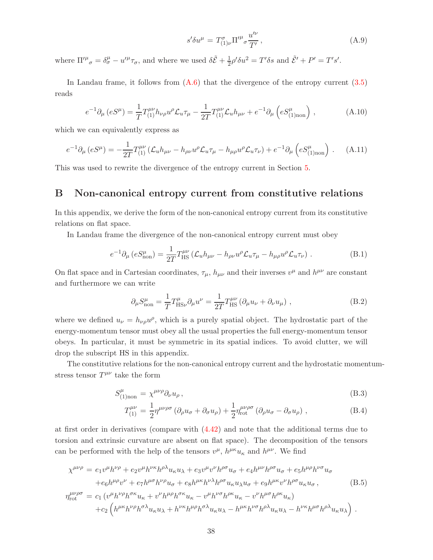<span id="page-39-1"></span>
$$
s'\delta u^{\mu} = T^{\sigma}_{(1)\nu} \Pi'^{\mu}{}_{\sigma} \frac{u'^{\nu}}{T'}, \qquad (A.9)
$$

where  $\Pi^{\prime\mu}_{\sigma} = \delta^{\mu}_{\sigma} - u^{\prime\mu}_{\sigma} \tau_{\sigma}$ , and where we used  $\delta \tilde{\mathcal{E}} + \frac{1}{2} \rho' \delta u^2 = T' \delta s$  and  $\tilde{\mathcal{E}}' + P' = T' s'$ .

In Landau frame, it follows from  $(A.6)$  that the divergence of the entropy current  $(3.5)$ reads

$$
e^{-1}\partial_{\mu}\left(eS^{\mu}\right) = \frac{1}{T}T^{\mu\nu}_{(1)}h_{\nu\rho}u^{\rho}\mathcal{L}_{u}\tau_{\mu} - \frac{1}{2T}T^{\mu\nu}_{(1)}\mathcal{L}_{u}h_{\mu\nu} + e^{-1}\partial_{\mu}\left(eS^{\mu}_{(1)non}\right) ,\tag{A.10}
$$

which we can equivalently express as

$$
e^{-1}\partial_{\mu}\left(eS^{\mu}\right) = -\frac{1}{2T}T_{(1)}^{\mu\nu}\left(\mathcal{L}_{u}h_{\mu\nu} - h_{\rho\nu}u^{\rho}\mathcal{L}_{u}\tau_{\mu} - h_{\mu\rho}u^{\rho}\mathcal{L}_{u}\tau_{\nu}\right) + e^{-1}\partial_{\mu}\left(eS_{(1)non}^{\mu}\right) \,. \tag{A.11}
$$

<span id="page-39-0"></span>This was used to rewrite the divergence of the entropy current in Section [5.](#page-26-0)

## B Non-canonical entropy current from constitutive relations

In this appendix, we derive the form of the non-canonical entropy current from its constitutive relations on flat space.

In Landau frame the divergence of the non-canonical entropy current must obey

$$
e^{-1}\partial_{\mu}\left(eS_{\text{non}}^{\mu}\right) = \frac{1}{2T}T_{\text{HS}}^{\mu\nu}\left(\mathcal{L}_{u}h_{\mu\nu} - h_{\rho\nu}u^{\rho}\mathcal{L}_{u}\tau_{\mu} - h_{\mu\rho}u^{\rho}\mathcal{L}_{u}\tau_{\nu}\right) \,. \tag{B.1}
$$

On flat space and in Cartesian coordinates,  $\tau_{\mu}$ ,  $h_{\mu\nu}$  and their inverses  $v^{\mu}$  and  $h^{\mu\nu}$  are constant and furthermore we can write

<span id="page-39-2"></span>
$$
\partial_{\mu} S_{\text{non}}^{\mu} = \frac{1}{T} T_{\text{HS}\nu}^{\mu} \partial_{\mu} u^{\nu} = \frac{1}{2T} T_{\text{HS}}^{\mu\nu} \left( \partial_{\mu} u_{\nu} + \partial_{\nu} u_{\mu} \right) , \qquad (B.2)
$$

where we defined  $u_{\nu} = h_{\nu\rho} u^{\rho}$ , which is a purely spatial object. The hydrostatic part of the energy-momentum tensor must obey all the usual properties the full energy-momentum tensor obeys. In particular, it must be symmetric in its spatial indices. To avoid clutter, we will drop the subscript HS in this appendix.

The constitutive relations for the non-canonical entropy current and the hydrostatic momentumstress tensor  $T^{\mu\nu}$  take the form

<span id="page-39-4"></span>
$$
S^{\mu}_{(1)_{\text{non}}} = \chi^{\mu\nu\rho} \partial_{\nu} u_{\rho} , \qquad (B.3)
$$

$$
T_{(1)}^{\mu\nu} = \frac{1}{2} \eta^{\mu\nu\rho\sigma} \left( \partial_{\rho} u_{\sigma} + \partial_{\sigma} u_{\rho} \right) + \frac{1}{2} \eta^{\mu\nu\rho\sigma}_{\text{rot}} \left( \partial_{\rho} u_{\sigma} - \partial_{\sigma} u_{\rho} \right) , \tag{B.4}
$$

at first order in derivatives (compare with [\(4.42\)](#page-19-1) and note that the additional terms due to torsion and extrinsic curvature are absent on flat space). The decomposition of the tensors can be performed with the help of the tensors  $v^{\mu}$ ,  $h^{\mu\kappa}u_{\kappa}$  and  $h^{\mu\nu}$ . We find

<span id="page-39-3"></span>
$$
\chi^{\mu\nu\rho} = e_1 v^{\mu} h^{\nu\rho} + e_2 v^{\mu} h^{\nu\kappa} h^{\rho\lambda} u_{\kappa} u_{\lambda} + e_3 v^{\mu} v^{\nu} h^{\rho\sigma} u_{\sigma} + e_4 h^{\mu\nu} h^{\rho\sigma} u_{\sigma} + e_5 h^{\mu\rho} h^{\nu\sigma} u_{\sigma} \n+ e_6 h^{\mu\rho} v^{\nu} + e_7 h^{\mu\sigma} h^{\nu\rho} u_{\sigma} + e_8 h^{\mu\kappa} h^{\nu\lambda} h^{\rho\sigma} u_{\kappa} u_{\lambda} u_{\sigma} + e_9 h^{\mu\kappa} v^{\nu} h^{\rho\sigma} u_{\kappa} u_{\sigma},
$$
\n(B.5)\n
$$
\eta_{\text{rot}}^{\mu\nu\rho\sigma} = c_1 (v^{\mu} h^{\nu\rho} h^{\sigma\kappa} u_{\kappa} + v^{\nu} h^{\mu\rho} h^{\sigma\kappa} u_{\kappa} - v^{\mu} h^{\nu\sigma} h^{\rho\kappa} u_{\kappa} - v^{\nu} h^{\mu\sigma} h^{\rho\kappa} u_{\kappa}) \n+ c_2 \left( h^{\mu\kappa} h^{\nu\rho} h^{\sigma\lambda} u_{\kappa} u_{\lambda} + h^{\nu\kappa} h^{\mu\rho} h^{\sigma\lambda} u_{\kappa} u_{\lambda} - h^{\mu\kappa} h^{\nu\sigma} h^{\rho\lambda} u_{\kappa} u_{\lambda} - h^{\nu\kappa} h^{\mu\sigma} h^{\rho\lambda} u_{\kappa} u_{\lambda} \right).
$$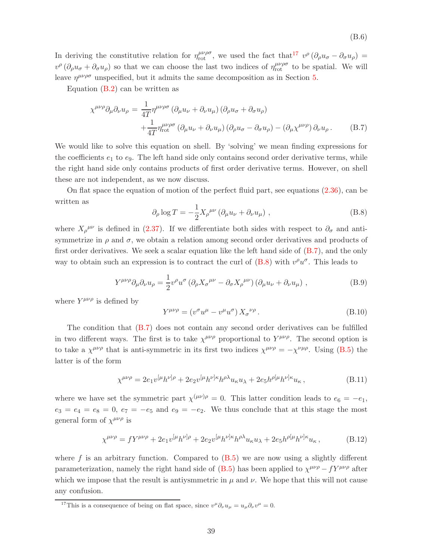In deriving the constitutive relation for  $\eta_{\rm rot}^{\mu\nu\rho\sigma}$ , we used the fact that<sup>[17](#page-40-0)</sup>  $v^{\rho}(\partial_{\rho}u_{\sigma}-\partial_{\sigma}u_{\rho})=$  $v^{\rho}$  ( $\partial_{\rho}u_{\sigma} + \partial_{\sigma}u_{\rho}$ ) so that we can choose the last two indices of  $\eta_{\rm rot}^{\mu\nu\rho\sigma}$  to be spatial. We will leave  $\eta^{\mu\nu\rho\sigma}$  unspecified, but it admits the same decomposition as in Section [5.](#page-26-0)

Equation  $(B.2)$  can be written as

<span id="page-40-1"></span>
$$
\chi^{\mu\nu\rho}\partial_{\mu}\partial_{\nu}u_{\rho} = \frac{1}{4T}\eta^{\mu\nu\rho\sigma} \left(\partial_{\mu}u_{\nu} + \partial_{\nu}u_{\mu}\right) \left(\partial_{\rho}u_{\sigma} + \partial_{\sigma}u_{\rho}\right) + \frac{1}{4T}\eta^{\mu\nu\rho\sigma}_{\text{rot}} \left(\partial_{\mu}u_{\nu} + \partial_{\nu}u_{\mu}\right) \left(\partial_{\rho}u_{\sigma} - \partial_{\sigma}u_{\rho}\right) - \left(\partial_{\mu}\chi^{\mu\nu\rho}\right)\partial_{\nu}u_{\rho} .
$$
 (B.7)

We would like to solve this equation on shell. By 'solving' we mean finding expressions for the coefficients  $e_1$  to  $e_9$ . The left hand side only contains second order derivative terms, while the right hand side only contains products of first order derivative terms. However, on shell these are not independent, as we now discuss.

<span id="page-40-2"></span>On flat space the equation of motion of the perfect fluid part, see equations [\(2.36\)](#page-10-1), can be written as

$$
\partial_{\rho} \log T = -\frac{1}{2} X_{\rho}^{\mu \nu} \left( \partial_{\mu} u_{\nu} + \partial_{\nu} u_{\mu} \right) , \qquad (B.8)
$$

where  $X_{\rho}^{\mu\nu}$  is defined in [\(2.37\)](#page-10-2). If we differentiate both sides with respect to  $\partial_{\sigma}$  and antisymmetrize in  $\rho$  and  $\sigma$ , we obtain a relation among second order derivatives and products of first order derivatives. We seek a scalar equation like the left hand side of [\(B.7\)](#page-40-1), and the only way to obtain such an expression is to contract the curl of  $(B.8)$  with  $v^{\rho}u^{\sigma}$ . This leads to

$$
Y^{\mu\nu\rho}\partial_{\mu}\partial_{\nu}u_{\rho} = \frac{1}{2}v^{\rho}u^{\sigma}\left(\partial_{\rho}X_{\sigma}^{\mu\nu} - \partial_{\sigma}X_{\rho}^{\mu\nu}\right)\left(\partial_{\mu}u_{\nu} + \partial_{\nu}u_{\mu}\right) ,\qquad (B.9)
$$

where  $Y^{\mu\nu\rho}$  is defined by

<span id="page-40-4"></span>
$$
Y^{\mu\nu\rho} = (v^{\sigma}u^{\mu} - v^{\mu}u^{\sigma}) X_{\sigma}^{\nu\rho}.
$$
\n(B.10)

The condition that [\(B.7\)](#page-40-1) does not contain any second order derivatives can be fulfilled in two different ways. The first is to take  $\chi^{\mu\nu\rho}$  proportional to  $Y^{\mu\nu\rho}$ . The second option is to take a  $\chi^{\mu\nu\rho}$  that is anti-symmetric in its first two indices  $\chi^{\mu\nu\rho} = -\chi^{\nu\mu\rho}$ . Using [\(B.5\)](#page-39-3) the latter is of the form

$$
\chi^{\mu\nu\rho} = 2e_1v^{[\mu}h^{\nu]\rho} + 2e_2v^{[\mu}h^{\nu]\kappa}h^{\rho\lambda}u_{\kappa}u_{\lambda} + 2e_5h^{\rho[\mu}h^{\nu]\kappa}u_{\kappa},\tag{B.11}
$$

where we have set the symmetric part  $\chi^{(\mu\nu)\rho} = 0$ . This latter condition leads to  $e_6 = -e_1$ ,  $e_3 = e_4 = e_8 = 0, e_7 = -e_5$  and  $e_9 = -e_2$ . We thus conclude that at this stage the most general form of  $\chi^{\mu\nu\rho}$  is

<span id="page-40-3"></span>
$$
\chi^{\mu\nu\rho} = fY^{\mu\nu\rho} + 2e_1v^{[\mu}h^{\nu]\rho} + 2e_2v^{[\mu}h^{\nu]\kappa}h^{\rho\lambda}u_{\kappa}u_{\lambda} + 2e_5h^{\rho[\mu}h^{\nu]\kappa}u_{\kappa}, \tag{B.12}
$$

where f is an arbitrary function. Compared to  $(B.5)$  we are now using a slightly different parameterization, namely the right hand side of  $(B.5)$  has been applied to  $\chi^{\mu\nu\rho} - fY^{\mu\nu\rho}$  after which we impose that the result is antiysmmetric in  $\mu$  and  $\nu$ . We hope that this will not cause any confusion.

<span id="page-40-0"></span><sup>&</sup>lt;sup>17</sup>This is a consequence of being on flat space, since  $v^{\mu}\partial_{\nu}u_{\mu} = u_{\mu}\partial_{\nu}v^{\mu} = 0$ .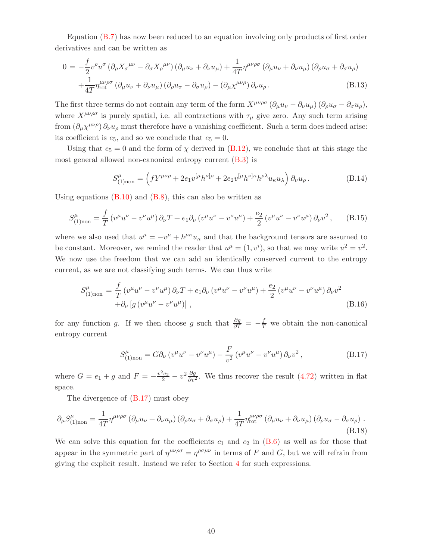Equation [\(B.7\)](#page-40-1) has now been reduced to an equation involving only products of first order derivatives and can be written as

$$
0 = -\frac{f}{2}v^{\rho}u^{\sigma}(\partial_{\rho}X_{\sigma}^{\mu\nu} - \partial_{\sigma}X_{\rho}^{\mu\nu})(\partial_{\mu}u_{\nu} + \partial_{\nu}u_{\mu}) + \frac{1}{4T}\eta^{\mu\nu\rho\sigma}(\partial_{\mu}u_{\nu} + \partial_{\nu}u_{\mu})(\partial_{\rho}u_{\sigma} + \partial_{\sigma}u_{\rho})
$$
  
 
$$
+ \frac{1}{4T}\eta^{\mu\nu\rho\sigma}_{\text{rot}}(\partial_{\mu}u_{\nu} + \partial_{\nu}u_{\mu})(\partial_{\rho}u_{\sigma} - \partial_{\sigma}u_{\rho}) - (\partial_{\mu}\chi^{\mu\nu\rho})\partial_{\nu}u_{\rho}.
$$
 (B.13)

The first three terms do not contain any term of the form  $X^{\mu\nu\rho\sigma}$   $(\partial_{\mu}u_{\nu} - \partial_{\nu}u_{\mu}) (\partial_{\rho}u_{\sigma} - \partial_{\sigma}u_{\rho}),$ where  $X^{\mu\nu\rho\sigma}$  is purely spatial, i.e. all contractions with  $\tau_{\mu}$  give zero. Any such term arising from  $(\partial_\mu \chi^{\mu\nu\rho}) \partial_\nu u_\rho$  must therefore have a vanishing coefficient. Such a term does indeed arise: its coefficient is  $e_5$ , and so we conclude that  $e_5 = 0$ .

Using that  $e_5 = 0$  and the form of  $\chi$  derived in [\(B.12\)](#page-40-3), we conclude that at this stage the most general allowed non-canonical entropy current [\(B.3\)](#page-39-4) is

$$
S^{\mu}_{(1)non} = \left( fY^{\mu\nu\rho} + 2e_1 v^{[\mu}h^{\nu]\rho} + 2e_2 v^{[\mu}h^{\nu]\kappa}h^{\rho\lambda}u_{\kappa}u_{\lambda} \right) \partial_{\nu}u_{\rho}.
$$
 (B.14)

Using equations  $(B.10)$  and  $(B.8)$ , this can also be written as

$$
S^{\mu}_{(1) non} = \frac{f}{T} \left( v^{\mu} u^{\nu} - v^{\nu} u^{\mu} \right) \partial_{\nu} T + e_1 \partial_{\nu} \left( v^{\mu} u^{\nu} - v^{\nu} u^{\mu} \right) + \frac{e_2}{2} \left( v^{\mu} u^{\nu} - v^{\nu} u^{\mu} \right) \partial_{\nu} v^{2}, \qquad (B.15)
$$

where we also used that  $u^{\mu} = -v^{\mu} + h^{\mu \kappa} u_{\kappa}$  and that the background tensors are assumed to be constant. Moreover, we remind the reader that  $u^{\mu} = (1, v^{i})$ , so that we may write  $u^{2} = v^{2}$ . We now use the freedom that we can add an identically conserved current to the entropy current, as we are not classifying such terms. We can thus write

$$
S_{(1) non}^{\mu} = \frac{f}{T} \left( v^{\mu} u^{\nu} - v^{\nu} u^{\mu} \right) \partial_{\nu} T + e_1 \partial_{\nu} \left( v^{\mu} u^{\nu} - v^{\nu} u^{\mu} \right) + \frac{e_2}{2} \left( v^{\mu} u^{\nu} - v^{\nu} u^{\mu} \right) \partial_{\nu} v^2
$$
\n
$$
+ \partial_{\nu} \left[ g \left( v^{\mu} u^{\nu} - v^{\nu} u^{\mu} \right) \right], \tag{B.16}
$$

for any function g. If we then choose g such that  $\frac{\partial g}{\partial T} = -\frac{f}{T}$  we obtain the non-canonical entropy current

<span id="page-41-1"></span><span id="page-41-0"></span>
$$
S_{(1) non}^{\mu} = G \partial_{\nu} \left( v^{\mu} u^{\nu} - v^{\nu} u^{\mu} \right) - \frac{F}{v^2} \left( v^{\mu} u^{\nu} - v^{\nu} u^{\mu} \right) \partial_{\nu} v^2 , \qquad (B.17)
$$

where  $G = e_1 + g$  and  $F = -\frac{v^2 e_2}{2} - v^2 \frac{\partial g}{\partial v^2}$ . We thus recover the result [\(4.72\)](#page-22-0) written in flat space.

The divergence of  $(B.17)$  must obey

$$
\partial_{\mu}S_{(1)non}^{\mu} = \frac{1}{4T} \eta^{\mu\nu\rho\sigma} \left( \partial_{\mu}u_{\nu} + \partial_{\nu}u_{\mu} \right) \left( \partial_{\rho}u_{\sigma} + \partial_{\sigma}u_{\rho} \right) + \frac{1}{4T} \eta^{\mu\nu\rho\sigma}_{\text{rot}} \left( \partial_{\mu}u_{\nu} + \partial_{\nu}u_{\mu} \right) \left( \partial_{\rho}u_{\sigma} - \partial_{\sigma}u_{\rho} \right) . \tag{B.18}
$$

We can solve this equation for the coefficients  $c_1$  and  $c_2$  in  $(B.6)$  as well as for those that appear in the symmetric part of  $\eta^{\mu\nu\rho\sigma} = \eta^{\rho\sigma\mu\nu}$  in terms of F and G, but we will refrain from giving the explicit result. Instead we refer to Section [4](#page-13-0) for such expressions.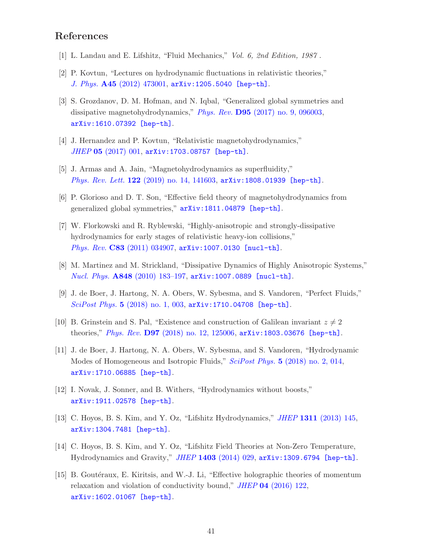## <span id="page-42-0"></span>References

- <span id="page-42-1"></span>[1] L. Landau and E. Lifshitz, "Fluid Mechanics," *Vol. 6, 2nd Edition, 1987* .
- <span id="page-42-2"></span>[2] P. Kovtun, "Lectures on hydrodynamic fluctuations in relativistic theories," *J. Phys.* A45 [\(2012\) 473001,](http://dx.doi.org/10.1088/1751-8113/45/47/473001) [arXiv:1205.5040 \[hep-th\]](http://arxiv.org/abs/1205.5040).
- [3] S. Grozdanov, D. M. Hofman, and N. Iqbal, "Generalized global symmetries and dissipative magnetohydrodynamics," *Phys. Rev.* D95 [\(2017\) no. 9, 096003,](http://dx.doi.org/10.1103/PhysRevD.95.096003) [arXiv:1610.07392 \[hep-th\]](http://arxiv.org/abs/1610.07392).
- [4] J. Hernandez and P. Kovtun, "Relativistic magnetohydrodynamics," *JHEP* 05 [\(2017\) 001,](http://dx.doi.org/10.1007/JHEP05(2017)001) [arXiv:1703.08757 \[hep-th\]](http://arxiv.org/abs/1703.08757).
- <span id="page-42-3"></span>[5] J. Armas and A. Jain, "Magnetohydrodynamics as superfluidity," *Phys. Rev. Lett.* 122 [\(2019\) no. 14, 141603,](http://dx.doi.org/10.1103/PhysRevLett.122.141603) [arXiv:1808.01939 \[hep-th\]](http://arxiv.org/abs/1808.01939).
- <span id="page-42-8"></span>[6] P. Glorioso and D. T. Son, "Effective field theory of magnetohydrodynamics from generalized global symmetries," [arXiv:1811.04879 \[hep-th\]](http://arxiv.org/abs/1811.04879).
- [7] W. Florkowski and R. Ryblewski, "Highly-anisotropic and strongly-dissipative hydrodynamics for early stages of relativistic heavy-ion collisions," *Phys. Rev.* C83 [\(2011\) 034907,](http://dx.doi.org/10.1103/PhysRevC.83.034907) [arXiv:1007.0130 \[nucl-th\]](http://arxiv.org/abs/1007.0130).
- <span id="page-42-9"></span><span id="page-42-4"></span>[8] M. Martinez and M. Strickland, "Dissipative Dynamics of Highly Anisotropic Systems," *Nucl. Phys.* A848 [\(2010\) 183–197,](http://dx.doi.org/10.1016/j.nuclphysa.2010.08.011) [arXiv:1007.0889 \[nucl-th\]](http://arxiv.org/abs/1007.0889).
- <span id="page-42-5"></span>[9] J. de Boer, J. Hartong, N. A. Obers, W. Sybesma, and S. Vandoren, "Perfect Fluids," *SciPost Phys.* 5 [\(2018\) no. 1, 003,](http://dx.doi.org/10.21468/SciPostPhys.5.1.003) [arXiv:1710.04708 \[hep-th\]](http://arxiv.org/abs/1710.04708).
- <span id="page-42-6"></span>[10] B. Grinstein and S. Pal, "Existence and construction of Galilean invariant  $z \neq 2$ theories," *Phys. Rev.* D97 [\(2018\) no. 12, 125006,](http://dx.doi.org/10.1103/PhysRevD.97.125006) [arXiv:1803.03676 \[hep-th\]](http://arxiv.org/abs/1803.03676).
- [11] J. de Boer, J. Hartong, N. A. Obers, W. Sybesma, and S. Vandoren, "Hydrodynamic Modes of Homogeneous and Isotropic Fluids," *SciPost Phys.* 5 [\(2018\) no. 2, 014,](http://dx.doi.org/10.21468/SciPostPhys.5.2.014) [arXiv:1710.06885 \[hep-th\]](http://arxiv.org/abs/1710.06885).
- <span id="page-42-10"></span><span id="page-42-7"></span>[12] I. Novak, J. Sonner, and B. Withers, "Hydrodynamics without boosts," [arXiv:1911.02578 \[hep-th\]](http://arxiv.org/abs/1911.02578).
- <span id="page-42-11"></span>[13] C. Hoyos, B. S. Kim, and Y. Oz, "Lifshitz Hydrodynamics," *JHEP* 1311 [\(2013\) 145,](http://dx.doi.org/10.1007/JHEP11(2013)145) [arXiv:1304.7481 \[hep-th\]](http://arxiv.org/abs/1304.7481).
- <span id="page-42-12"></span>[14] C. Hoyos, B. S. Kim, and Y. Oz, "Lifshitz Field Theories at Non-Zero Temperature, Hydrodynamics and Gravity," *JHEP* 1403 [\(2014\) 029,](http://dx.doi.org/10.1007/JHEP03(2014)029) [arXiv:1309.6794 \[hep-th\]](http://arxiv.org/abs/1309.6794).
- [15] B. Goutéraux, E. Kiritsis, and W.-J. Li, "Effective holographic theories of momentum relaxation and violation of conductivity bound," *JHEP* 04 [\(2016\) 122,](http://dx.doi.org/10.1007/JHEP04(2016)122) [arXiv:1602.01067 \[hep-th\]](http://arxiv.org/abs/1602.01067).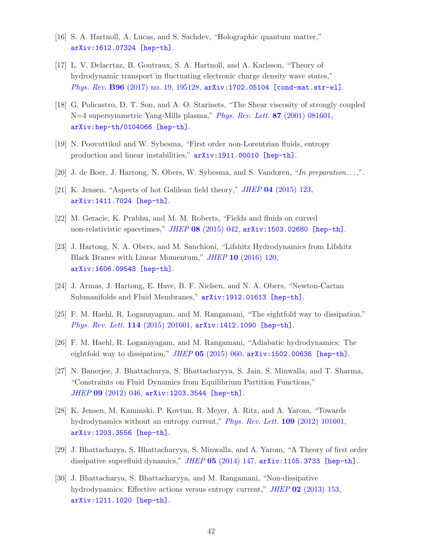- <span id="page-43-0"></span>[16] S. A. Hartnoll, A. Lucas, and S. Sachdev, "Holographic quantum matter," [arXiv:1612.07324 \[hep-th\]](http://arxiv.org/abs/1612.07324).
- [17] L. V. Delacrtaz, B. Goutraux, S. A. Hartnoll, and A. Karlsson, "Theory of hydrodynamic transport in fluctuating electronic charge density wave states," *Phys. Rev.* B96 [\(2017\) no. 19, 195128,](http://dx.doi.org/10.1103/PhysRevB.96.195128) [arXiv:1702.05104 \[cond-mat.str-el\]](http://arxiv.org/abs/1702.05104).
- <span id="page-43-1"></span>[18] G. Policastro, D. T. Son, and A. O. Starinets, "The Shear viscosity of strongly coupled N=4 supersymmetric Yang-Mills plasma," *[Phys. Rev. Lett.](http://dx.doi.org/10.1103/PhysRevLett.87.081601)* 87 (2001) 081601, [arXiv:hep-th/0104066 \[hep-th\]](http://arxiv.org/abs/hep-th/0104066).
- <span id="page-43-3"></span><span id="page-43-2"></span>[19] N. Poovuttikul and W. Sybesma, "First order non-Lorentzian fluids, entropy production and linear instabilities,"  $arXiv:1911.00010$  [hep-th].
- <span id="page-43-4"></span>[20] J. de Boer, J. Hartong, N. Obers, W. Sybesma, and S. Vandoren, "*In preparation. . .* ,".
- [21] K. Jensen, "Aspects of hot Galilean field theory," *JHEP* 04 [\(2015\) 123,](http://dx.doi.org/10.1007/JHEP04(2015)123) [arXiv:1411.7024 \[hep-th\]](http://arxiv.org/abs/1411.7024).
- <span id="page-43-12"></span>[22] M. Geracie, K. Prabhu, and M. M. Roberts, "Fields and fluids on curved non-relativistic spacetimes," *JHEP* 08 [\(2015\) 042,](http://dx.doi.org/10.1007/JHEP08(2015)042) [arXiv:1503.02680 \[hep-th\]](http://arxiv.org/abs/1503.02680).
- [23] J. Hartong, N. A. Obers, and M. Sanchioni, "Lifshitz Hydrodynamics from Lifshitz Black Branes with Linear Momentum," *JHEP* 10 [\(2016\) 120,](http://dx.doi.org/10.1007/JHEP10(2016)120) [arXiv:1606.09543 \[hep-th\]](http://arxiv.org/abs/1606.09543).
- <span id="page-43-6"></span><span id="page-43-5"></span>[24] J. Armas, J. Hartong, E. Have, B. F. Nielsen, and N. A. Obers, "Newton-Cartan Submanifolds and Fluid Membranes,"  $arXiv:1912.01613$  [hep-th].
- <span id="page-43-7"></span>[25] F. M. Haehl, R. Loganayagam, and M. Rangamani, "The eightfold way to dissipation," *[Phys. Rev. Lett.](http://dx.doi.org/10.1103/PhysRevLett.114.201601)* 114 (2015) 201601, [arXiv:1412.1090 \[hep-th\]](http://arxiv.org/abs/1412.1090).
- <span id="page-43-8"></span>[26] F. M. Haehl, R. Loganayagam, and M. Rangamani, "Adiabatic hydrodynamics: The eightfold way to dissipation," *JHEP* 05 [\(2015\) 060,](http://dx.doi.org/10.1007/JHEP05(2015)060) [arXiv:1502.00636 \[hep-th\]](http://arxiv.org/abs/1502.00636).
- [27] N. Banerjee, J. Bhattacharya, S. Bhattacharyya, S. Jain, S. Minwalla, and T. Sharma, "Constraints on Fluid Dynamics from Equilibrium Partition Functions," *JHEP* 09 [\(2012\) 046,](http://dx.doi.org/10.1007/JHEP09(2012)046) [arXiv:1203.3544 \[hep-th\]](http://arxiv.org/abs/1203.3544).
- <span id="page-43-9"></span>[28] K. Jensen, M. Kaminski, P. Kovtun, R. Meyer, A. Ritz, and A. Yarom, "Towards hydrodynamics without an entropy current," *[Phys. Rev. Lett.](http://dx.doi.org/10.1103/PhysRevLett.109.101601)* 109 (2012) 101601, [arXiv:1203.3556 \[hep-th\]](http://arxiv.org/abs/1203.3556).
- <span id="page-43-11"></span><span id="page-43-10"></span>[29] J. Bhattacharya, S. Bhattacharyya, S. Minwalla, and A. Yarom, "A Theory of first order dissipative superfluid dynamics," *JHEP* 05 [\(2014\) 147,](http://dx.doi.org/10.1007/JHEP05(2014)147) [arXiv:1105.3733 \[hep-th\]](http://arxiv.org/abs/1105.3733).
- [30] J. Bhattacharya, S. Bhattacharyya, and M. Rangamani, "Non-dissipative hydrodynamics: Effective actions versus entropy current," *JHEP* 02 [\(2013\) 153,](http://dx.doi.org/10.1007/JHEP02(2013)153) [arXiv:1211.1020 \[hep-th\]](http://arxiv.org/abs/1211.1020).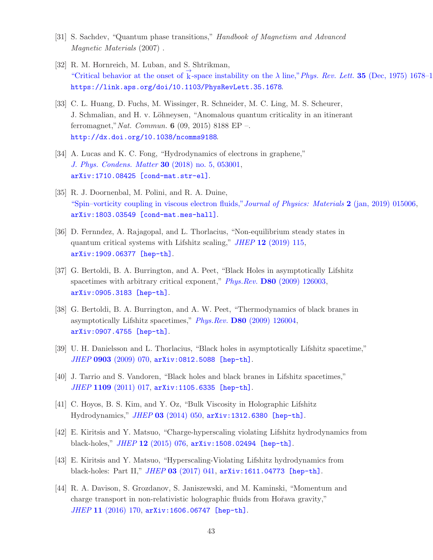- <span id="page-44-1"></span><span id="page-44-0"></span>[31] S. Sachdev, "Quantum phase transitions," *Handbook of Magnetism and Advanced Magnetic Materials* (2007) .
- [32] R. M. Hornreich, M. Luban, and S. Shtrikman, ["Critical behavior at the onset of](http://dx.doi.org/10.1103/PhysRevLett.35.1678)  $\overrightarrow{k}$ -space instability on the  $\lambda$  line," *Phys. Rev. Lett.* **35** (Dec, 1975) 1678–1 <https://link.aps.org/doi/10.1103/PhysRevLett.35.1678>.
- <span id="page-44-2"></span>[33] C. L. Huang, D. Fuchs, M. Wissinger, R. Schneider, M. C. Ling, M. S. Scheurer, J. Schmalian, and H. v. Löhneysen, "Anomalous quantum criticality in an itinerant ferromagnet,"*Nat. Commun.* 6 (09, 2015) 8188 EP –. <http://dx.doi.org/10.1038/ncomms9188>.
- <span id="page-44-3"></span>[34] A. Lucas and K. C. Fong, "Hydrodynamics of electrons in graphene," *[J. Phys. Condens. Matter](http://dx.doi.org/10.1088/1361-648X/aaa274)* 30 (2018) no. 5, 053001, [arXiv:1710.08425 \[cond-mat.str-el\]](http://arxiv.org/abs/1710.08425).
- <span id="page-44-4"></span>[35] R. J. Doornenbal, M. Polini, and R. A. Duine, ["Spin–vorticity coupling in viscous electron fluids,"](http://dx.doi.org/10.1088/2515-7639/aaf8fb)*Journal of Physics: Materials* 2 (jan, 2019) 015006, [arXiv:1803.03549 \[cond-mat.mes-hall\]](http://arxiv.org/abs/1803.03549).
- <span id="page-44-5"></span>[36] D. Fernndez, A. Rajagopal, and L. Thorlacius, "Non-equilibrium steady states in quantum critical systems with Lifshitz scaling," *JHEP* 12 [\(2019\) 115,](http://dx.doi.org/10.1007/JHEP12(2019)115) [arXiv:1909.06377 \[hep-th\]](http://arxiv.org/abs/1909.06377).
- <span id="page-44-6"></span>[37] G. Bertoldi, B. A. Burrington, and A. Peet, "Black Holes in asymptotically Lifshitz spacetimes with arbitrary critical exponent," *Phys.Rev.* D80 [\(2009\) 126003,](http://dx.doi.org/10.1103/PhysRevD.80.126003) [arXiv:0905.3183 \[hep-th\]](http://arxiv.org/abs/0905.3183).
- [38] G. Bertoldi, B. A. Burrington, and A. W. Peet, "Thermodynamics of black branes in asymptotically Lifshitz spacetimes," *Phys.Rev.* D80 [\(2009\) 126004,](http://dx.doi.org/10.1103/PhysRevD.80.126004) [arXiv:0907.4755 \[hep-th\]](http://arxiv.org/abs/0907.4755).
- <span id="page-44-7"></span>[39] U. H. Danielsson and L. Thorlacius, "Black holes in asymptotically Lifshitz spacetime," *JHEP* 0903 [\(2009\) 070,](http://dx.doi.org/10.1088/1126-6708/2009/03/070) [arXiv:0812.5088 \[hep-th\]](http://arxiv.org/abs/0812.5088).
- <span id="page-44-8"></span>[40] J. Tarrio and S. Vandoren, "Black holes and black branes in Lifshitz spacetimes," *JHEP* 1109 [\(2011\) 017,](http://dx.doi.org/10.1007/JHEP09(2011)017) [arXiv:1105.6335 \[hep-th\]](http://arxiv.org/abs/1105.6335).
- [41] C. Hoyos, B. S. Kim, and Y. Oz, "Bulk Viscosity in Holographic Lifshitz Hydrodynamics," *JHEP* 03 [\(2014\) 050,](http://dx.doi.org/10.1007/JHEP03(2014)050) [arXiv:1312.6380 \[hep-th\]](http://arxiv.org/abs/1312.6380).
- [42] E. Kiritsis and Y. Matsuo, "Charge-hyperscaling violating Lifshitz hydrodynamics from black-holes," *JHEP* 12 [\(2015\) 076,](http://dx.doi.org/10.1007/JHEP12(2015)076) [arXiv:1508.02494 \[hep-th\]](http://arxiv.org/abs/1508.02494).
- <span id="page-44-9"></span>[43] E. Kiritsis and Y. Matsuo, "Hyperscaling-Violating Lifshitz hydrodynamics from black-holes: Part II," *JHEP* 03 [\(2017\) 041,](http://dx.doi.org/10.1007/JHEP03(2017)041) [arXiv:1611.04773 \[hep-th\]](http://arxiv.org/abs/1611.04773).
- [44] R. A. Davison, S. Grozdanov, S. Janiszewski, and M. Kaminski, "Momentum and charge transport in non-relativistic holographic fluids from Hořava gravity," *JHEP* 11 [\(2016\) 170,](http://dx.doi.org/10.1007/JHEP11(2016)170) [arXiv:1606.06747 \[hep-th\]](http://arxiv.org/abs/1606.06747).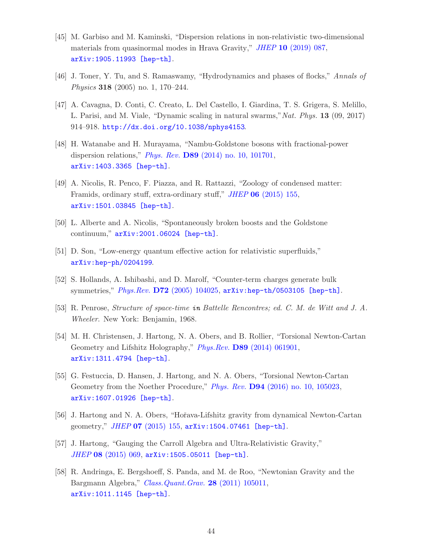- <span id="page-45-0"></span>[45] M. Garbiso and M. Kaminski, "Dispersion relations in non-relativistic two-dimensional materials from quasinormal modes in Hrava Gravity," *JHEP* 10 [\(2019\) 087,](http://dx.doi.org/10.1007/JHEP10(2019)087) [arXiv:1905.11993 \[hep-th\]](http://arxiv.org/abs/1905.11993).
- <span id="page-45-2"></span><span id="page-45-1"></span>[46] J. Toner, Y. Tu, and S. Ramaswamy, "Hydrodynamics and phases of flocks," *Annals of Physics* **318** (2005) no. 1, 170–244.
- [47] A. Cavagna, D. Conti, C. Creato, L. Del Castello, I. Giardina, T. S. Grigera, S. Melillo, L. Parisi, and M. Viale, "Dynamic scaling in natural swarms,"*Nat. Phys.* 13 (09, 2017) 914–918. <http://dx.doi.org/10.1038/nphys4153>.
- <span id="page-45-3"></span>[48] H. Watanabe and H. Murayama, "Nambu-Goldstone bosons with fractional-power dispersion relations," *Phys. Rev.* D89 [\(2014\) no. 10, 101701,](http://dx.doi.org/10.1103/PhysRevD.89.101701) [arXiv:1403.3365 \[hep-th\]](http://arxiv.org/abs/1403.3365).
- <span id="page-45-4"></span>[49] A. Nicolis, R. Penco, F. Piazza, and R. Rattazzi, "Zoology of condensed matter: Framids, ordinary stuff, extra-ordinary stuff," *JHEP* 06 [\(2015\) 155,](http://dx.doi.org/10.1007/JHEP06(2015)155) [arXiv:1501.03845 \[hep-th\]](http://arxiv.org/abs/1501.03845).
- <span id="page-45-6"></span><span id="page-45-5"></span>[50] L. Alberte and A. Nicolis, "Spontaneously broken boosts and the Goldstone continuum," [arXiv:2001.06024 \[hep-th\]](http://arxiv.org/abs/2001.06024).
- <span id="page-45-7"></span>[51] D. Son, "Low-energy quantum effective action for relativistic superfluids," [arXiv:hep-ph/0204199](http://arxiv.org/abs/hep-ph/0204199).
- <span id="page-45-8"></span>[52] S. Hollands, A. Ishibashi, and D. Marolf, "Counter-term charges generate bulk symmetries," *Phys.Rev.* D72 [\(2005\) 104025,](http://dx.doi.org/10.1103/PhysRevD.72.104025) [arXiv:hep-th/0503105 \[hep-th\]](http://arxiv.org/abs/hep-th/0503105).
- <span id="page-45-9"></span>[53] R. Penrose, *Structure of space-time* in *Battelle Rencontres; ed. C. M. de Witt and J. A. Wheeler*. New York: Benjamin, 1968.
- [54] M. H. Christensen, J. Hartong, N. A. Obers, and B. Rollier, "Torsional Newton-Cartan Geometry and Lifshitz Holography," *Phys.Rev.* D89 [\(2014\) 061901,](http://dx.doi.org/10.1103/PhysRevD.89.061901) [arXiv:1311.4794 \[hep-th\]](http://arxiv.org/abs/1311.4794).
- [55] G. Festuccia, D. Hansen, J. Hartong, and N. A. Obers, "Torsional Newton-Cartan Geometry from the Noether Procedure," *Phys. Rev.* D94 [\(2016\) no. 10, 105023,](http://dx.doi.org/10.1103/PhysRevD.94.105023) [arXiv:1607.01926 \[hep-th\]](http://arxiv.org/abs/1607.01926).
- <span id="page-45-11"></span><span id="page-45-10"></span>[56] J. Hartong and N. A. Obers, "Hoˇrava-Lifshitz gravity from dynamical Newton-Cartan geometry," *JHEP* 07 [\(2015\) 155,](http://dx.doi.org/10.1007/JHEP07(2015)155) [arXiv:1504.07461 \[hep-th\]](http://arxiv.org/abs/1504.07461).
- <span id="page-45-12"></span>[57] J. Hartong, "Gauging the Carroll Algebra and Ultra-Relativistic Gravity," *JHEP* 08 [\(2015\) 069,](http://dx.doi.org/10.1007/JHEP08(2015)069) [arXiv:1505.05011 \[hep-th\]](http://arxiv.org/abs/1505.05011).
- [58] R. Andringa, E. Bergshoeff, S. Panda, and M. de Roo, "Newtonian Gravity and the Bargmann Algebra," *[Class.Quant.Grav.](http://dx.doi.org/10.1088/0264-9381/28/10/105011)* 28 (2011) 105011, [arXiv:1011.1145 \[hep-th\]](http://arxiv.org/abs/1011.1145).